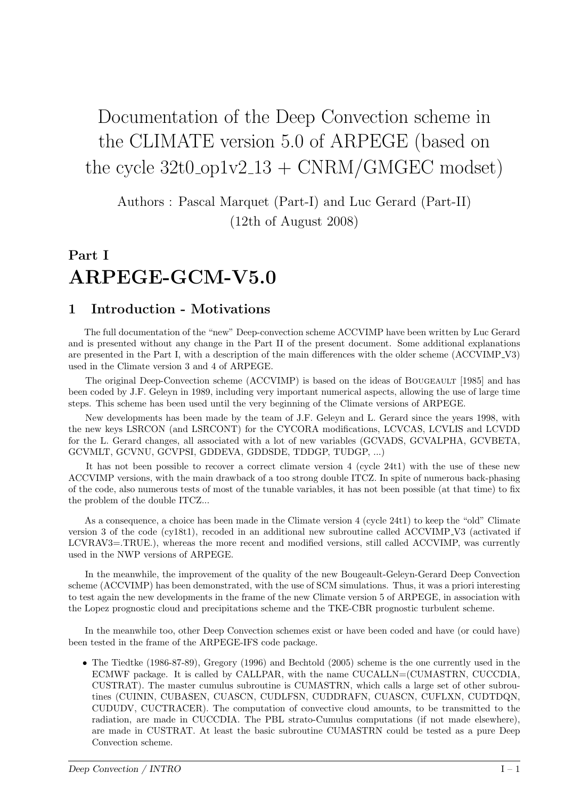# Documentation of the Deep Convection scheme in the CLIMATE version 5.0 of ARPEGE (based on the cycle  $32t0$ -op1v2<sub>-13</sub> + CNRM/GMGEC modset)

Authors : Pascal Marquet (Part-I) and Luc Gerard (Part-II) (12th of August 2008)

# Part I ARPEGE-GCM-V5.0

## 1 Introduction - Motivations

The full documentation of the "new" Deep-convection scheme ACCVIMP have been written by Luc Gerard and is presented without any change in the Part II of the present document. Some additional explanations are presented in the Part I, with a description of the main differences with the older scheme (ACCVIMP V3) used in the Climate version 3 and 4 of ARPEGE.

The original Deep-Convection scheme (ACCVIMP) is based on the ideas of BOUGEAULT [1985] and has been coded by J.F. Geleyn in 1989, including very important numerical aspects, allowing the use of large time steps. This scheme has been used until the very beginning of the Climate versions of ARPEGE.

New developments has been made by the team of J.F. Geleyn and L. Gerard since the years 1998, with the new keys LSRCON (and LSRCONT) for the CYCORA modifications, LCVCAS, LCVLIS and LCVDD for the L. Gerard changes, all associated with a lot of new variables (GCVADS, GCVALPHA, GCVBETA, GCVMLT, GCVNU, GCVPSI, GDDEVA, GDDSDE, TDDGP, TUDGP, ...)

It has not been possible to recover a correct climate version 4 (cycle 24t1) with the use of these new ACCVIMP versions, with the main drawback of a too strong double ITCZ. In spite of numerous back-phasing of the code, also numerous tests of most of the tunable variables, it has not been possible (at that time) to fix the problem of the double ITCZ...

As a consequence, a choice has been made in the Climate version 4 (cycle 24t1) to keep the "old" Climate version 3 of the code (cy18t1), recoded in an additional new subroutine called ACCVIMP V3 (activated if LCVRAV3=.TRUE.), whereas the more recent and modified versions, still called ACCVIMP, was currently used in the NWP versions of ARPEGE.

In the meanwhile, the improvement of the quality of the new Bougeault-Geleyn-Gerard Deep Convection scheme (ACCVIMP) has been demonstrated, with the use of SCM simulations. Thus, it was a priori interesting to test again the new developments in the frame of the new Climate version 5 of ARPEGE, in association with the Lopez prognostic cloud and precipitations scheme and the TKE-CBR prognostic turbulent scheme.

In the meanwhile too, other Deep Convection schemes exist or have been coded and have (or could have) been tested in the frame of the ARPEGE-IFS code package.

• The Tiedtke (1986-87-89), Gregory (1996) and Bechtold (2005) scheme is the one currently used in the ECMWF package. It is called by CALLPAR, with the name CUCALLN=(CUMASTRN, CUCCDIA, CUSTRAT). The master cumulus subroutine is CUMASTRN, which calls a large set of other subroutines (CUININ, CUBASEN, CUASCN, CUDLFSN, CUDDRAFN, CUASCN, CUFLXN, CUDTDQN, CUDUDV, CUCTRACER). The computation of convective cloud amounts, to be transmitted to the radiation, are made in CUCCDIA. The PBL strato-Cumulus computations (if not made elsewhere), are made in CUSTRAT. At least the basic subroutine CUMASTRN could be tested as a pure Deep Convection scheme.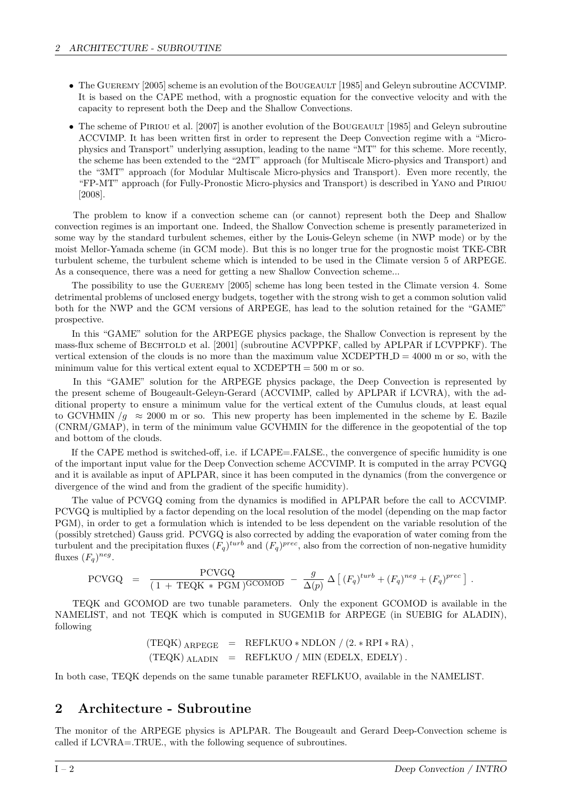- The GUEREMY [2005] scheme is an evolution of the BOUGEAULT [1985] and Geleyn subroutine ACCVIMP. It is based on the CAPE method, with a prognostic equation for the convective velocity and with the capacity to represent both the Deep and the Shallow Convections.
- The scheme of PIRIOU et al. [2007] is another evolution of the BOUGEAULT [1985] and Geleyn subroutine ACCVIMP. It has been written first in order to represent the Deep Convection regime with a "Microphysics and Transport" underlying assuption, leading to the name "MT" for this scheme. More recently, the scheme has been extended to the "2MT" approach (for Multiscale Micro-physics and Transport) and the "3MT" approach (for Modular Multiscale Micro-physics and Transport). Even more recently, the "FP-MT" approach (for Fully-Pronostic Micro-physics and Transport) is described in Yano and Piriou [2008].

The problem to know if a convection scheme can (or cannot) represent both the Deep and Shallow convection regimes is an important one. Indeed, the Shallow Convection scheme is presently parameterized in some way by the standard turbulent schemes, either by the Louis-Geleyn scheme (in NWP mode) or by the moist Mellor-Yamada scheme (in GCM mode). But this is no longer true for the prognostic moist TKE-CBR turbulent scheme, the turbulent scheme which is intended to be used in the Climate version 5 of ARPEGE. As a consequence, there was a need for getting a new Shallow Convection scheme...

The possibility to use the GUEREMY [2005] scheme has long been tested in the Climate version 4. Some detrimental problems of unclosed energy budgets, together with the strong wish to get a common solution valid both for the NWP and the GCM versions of ARPEGE, has lead to the solution retained for the "GAME" prospective.

In this "GAME" solution for the ARPEGE physics package, the Shallow Convection is represent by the mass-flux scheme of BECHTOLD et al. [2001] (subroutine ACVPPKF, called by APLPAR if LCVPPKF). The vertical extension of the clouds is no more than the maximum value  $XCDEPTH.D = 4000$  m or so, with the minimum value for this vertical extent equal to  $XCDEPTH = 500$  m or so.

In this "GAME" solution for the ARPEGE physics package, the Deep Convection is represented by the present scheme of Bougeault-Geleyn-Gerard (ACCVIMP, called by APLPAR if LCVRA), with the additional property to ensure a minimum value for the vertical extent of the Cumulus clouds, at least equal to GCVHMIN  $/g \approx 2000$  m or so. This new property has been implemented in the scheme by E. Bazile (CNRM/GMAP), in term of the minimum value GCVHMIN for the difference in the geopotential of the top and bottom of the clouds.

If the CAPE method is switched-off, i.e. if LCAPE=.FALSE., the convergence of specific humidity is one of the important input value for the Deep Convection scheme ACCVIMP. It is computed in the array PCVGQ and it is available as input of APLPAR, since it has been computed in the dynamics (from the convergence or divergence of the wind and from the gradient of the specific humidity).

The value of PCVGQ coming from the dynamics is modified in APLPAR before the call to ACCVIMP. PCVGQ is multiplied by a factor depending on the local resolution of the model (depending on the map factor PGM), in order to get a formulation which is intended to be less dependent on the variable resolution of the (possibly stretched) Gauss grid. PCVGQ is also corrected by adding the evaporation of water coming from the turbulent and the precipitation fluxes  $(F_q)^{turb}$  and  $(F_q)^{prec}$ , also from the correction of non-negative humidity fluxes  $(F_q)^{neg}$ .

$$
PCVGQ = \frac{PCVGQ}{(1 + TEQK * PGM)^{GCOMOD}} - \frac{g}{\Delta(p)} \Delta \left[ (F_q)^{turb} + (F_q)^{neg} + (F_q)^{prec} \right].
$$

TEQK and GCOMOD are two tunable parameters. Only the exponent GCOMOD is available in the NAMELIST, and not TEQK which is computed in SUGEM1B for ARPEGE (in SUEBIG for ALADIN), following

$$
\begin{array}{rcl} ({\rm TEQK})\; {\rm ARPEGE} & = & {\rm REFLKUO} * {\rm NDLON} \; / \; (2. * {\rm RPI} * {\rm RA}) \; , \\ ({\rm TEQK})\; {\rm ALADIN} & = & {\rm REFLKUO} \; / \; {\rm MIN} \; ({\rm EDELX, \; EDELY}) \; . \end{array}
$$

In both case, TEQK depends on the same tunable parameter REFLKUO, available in the NAMELIST.

## 2 Architecture - Subroutine

The monitor of the ARPEGE physics is APLPAR. The Bougeault and Gerard Deep-Convection scheme is called if LCVRA=.TRUE., with the following sequence of subroutines.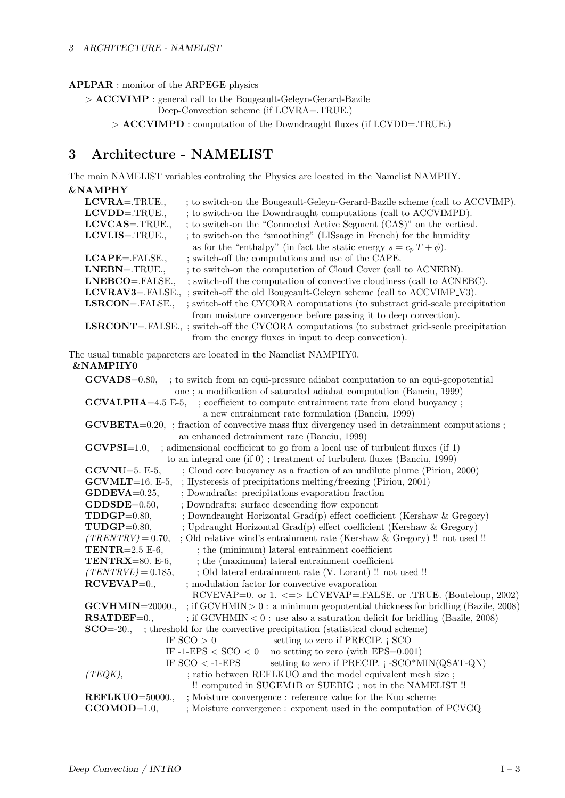## APLPAR : monitor of the ARPEGE physics

> ACCVIMP : general call to the Bougeault-Geleyn-Gerard-Bazile Deep-Convection scheme (if LCVRA=.TRUE.)

> ACCVIMPD : computation of the Downdraught fluxes (if LCVDD=.TRUE.)

## 3 Architecture - NAMELIST

The main NAMELIST variables controling the Physics are located in the Namelist NAMPHY. &NAMPHY

| $\alpha$ - $\alpha$ - $\alpha$ - $\alpha$ - $\alpha$ - $\alpha$ - $\alpha$ - $\alpha$ - $\alpha$ - $\alpha$ - $\alpha$ - $\alpha$ - $\alpha$ - $\alpha$ - $\alpha$ - $\alpha$ - $\alpha$ - $\alpha$ - $\alpha$ - $\alpha$ - $\alpha$ - $\alpha$ - $\alpha$ - $\alpha$ - $\alpha$ - $\alpha$ - $\alpha$ - $\alpha$ - $\alpha$ - $\alpha$ - $\alpha$ - $\alpha$ |                                                                                                                                         |
|---------------------------------------------------------------------------------------------------------------------------------------------------------------------------------------------------------------------------------------------------------------------------------------------------------------------------------------------------------------|-----------------------------------------------------------------------------------------------------------------------------------------|
| $LCVRA = .TRUE.,$                                                                                                                                                                                                                                                                                                                                             | ; to switch-on the Bougeault-Geleyn-Gerard-Bazile scheme (call to ACCVIMP).                                                             |
| $LCVDD = .TRUE.,$<br>LCVCAS=.TRUE.,                                                                                                                                                                                                                                                                                                                           | ; to switch-on the Downdraught computations (call to ACCVIMPD).<br>; to switch-on the "Connected Active Segment (CAS)" on the vertical. |
|                                                                                                                                                                                                                                                                                                                                                               |                                                                                                                                         |
| $LCVLIS = .TRUE.,$                                                                                                                                                                                                                                                                                                                                            | ; to switch-on the "smoothing" (LISsage in French) for the humidity                                                                     |
|                                                                                                                                                                                                                                                                                                                                                               | as for the "enthalpy" (in fact the static energy $s = c_p T + \phi$ ).                                                                  |
| LCAPE=.FALSE.,                                                                                                                                                                                                                                                                                                                                                | ; switch-off the computations and use of the CAPE.                                                                                      |
| LNEBN=.TRUE.,                                                                                                                                                                                                                                                                                                                                                 | ; to switch-on the computation of Cloud Cover (call to ACNEBN).                                                                         |
| LNEBCO=.FALSE.,                                                                                                                                                                                                                                                                                                                                               | ; switch-off the computation of convective cloudiness (call to ACNEBC).                                                                 |
|                                                                                                                                                                                                                                                                                                                                                               | <b>LCVRAV3</b> =.FALSE., ; switch-off the old Bougeault-Geleyn scheme (call to ACCVIMP_V3).                                             |
| $LSRCON = FALSE$ ,                                                                                                                                                                                                                                                                                                                                            | ; switch-off the CYCORA computations (to substract grid-scale precipitation                                                             |
|                                                                                                                                                                                                                                                                                                                                                               | from moisture convergence before passing it to deep convection).                                                                        |
|                                                                                                                                                                                                                                                                                                                                                               | <b>LSRCONT</b> =.FALSE.,; switch-off the CYCORA computations (to substract grid-scale precipitation                                     |
|                                                                                                                                                                                                                                                                                                                                                               | from the energy fluxes in input to deep convection).                                                                                    |
|                                                                                                                                                                                                                                                                                                                                                               | The usual tunable papareters are located in the Namelist NAMPHY0.                                                                       |
| <b>&amp;NAMPHY0</b>                                                                                                                                                                                                                                                                                                                                           |                                                                                                                                         |
| $\textbf{GCVADS}=0.80,$                                                                                                                                                                                                                                                                                                                                       | ; to switch from an equi-pressure adiabat computation to an equi-geopotential                                                           |
|                                                                                                                                                                                                                                                                                                                                                               | one; a modification of saturated adiabat computation (Banciu, 1999)                                                                     |
| $GCVALPHA=4.5 E-5,$                                                                                                                                                                                                                                                                                                                                           | ; coefficient to compute entrainment rate from cloud buoyancy;                                                                          |
|                                                                                                                                                                                                                                                                                                                                                               | a new entrainment rate formulation (Banciu, 1999)                                                                                       |
|                                                                                                                                                                                                                                                                                                                                                               | $\text{GCVBETA}=0.20$ , ; fraction of convective mass flux divergency used in detrainment computations;                                 |
|                                                                                                                                                                                                                                                                                                                                                               | an enhanced detrainment rate (Banciu, 1999)                                                                                             |
| $GCVPSI=1.0$                                                                                                                                                                                                                                                                                                                                                  | ; adimensional coefficient to go from a local use of turbulent fluxes (if 1)                                                            |
|                                                                                                                                                                                                                                                                                                                                                               | to an integral one (if $0$ ); treatment of turbulent fluxes (Banciu, 1999)                                                              |
| $GCVNU=5. E-5,$                                                                                                                                                                                                                                                                                                                                               | ; Cloud core buoyancy as a fraction of an undilute plume (Piriou, 2000)                                                                 |
| $GCVMLT=16. E-5,$                                                                                                                                                                                                                                                                                                                                             | ; Hysteresis of precipitations melting/freezing (Piriou, 2001)                                                                          |
| $GDDEVA = 0.25$ ,                                                                                                                                                                                                                                                                                                                                             | ; Downdrafts: precipitations evaporation fraction                                                                                       |
| $\textbf{GDDSDE}=0.50,$                                                                                                                                                                                                                                                                                                                                       | ; Downdrafts: surface descending flow exponent                                                                                          |
| $TDDGP=0.80,$                                                                                                                                                                                                                                                                                                                                                 | ; Downdraught Horizontal Grad(p) effect coefficient (Kershaw & Gregory)                                                                 |
| $TUDGP=0.80,$                                                                                                                                                                                                                                                                                                                                                 | ; Updraught Horizontal Grad(p) effect coefficient (Kershaw & Gregory)                                                                   |
| $(TRENTRV) = 0.70,$                                                                                                                                                                                                                                                                                                                                           | ; Old relative wind's entrainment rate (Kershaw & Gregory) !! not used !!                                                               |
| TENTR= $2.5$ E-6,                                                                                                                                                                                                                                                                                                                                             | ; the (minimum) lateral entrainment coefficient                                                                                         |
| TENTRX=80. E-6,                                                                                                                                                                                                                                                                                                                                               | ; the (maximum) lateral entrainment coefficient                                                                                         |
| $(TENTRVL) = 0.185,$                                                                                                                                                                                                                                                                                                                                          | ; Old lateral entrainment rate (V. Lorant) !! not used !!                                                                               |
| $\mathbb{R} \mathbb{C} \mathbb{V} \mathbb{E} \mathbb{V} \mathbb{A} \mathbb{P} = 0.$                                                                                                                                                                                                                                                                           | ; modulation factor for convective evaporation                                                                                          |
|                                                                                                                                                                                                                                                                                                                                                               | RCVEVAP=0. or 1. $\langle \equiv \rangle$ LCVEVAP=.FALSE. or .TRUE. (Bouteloup, 2002)                                                   |
| $GCVHMIN=20000.$                                                                                                                                                                                                                                                                                                                                              | ; if $GCVHMIN > 0$ : a minimum geopotential thickness for bridling (Bazile, 2008)                                                       |
| $\textbf{RSATDEF}=0.,$                                                                                                                                                                                                                                                                                                                                        | ; if $GCVHMIN < 0$ : use also a saturation deficit for bridling (Bazile, 2008)                                                          |
|                                                                                                                                                                                                                                                                                                                                                               |                                                                                                                                         |
|                                                                                                                                                                                                                                                                                                                                                               | <b>SCO</b> =-20., ; threshold for the convective precipitation (statistical cloud scheme)<br>IF $SCO > 0$                               |
|                                                                                                                                                                                                                                                                                                                                                               | setting to zero if PRECIP. $\vert$ SCO                                                                                                  |
|                                                                                                                                                                                                                                                                                                                                                               | IF -1-EPS $<$ SCO $<$ 0<br>no setting to zero (with $EPS=0.001$ )                                                                       |
|                                                                                                                                                                                                                                                                                                                                                               | setting to zero if PRECIP. j -SCO*MIN(QSAT-QN)<br>IF $SCO < -1-EPS$                                                                     |
| (TEQK),                                                                                                                                                                                                                                                                                                                                                       | ; ratio between REFLKUO and the model equivalent mesh size;                                                                             |
|                                                                                                                                                                                                                                                                                                                                                               | !! computed in SUGEM1B or SUEBIG ; not in the NAMELIST !!                                                                               |
| REFLKUO=50000.,                                                                                                                                                                                                                                                                                                                                               | ; Moisture convergence: reference value for the Kuo scheme                                                                              |
| $GCOMOD=1.0$ ,                                                                                                                                                                                                                                                                                                                                                | ; Moisture convergence : exponent used in the computation of PCVGQ                                                                      |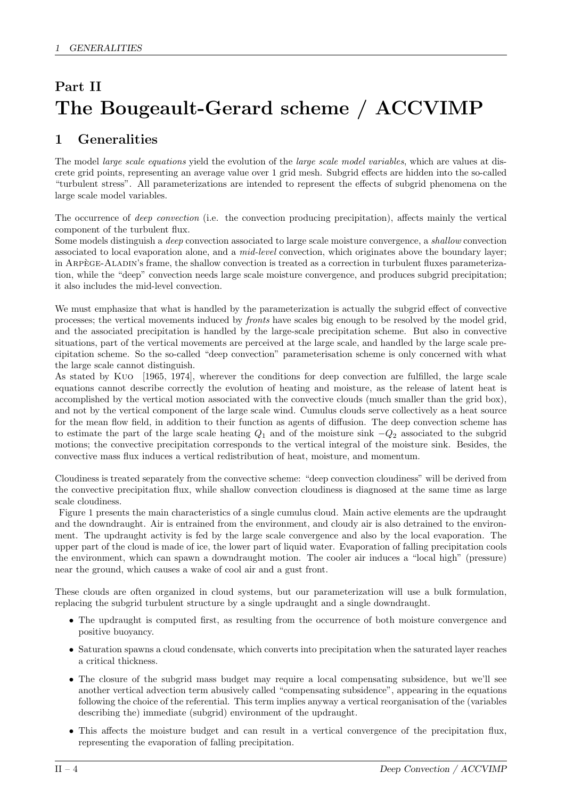# Part II The Bougeault-Gerard scheme / ACCVIMP

# 1 Generalities

The model *large scale equations* yield the evolution of the *large scale model variables*, which are values at discrete grid points, representing an average value over 1 grid mesh. Subgrid effects are hidden into the so-called "turbulent stress". All parameterizations are intended to represent the effects of subgrid phenomena on the large scale model variables.

The occurrence of *deep convection* (i.e. the convection producing precipitation), affects mainly the vertical component of the turbulent flux.

Some models distinguish a deep convection associated to large scale moisture convergence, a shallow convection associated to local evaporation alone, and a *mid-level* convection, which originates above the boundary layer; in ARPEGE-ALADIN's frame, the shallow convection is treated as a correction in turbulent fluxes parameterization, while the "deep" convection needs large scale moisture convergence, and produces subgrid precipitation; it also includes the mid-level convection.

We must emphasize that what is handled by the parameterization is actually the subgrid effect of convective processes; the vertical movements induced by fronts have scales big enough to be resolved by the model grid, and the associated precipitation is handled by the large-scale precipitation scheme. But also in convective situations, part of the vertical movements are perceived at the large scale, and handled by the large scale precipitation scheme. So the so-called "deep convection" parameterisation scheme is only concerned with what the large scale cannot distinguish.

As stated by Kuo [1965, 1974], wherever the conditions for deep convection are fulfilled, the large scale equations cannot describe correctly the evolution of heating and moisture, as the release of latent heat is accomplished by the vertical motion associated with the convective clouds (much smaller than the grid box), and not by the vertical component of the large scale wind. Cumulus clouds serve collectively as a heat source for the mean flow field, in addition to their function as agents of diffusion. The deep convection scheme has to estimate the part of the large scale heating  $Q_1$  and of the moisture sink  $-Q_2$  associated to the subgrid motions; the convective precipitation corresponds to the vertical integral of the moisture sink. Besides, the convective mass flux induces a vertical redistribution of heat, moisture, and momentum.

Cloudiness is treated separately from the convective scheme: "deep convection cloudiness" will be derived from the convective precipitation flux, while shallow convection cloudiness is diagnosed at the same time as large scale cloudiness.

Figure 1 presents the main characteristics of a single cumulus cloud. Main active elements are the updraught and the downdraught. Air is entrained from the environment, and cloudy air is also detrained to the environment. The updraught activity is fed by the large scale convergence and also by the local evaporation. The upper part of the cloud is made of ice, the lower part of liquid water. Evaporation of falling precipitation cools the environment, which can spawn a downdraught motion. The cooler air induces a "local high" (pressure) near the ground, which causes a wake of cool air and a gust front.

These clouds are often organized in cloud systems, but our parameterization will use a bulk formulation, replacing the subgrid turbulent structure by a single updraught and a single downdraught.

- The updraught is computed first, as resulting from the occurrence of both moisture convergence and positive buoyancy.
- Saturation spawns a cloud condensate, which converts into precipitation when the saturated layer reaches a critical thickness.
- The closure of the subgrid mass budget may require a local compensating subsidence, but we'll see another vertical advection term abusively called "compensating subsidence", appearing in the equations following the choice of the referential. This term implies anyway a vertical reorganisation of the (variables describing the) immediate (subgrid) environment of the updraught.
- This affects the moisture budget and can result in a vertical convergence of the precipitation flux, representing the evaporation of falling precipitation.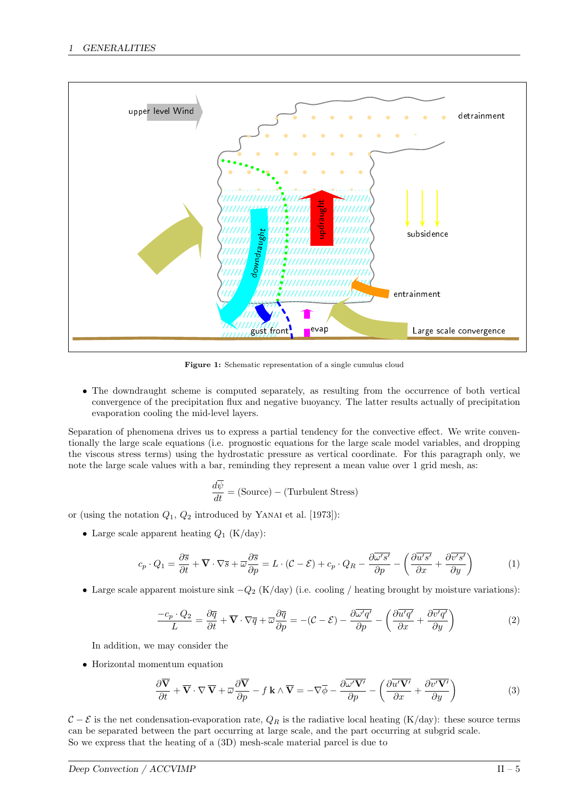

Figure 1: Schematic representation of a single cumulus cloud

• The downdraught scheme is computed separately, as resulting from the occurrence of both vertical convergence of the precipitation flux and negative buoyancy. The latter results actually of precipitation evaporation cooling the mid-level layers.

Separation of phenomena drives us to express a partial tendency for the convective effect. We write conventionally the large scale equations (i.e. prognostic equations for the large scale model variables, and dropping the viscous stress terms) using the hydrostatic pressure as vertical coordinate. For this paragraph only, we note the large scale values with a bar, reminding they represent a mean value over 1 grid mesh, as:

$$
\frac{d\overline{\psi}}{dt} = \text{(Source)} - \text{(Turbulent Stress)}
$$

or (using the notation  $Q_1, Q_2$  introduced by YANAI et al. [1973]):

• Large scale apparent heating  $Q_1$  (K/day):

$$
c_p \cdot Q_1 = \frac{\partial \overline{s}}{\partial t} + \overline{\mathbf{V}} \cdot \nabla \overline{s} + \overline{\omega} \frac{\partial \overline{s}}{\partial p} = L \cdot (\mathcal{C} - \mathcal{E}) + c_p \cdot Q_R - \frac{\partial \overline{\omega'} s'}{\partial p} - \left(\frac{\partial \overline{u'} s'}{\partial x} + \frac{\partial \overline{v'} s'}{\partial y}\right)
$$
(1)

• Large scale apparent moisture sink  $-Q_2$  (K/day) (i.e. cooling / heating brought by moisture variations):

$$
\frac{-c_p \cdot Q_2}{L} = \frac{\partial \overline{q}}{\partial t} + \overline{\mathbf{V}} \cdot \nabla \overline{q} + \overline{\omega} \frac{\partial \overline{q}}{\partial p} = -(\mathcal{C} - \mathcal{E}) - \frac{\partial \overline{\omega'} q'}{\partial p} - \left(\frac{\partial \overline{u'} q'}{\partial x} + \frac{\partial \overline{v'} q'}{\partial y}\right)
$$
(2)

In addition, we may consider the

• Horizontal momentum equation

$$
\frac{\partial \overline{\mathbf{V}}}{\partial t} + \overline{\mathbf{V}} \cdot \nabla \overline{\mathbf{V}} + \overline{\omega} \frac{\partial \overline{\mathbf{V}}}{\partial p} - f \mathbf{k} \wedge \overline{\mathbf{V}} = -\nabla \overline{\phi} - \frac{\partial \overline{\omega' \mathbf{V'}}}{\partial p} - \left( \frac{\partial \overline{u' \mathbf{V'}}}{\partial x} + \frac{\partial \overline{v' \mathbf{V'}}}{\partial y} \right)
$$
(3)

 $C - \mathcal{E}$  is the net condensation-evaporation rate,  $Q_R$  is the radiative local heating (K/day): these source terms can be separated between the part occurring at large scale, and the part occurring at subgrid scale. So we express that the heating of a (3D) mesh-scale material parcel is due to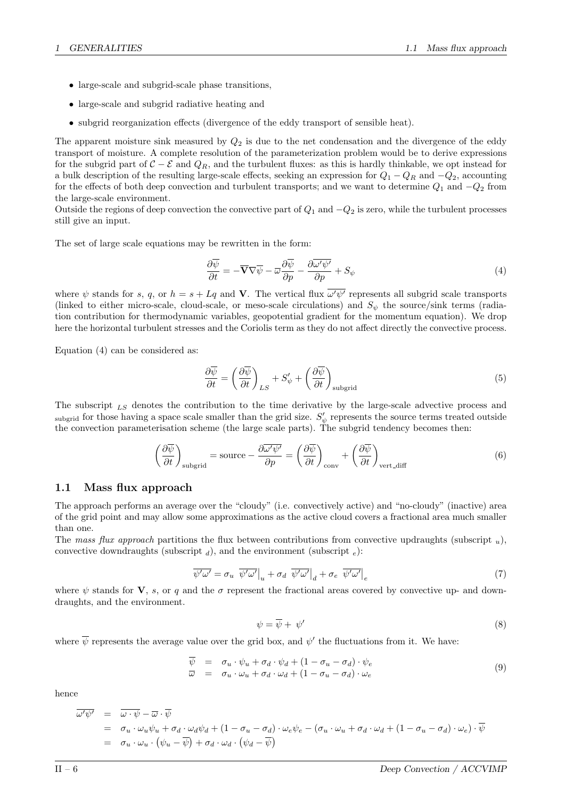- large-scale and subgrid-scale phase transitions,
- large-scale and subgrid radiative heating and
- subgrid reorganization effects (divergence of the eddy transport of sensible heat).

The apparent moisture sink measured by  $Q_2$  is due to the net condensation and the divergence of the eddy transport of moisture. A complete resolution of the parameterization problem would be to derive expressions for the subgrid part of  $C - \mathcal{E}$  and  $Q_R$ , and the turbulent fluxes: as this is hardly thinkable, we opt instead for a bulk description of the resulting large-scale effects, seeking an expression for  $Q_1 - Q_R$  and  $-Q_2$ , accounting for the effects of both deep convection and turbulent transports; and we want to determine  $Q_1$  and  $-Q_2$  from the large-scale environment.

Outside the regions of deep convection the convective part of  $Q_1$  and  $-Q_2$  is zero, while the turbulent processes still give an input.

The set of large scale equations may be rewritten in the form:

$$
\frac{\partial \overline{\psi}}{\partial t} = -\overline{\mathbf{V}}\nabla \overline{\psi} - \overline{\omega} \frac{\partial \overline{\psi}}{\partial p} - \frac{\partial \overline{\omega' \psi'}}{\partial p} + S_{\psi} \tag{4}
$$

where  $\psi$  stands for s, q, or  $h = s + Lq$  and V. The vertical flux  $\overline{\omega'\psi'}$  represents all subgrid scale transports (linked to either micro-scale, cloud-scale, or meso-scale circulations) and  $S_{\psi}$  the source/sink terms (radiation contribution for thermodynamic variables, geopotential gradient for the momentum equation). We drop here the horizontal turbulent stresses and the Coriolis term as they do not affect directly the convective process.

Equation (4) can be considered as:

$$
\frac{\partial \overline{\psi}}{\partial t} = \left(\frac{\partial \overline{\psi}}{\partial t}\right)_{LS} + S'_{\psi} + \left(\frac{\partial \overline{\psi}}{\partial t}\right)_{\text{subgrid}}\tag{5}
$$

The subscript  $_{LS}$  denotes the contribution to the time derivative by the large-scale advective process and subgrid for those having a space scale smaller than the grid size.  $S'_{\psi}$  represents the source terms treated outside the convection parameterisation scheme (the large scale parts). The subgrid tendency becomes then:

$$
\left(\frac{\partial \overline{\psi}}{\partial t}\right)_{\text{subgrid}} = \text{source} - \frac{\partial \overline{\omega' \psi'}}{\partial p} = \left(\frac{\partial \overline{\psi}}{\partial t}\right)_{\text{conv}} + \left(\frac{\partial \overline{\psi}}{\partial t}\right)_{\text{vert\_diff}} \tag{6}
$$

## 1.1 Mass flux approach

The approach performs an average over the "cloudy" (i.e. convectively active) and "no-cloudy" (inactive) area of the grid point and may allow some approximations as the active cloud covers a fractional area much smaller than one.

The mass flux approach partitions the flux between contributions from convective updraughts (subscript  $_u$ ), convective downdraughts (subscript  $_d$ ), and the environment (subscript  $_e$ ):

$$
\overline{\psi'\omega'} = \sigma_u \overline{\psi'\omega'}\big|_u + \sigma_d \overline{\psi'\omega'}\big|_d + \sigma_e \overline{\psi'\omega'}\big|_e \tag{7}
$$

where  $\psi$  stands for V, s, or q and the  $\sigma$  represent the fractional areas covered by convective up- and downdraughts, and the environment.

$$
\psi = \overline{\psi} + \psi' \tag{8}
$$

where  $\overline{\psi}$  represents the average value over the grid box, and  $\psi'$  the fluctuations from it. We have:

$$
\overline{\psi} = \sigma_u \cdot \psi_u + \sigma_d \cdot \psi_d + (1 - \sigma_u - \sigma_d) \cdot \psi_e \n\overline{\omega} = \sigma_u \cdot \omega_u + \sigma_d \cdot \omega_d + (1 - \sigma_u - \sigma_d) \cdot \omega_e
$$
\n(9)

hence

$$
\overline{\omega'\psi'} = \overline{\omega \cdot \psi} - \overline{\omega} \cdot \overline{\psi}
$$
  
=  $\sigma_u \cdot \omega_u \psi_u + \sigma_d \cdot \omega_d \psi_d + (1 - \sigma_u - \sigma_d) \cdot \omega_e \psi_e - (\sigma_u \cdot \omega_u + \sigma_d \cdot \omega_d + (1 - \sigma_u - \sigma_d) \cdot \omega_e) \cdot \overline{\psi}$   
=  $\sigma_u \cdot \omega_u \cdot (\psi_u - \overline{\psi}) + \sigma_d \cdot \omega_d \cdot (\psi_d - \overline{\psi})$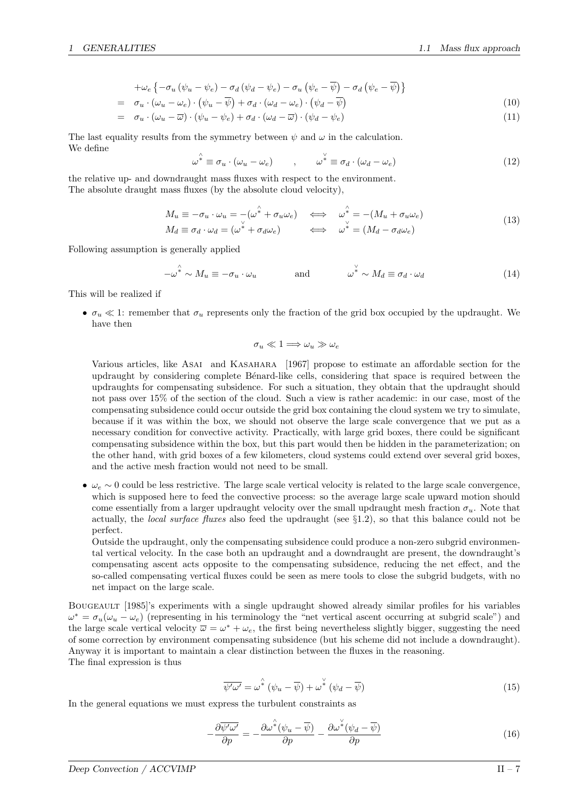$$
+ \omega_e \left\{ - \sigma_u \left( \psi_u - \psi_e \right) - \sigma_d \left( \psi_d - \psi_e \right) - \sigma_u \left( \psi_e - \overline{\psi} \right) - \sigma_d \left( \psi_e - \overline{\psi} \right) \right\}
$$

$$
= \sigma_u \cdot (\omega_u - \omega_e) \cdot (\psi_u - \overline{\psi}) + \sigma_d \cdot (\omega_d - \omega_e) \cdot (\psi_d - \overline{\psi})
$$
\n(10)

$$
= \sigma_u \cdot (\omega_u - \overline{\omega}) \cdot (\psi_u - \psi_e) + \sigma_d \cdot (\omega_d - \overline{\omega}) \cdot (\psi_d - \psi_e) \tag{11}
$$

The last equality results from the symmetry between  $\psi$  and  $\omega$  in the calculation. We define

$$
\omega^{\hat{*}} \equiv \sigma_u \cdot (\omega_u - \omega_e) \qquad , \qquad \omega^{\check{*}} \equiv \sigma_d \cdot (\omega_d - \omega_e) \tag{12}
$$

the relative up- and downdraught mass fluxes with respect to the environment. The absolute draught mass fluxes (by the absolute cloud velocity),

$$
M_u \equiv -\sigma_u \cdot \omega_u = -(\omega^* + \sigma_u \omega_e) \quad \Longleftrightarrow \quad \omega^* = -(M_u + \sigma_u \omega_e) M_d \equiv \sigma_d \cdot \omega_d = (\omega^* + \sigma_d \omega_e) \quad \Longleftrightarrow \quad \omega^* = (M_d - \sigma_d \omega_e)
$$
\n(13)

Following assumption is generally applied

$$
-\omega^* \sim M_u \equiv -\sigma_u \cdot \omega_u \qquad \text{and} \qquad \omega^* \sim M_d \equiv \sigma_d \cdot \omega_d \qquad (14)
$$

This will be realized if

•  $\sigma_u \ll 1$ : remember that  $\sigma_u$  represents only the fraction of the grid box occupied by the updraught. We have then

$$
\sigma_u \ll 1 \Longrightarrow \omega_u \gg \omega_e
$$

Various articles, like Asai and Kasahara [1967] propose to estimate an affordable section for the updraught by considering complete Bénard-like cells, considering that space is required between the updraughts for compensating subsidence. For such a situation, they obtain that the updraught should not pass over 15% of the section of the cloud. Such a view is rather academic: in our case, most of the compensating subsidence could occur outside the grid box containing the cloud system we try to simulate, because if it was within the box, we should not observe the large scale convergence that we put as a necessary condition for convective activity. Practically, with large grid boxes, there could be significant compensating subsidence within the box, but this part would then be hidden in the parameterization; on the other hand, with grid boxes of a few kilometers, cloud systems could extend over several grid boxes, and the active mesh fraction would not need to be small.

•  $\omega_e \sim 0$  could be less restrictive. The large scale vertical velocity is related to the large scale convergence, which is supposed here to feed the convective process: so the average large scale upward motion should come essentially from a larger updraught velocity over the small updraught mesh fraction  $\sigma_u$ . Note that actually, the *local surface fluxes* also feed the updraught (see  $\S1.2$ ), so that this balance could not be perfect.

Outside the updraught, only the compensating subsidence could produce a non-zero subgrid environmental vertical velocity. In the case both an updraught and a downdraught are present, the downdraught's compensating ascent acts opposite to the compensating subsidence, reducing the net effect, and the so-called compensating vertical fluxes could be seen as mere tools to close the subgrid budgets, with no net impact on the large scale.

BOUGEAULT [1985]'s experiments with a single updraught showed already similar profiles for his variables  $\omega^* = \sigma_u(\omega_u - \omega_e)$  (representing in his terminology the "net vertical ascent occurring at subgrid scale") and the large scale vertical velocity  $\overline{\omega} = \omega^* + \omega_e$ , the first being nevertheless slightly bigger, suggesting the need of some correction by environment compensating subsidence (but his scheme did not include a downdraught). Anyway it is important to maintain a clear distinction between the fluxes in the reasoning. The final expression is thus

$$
\overline{\psi'\omega'} = \omega^{\hat{*}} (\psi_u - \overline{\psi}) + \omega^{\check{*}} (\psi_d - \overline{\psi})
$$
\n(15)

In the general equations we must express the turbulent constraints as

$$
-\frac{\partial \overline{\psi'\omega'}}{\partial p} = -\frac{\partial \omega^{\hat{*}}(\psi_u - \overline{\psi})}{\partial p} - \frac{\partial \omega^{\check{*}}(\psi_d - \overline{\psi})}{\partial p} \tag{16}
$$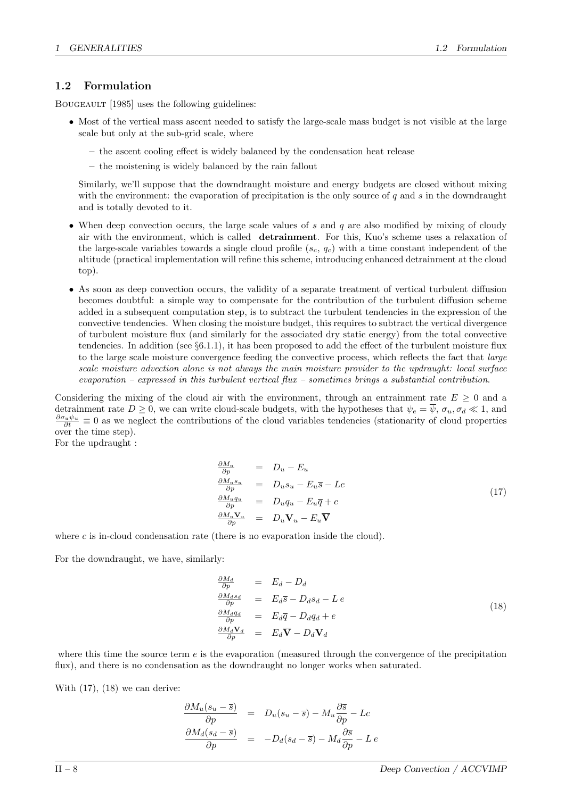## 1.2 Formulation

BOUGEAULT [1985] uses the following guidelines:

- Most of the vertical mass ascent needed to satisfy the large-scale mass budget is not visible at the large scale but only at the sub-grid scale, where
	- the ascent cooling effect is widely balanced by the condensation heat release
	- the moistening is widely balanced by the rain fallout

Similarly, we'll suppose that the downdraught moisture and energy budgets are closed without mixing with the environment: the evaporation of precipitation is the only source of  $q$  and  $s$  in the downdraught and is totally devoted to it.

- When deep convection occurs, the large scale values of s and q are also modified by mixing of cloudy air with the environment, which is called detrainment. For this, Kuo's scheme uses a relaxation of the large-scale variables towards a single cloud profile  $(s_c, q_c)$  with a time constant independent of the altitude (practical implementation will refine this scheme, introducing enhanced detrainment at the cloud top).
- As soon as deep convection occurs, the validity of a separate treatment of vertical turbulent diffusion becomes doubtful: a simple way to compensate for the contribution of the turbulent diffusion scheme added in a subsequent computation step, is to subtract the turbulent tendencies in the expression of the convective tendencies. When closing the moisture budget, this requires to subtract the vertical divergence of turbulent moisture flux (and similarly for the associated dry static energy) from the total convective tendencies. In addition (see  $\S6.1.1$ ), it has been proposed to add the effect of the turbulent moisture flux to the large scale moisture convergence feeding the convective process, which reflects the fact that large scale moisture advection alone is not always the main moisture provider to the updraught: local surface evaporation – expressed in this turbulent vertical flux – sometimes brings a substantial contribution.

Considering the mixing of the cloud air with the environment, through an entrainment rate  $E \geq 0$  and a detrainment rate  $D \geq 0$ , we can write cloud-scale budgets, with the hypotheses that  $\psi_e = \overline{\psi}, \sigma_u, \sigma_d \ll 1$ , and  $\frac{\partial \sigma_u \psi_u}{\partial t} \equiv 0$  as we neglect the contributions of the cloud variables tendencies (stationarity of cloud properties over the time step).

For the updraught :

$$
\begin{array}{rcl}\n\frac{\partial M_u}{\partial p} & = & D_u - E_u \\
\frac{\partial M_u s_u}{\partial p} & = & D_u s_u - E_u \overline{s} - Lc \\
\frac{\partial M_u q_u}{\partial p} & = & D_u q_u - E_u \overline{q} + c \\
\frac{\partial M_u \mathbf{V}_u}{\partial p} & = & D_u \mathbf{V}_u - E_u \overline{\mathbf{V}}\n\end{array} \tag{17}
$$

where  $c$  is in-cloud condensation rate (there is no evaporation inside the cloud).

For the downdraught, we have, similarly:

$$
\frac{\partial M_d}{\partial p} = E_d - D_d
$$
\n
$$
\frac{\partial M_d s_d}{\partial p} = E_d \overline{s} - D_d s_d - L e
$$
\n
$$
\frac{\partial M_d q_d}{\partial p} = E_d \overline{q} - D_d q_d + e
$$
\n
$$
\frac{\partial M_d \mathbf{V}_d}{\partial p} = E_d \overline{\mathbf{V}} - D_d \mathbf{V}_d
$$
\n(18)

where this time the source term  $e$  is the evaporation (measured through the convergence of the precipitation flux), and there is no condensation as the downdraught no longer works when saturated.

With  $(17)$ ,  $(18)$  we can derive:

$$
\frac{\partial M_u(s_u - \overline{s})}{\partial p} = D_u(s_u - \overline{s}) - M_u \frac{\partial \overline{s}}{\partial p} - Lc
$$
  

$$
\frac{\partial M_d(s_d - \overline{s})}{\partial p} = -D_d(s_d - \overline{s}) - M_d \frac{\partial \overline{s}}{\partial p} - L e
$$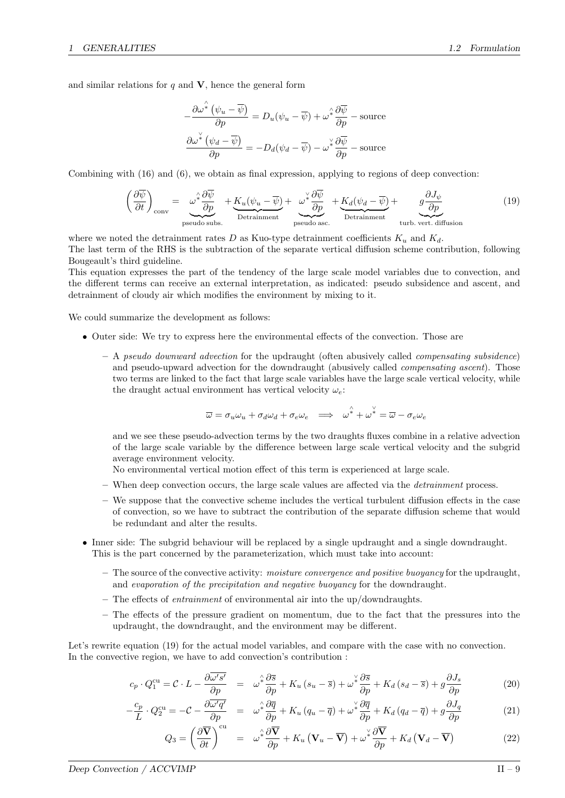and similar relations for  $q$  and  $V$ , hence the general form

$$
-\frac{\partial \omega^{\hat{*}}(\psi_u - \overline{\psi})}{\partial p} = D_u(\psi_u - \overline{\psi}) + \omega^{\hat{*}} \frac{\partial \overline{\psi}}{\partial p} - \text{source}
$$

$$
\frac{\partial \omega^{\check{*}}(\psi_d - \overline{\psi})}{\partial p} = -D_d(\psi_d - \overline{\psi}) - \omega^{\check{*}} \frac{\partial \overline{\psi}}{\partial p} - \text{source}
$$

Combining with (16) and (6), we obtain as final expression, applying to regions of deep convection:

$$
\left(\frac{\partial \overline{\psi}}{\partial t}\right)_{\text{conv}} = \underbrace{\omega^* \frac{\partial \overline{\psi}}{\partial p}}_{\text{pseudo subs.}} + \underbrace{K_u(\psi_u - \overline{\psi})}_{\text{Detraimment}} + \underbrace{\omega^* \frac{\partial \overline{\psi}}{\partial p}}_{\text{pseudo asc.}} + \underbrace{K_d(\psi_d - \overline{\psi})}_{\text{Detraimment}} + \underbrace{g \frac{\partial J_{\psi}}{\partial p}}_{\text{turb. vert. diffusion}}
$$
(19)

where we noted the detrainment rates D as Kuo-type detrainment coefficients  $K_u$  and  $K_d$ . The last term of the RHS is the subtraction of the separate vertical diffusion scheme contribution, following Bougeault's third guideline.

This equation expresses the part of the tendency of the large scale model variables due to convection, and the different terms can receive an external interpretation, as indicated: pseudo subsidence and ascent, and detrainment of cloudy air which modifies the environment by mixing to it.

We could summarize the development as follows:

- Outer side: We try to express here the environmental effects of the convection. Those are
	- $A$  pseudo downward advection for the updraught (often abusively called *compensating subsidence*) and pseudo-upward advection for the downdraught (abusively called *compensating ascent*). Those two terms are linked to the fact that large scale variables have the large scale vertical velocity, while the draught actual environment has vertical velocity  $\omega_e$ .

$$
\overline{\omega} = \sigma_u \omega_u + \sigma_d \omega_d + \sigma_e \omega_e \implies \omega^* + \omega^* = \overline{\omega} - \sigma_e \omega_e
$$

and we see these pseudo-advection terms by the two draughts fluxes combine in a relative advection of the large scale variable by the difference between large scale vertical velocity and the subgrid average environment velocity.

No environmental vertical motion effect of this term is experienced at large scale.

- When deep convection occurs, the large scale values are affected via the detrainment process.
- We suppose that the convective scheme includes the vertical turbulent diffusion effects in the case of convection, so we have to subtract the contribution of the separate diffusion scheme that would be redundant and alter the results.
- Inner side: The subgrid behaviour will be replaced by a single updraught and a single downdraught. This is the part concerned by the parameterization, which must take into account:
	- $-$  The source of the convective activity: *moisture convergence and positive buoyancy* for the updraught, and evaporation of the precipitation and negative buoyancy for the downdraught.
	- The effects of *entrainment* of environmental air into the up/downdraughts.
	- The effects of the pressure gradient on momentum, due to the fact that the pressures into the updraught, the downdraught, and the environment may be different.

Let's rewrite equation (19) for the actual model variables, and compare with the case with no convection. In the convective region, we have to add convection's contribution :

$$
c_p \cdot Q_1^{\text{cu}} = \mathcal{C} \cdot L - \frac{\partial \overline{\omega's'}}{\partial p} = \omega^{\hat{*}} \frac{\partial \overline{s}}{\partial p} + K_u (s_u - \overline{s}) + \omega^{\hat{*}} \frac{\partial \overline{s}}{\partial p} + K_d (s_d - \overline{s}) + g \frac{\partial J_s}{\partial p}
$$
(20)

$$
-\frac{c_p}{L} \cdot Q_2^{\text{cu}} = -\mathcal{C} - \frac{\partial \overline{\omega'} q'}{\partial p} = \omega^{\hat{i}} \frac{\partial \overline{q}}{\partial p} + K_u (q_u - \overline{q}) + \omega^{\hat{i}} \frac{\partial \overline{q}}{\partial p} + K_d (q_d - \overline{q}) + g \frac{\partial J_q}{\partial p}
$$
(21)

$$
Q_3 = \left(\frac{\partial \overline{\mathbf{V}}}{\partial t}\right)^{\text{cu}} = \omega^2 \frac{\partial \overline{\mathbf{V}}}{\partial p} + K_u \left(\mathbf{V}_u - \overline{\mathbf{V}}\right) + \omega^2 \frac{\partial \overline{\mathbf{V}}}{\partial p} + K_d \left(\mathbf{V}_d - \overline{\mathbf{V}}\right)
$$
(22)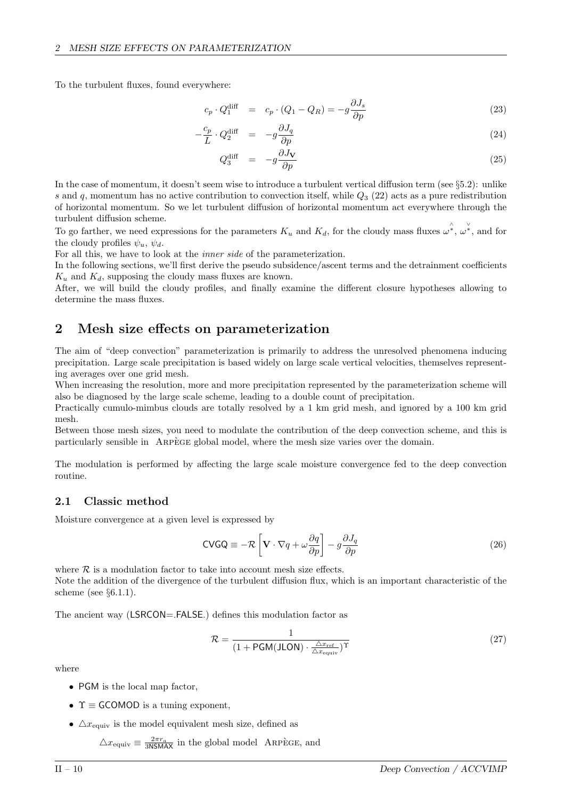To the turbulent fluxes, found everywhere:

$$
c_p \cdot Q_1^{\text{diff}} = c_p \cdot (Q_1 - Q_R) = -g \frac{\partial J_s}{\partial p}
$$
 (23)

$$
-\frac{c_p}{L} \cdot Q_2^{\text{diff}} = -g \frac{\partial J_q}{\partial p} \tag{24}
$$

$$
Q_3^{\text{diff}} = -g \frac{\partial J_{\mathbf{V}}}{\partial p} \tag{25}
$$

In the case of momentum, it doesn't seem wise to introduce a turbulent vertical diffusion term (see §5.2): unlike s and q, momentum has no active contribution to convection itself, while  $Q_3$  (22) acts as a pure redistribution of horizontal momentum. So we let turbulent diffusion of horizontal momentum act everywhere through the turbulent diffusion scheme.

To go farther, we need expressions for the parameters  $K_u$  and  $K_d$ , for the cloudy mass fluxes  $\omega^{\hat{*}}$ ,  $\omega^{\check{*}}$ , and for the cloudy profiles  $\psi_u$ ,  $\psi_d$ .

For all this, we have to look at the inner side of the parameterization.

In the following sections, we'll first derive the pseudo subsidence/ascent terms and the detrainment coefficients  $K_u$  and  $K_d$ , supposing the cloudy mass fluxes are known.

After, we will build the cloudy profiles, and finally examine the different closure hypotheses allowing to determine the mass fluxes.

## 2 Mesh size effects on parameterization

The aim of "deep convection" parameterization is primarily to address the unresolved phenomena inducing precipitation. Large scale precipitation is based widely on large scale vertical velocities, themselves representing averages over one grid mesh.

When increasing the resolution, more and more precipitation represented by the parameterization scheme will also be diagnosed by the large scale scheme, leading to a double count of precipitation.

Practically cumulo-mimbus clouds are totally resolved by a 1 km grid mesh, and ignored by a 100 km grid mesh.

Between those mesh sizes, you need to modulate the contribution of the deep convection scheme, and this is particularly sensible in ARPEGE global model, where the mesh size varies over the domain.

The modulation is performed by affecting the large scale moisture convergence fed to the deep convection routine.

## 2.1 Classic method

Moisture convergence at a given level is expressed by

$$
\text{CVGQ} \equiv -\mathcal{R} \left[ \mathbf{V} \cdot \nabla q + \omega \frac{\partial q}{\partial p} \right] - g \frac{\partial J_q}{\partial p} \tag{26}
$$

where  $R$  is a modulation factor to take into account mesh size effects. Note the addition of the divergence of the turbulent diffusion flux, which is an important characteristic of the scheme (see  $\S 6.1.1$ ).

The ancient way (LSRCON=.FALSE.) defines this modulation factor as

$$
\mathcal{R} = \frac{1}{(1 + \text{PGM(JLON)} \cdot \frac{\Delta x_{\text{ref}}}{\Delta x_{\text{equiv}}})^{\Upsilon}}
$$
(27)

where

- PGM is the local map factor,
- $\Upsilon \equiv$  GCOMOD is a tuning exponent,
- $\Delta x_{\text{equiv}}$  is the model equivalent mesh size, defined as

 $\triangle x_{\text{equiv}} \equiv \frac{2\pi r_a}{3\text{NSMAX}}$  in the global model ARPÈGE, and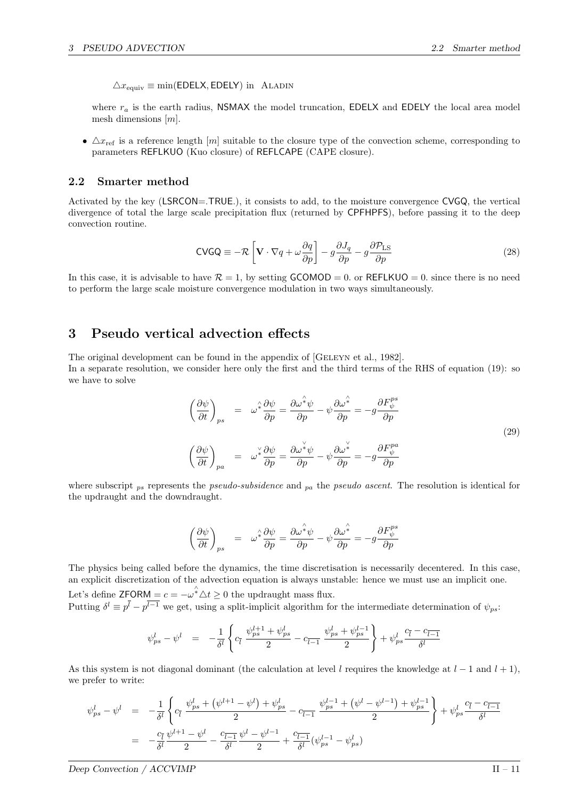$\triangle x_{\text{equiv}} \equiv \min(\text{EDELX}, \text{EDELY})$  in ALADIN

where  $r_a$  is the earth radius, NSMAX the model truncation, EDELX and EDELY the local area model mesh dimensions  $[m]$ .

•  $\Delta x_{\text{ref}}$  is a reference length [m] suitable to the closure type of the convection scheme, corresponding to parameters REFLKUO (Kuo closure) of REFLCAPE (CAPE closure).

## 2.2 Smarter method

Activated by the key (LSRCON=.TRUE.), it consists to add, to the moisture convergence CVGQ, the vertical divergence of total the large scale precipitation flux (returned by CPFHPFS), before passing it to the deep convection routine.

$$
\text{CVGQ} \equiv -\mathcal{R} \left[ \mathbf{V} \cdot \nabla q + \omega \frac{\partial q}{\partial p} \right] - g \frac{\partial J_q}{\partial p} - g \frac{\partial \mathcal{P}_{\text{LS}}}{\partial p} \tag{28}
$$

In this case, it is advisable to have  $\mathcal{R} = 1$ , by setting GCOMOD = 0. or REFLKUO = 0. since there is no need to perform the large scale moisture convergence modulation in two ways simultaneously.

## 3 Pseudo vertical advection effects

The original development can be found in the appendix of [GELEYN et al., 1982]. In a separate resolution, we consider here only the first and the third terms of the RHS of equation (19): so we have to solve

$$
\left(\frac{\partial\psi}{\partial t}\right)_{ps} = \omega^{\hat{*}}\frac{\partial\psi}{\partial p} = \frac{\partial\omega^{\hat{*}}\psi}{\partial p} - \psi\frac{\partial\omega^{\hat{*}}}{\partial p} = -g\frac{\partial F_{\psi}^{ps}}{\partial p}
$$
\n
$$
\left(\frac{\partial\psi}{\partial t}\right)_{pa} = \omega^{\check{*}}\frac{\partial\psi}{\partial p} = \frac{\partial\omega^{\check{*}}\psi}{\partial p} - \psi\frac{\partial\omega^{\check{*}}}{\partial p} = -g\frac{\partial F_{\psi}^{pa}}{\partial p}
$$
\n(29)

where subscript  $_{ps}$  represents the *pseudo-subsidence* and  $_{pa}$  the *pseudo ascent*. The resolution is identical for the updraught and the downdraught.

$$
\left(\frac{\partial \psi}{\partial t}\right)_{ps} = \omega^{\hat{*}} \frac{\partial \psi}{\partial p} = \frac{\partial \omega^{\hat{*}} \psi}{\partial p} - \psi \frac{\partial \omega^{\hat{*}}}{\partial p} = -g \frac{\partial F^{ps}_{\psi}}{\partial p}
$$

The physics being called before the dynamics, the time discretisation is necessarily decentered. In this case, an explicit discretization of the advection equation is always unstable: hence we must use an implicit one. Let's define  $\mathsf{ZFORM} = c = -\omega^* \Delta t \geq 0$  the updraught mass flux. Putting  $\delta^l \equiv p^l - p^{l-1}$  we get, using a split-implicit algorithm for the intermediate determination of  $\psi_{ps}$ .

$$
\psi^l_{ps} \, - \, \psi^l \quad = \quad - \frac{1}{\delta^l} \left\{ c_{\bar l} \,\, \frac{\psi^{l+1}_{ps} + \psi^l_{ps}}{2} - c_{\bar l-1} \,\, \frac{\psi^l_{ps} + \psi^{l-1}_{ps}}{2} \right\} + \psi^l_{ps} \frac{c_{\bar l} - c_{\bar l - 1}}{\delta^l}
$$

As this system is not diagonal dominant (the calculation at level l requires the knowledge at  $l-1$  and  $l+1$ ), we prefer to write:

$$
\psi_{ps}^{l} - \psi^{l} = -\frac{1}{\delta^{l}} \left\{ c_{\bar{l}} \frac{\psi_{ps}^{l} + (\psi^{l+1} - \psi^{l}) + \psi_{ps}^{l}}{2} - c_{\bar{l}-1} \frac{\psi_{ps}^{l-1} + (\psi^{l} - \psi^{l-1}) + \psi_{ps}^{l-1}}{2} \right\} + \psi_{ps}^{l} \frac{c_{\bar{l}} - c_{\bar{l}-1}}{\delta^{l}}
$$
\n
$$
= -\frac{c_{\bar{l}}}{\delta^{l}} \frac{\psi^{l+1} - \psi^{l}}{2} - \frac{c_{\bar{l}-1}}{\delta^{l}} \frac{\psi^{l} - \psi^{l-1}}{2} + \frac{c_{\bar{l}-1}}{\delta^{l}} (\psi_{ps}^{l-1} - \psi_{ps}^{l})
$$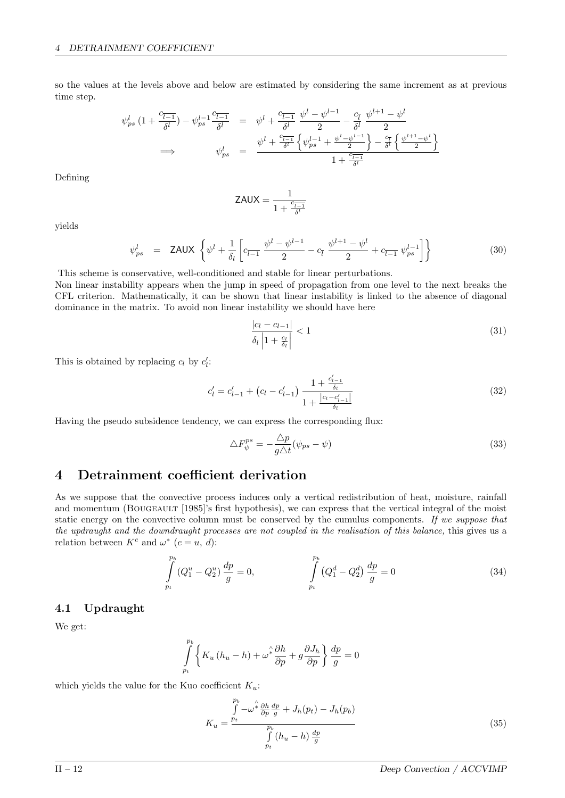so the values at the levels above and below are estimated by considering the same increment as at previous time step.

$$
\psi_{ps}^{l} (1 + \frac{c_{\overline{l-1}}}{\delta^{l}}) - \psi_{ps}^{l-1} \frac{c_{\overline{l-1}}}{\delta^{l}} = \psi^{l} + \frac{c_{\overline{l-1}}}{\delta^{l}} \frac{\psi^{l} - \psi^{l-1}}{2} - \frac{c_{\overline{l}}}{\delta^{l}} \frac{\psi^{l+1} - \psi^{l}}{2}
$$
\n
$$
\implies \qquad \psi_{ps}^{l} = \frac{\psi^{l} + \frac{c_{\overline{l-1}}}{\delta^{l}} \left\{ \psi_{ps}^{l-1} + \frac{\psi^{l} - \psi^{l-1}}{2} \right\} - \frac{c_{\overline{l}}}{\delta^{l}} \left\{ \frac{\psi^{l+1} - \psi^{l}}{2} \right\}}{1 + \frac{c_{\overline{l-1}}}{\delta^{l}}}
$$

Defining

$$
\text{ZAUX} = \frac{1}{1 + \frac{c_{\overline{l-1}}}{\delta^l}}
$$

yields

$$
\psi_{ps}^{l} = \text{ZAUX} \left\{ \psi^{l} + \frac{1}{\delta_{l}} \left[ c_{\overline{l-1}} \frac{\psi^{l} - \psi^{l-1}}{2} - c_{\overline{l}} \frac{\psi^{l+1} - \psi^{l}}{2} + c_{\overline{l-1}} \psi_{ps}^{l-1} \right] \right\}
$$
(30)

This scheme is conservative, well-conditioned and stable for linear perturbations.

Non linear instability appears when the jump in speed of propagation from one level to the next breaks the CFL criterion. Mathematically, it can be shown that linear instability is linked to the absence of diagonal dominance in the matrix. To avoid non linear instability we should have here

$$
\frac{|c_l - c_{l-1}|}{\delta_l \left| 1 + \frac{c_l}{\delta_l} \right|} < 1\tag{31}
$$

This is obtained by replacing  $c_l$  by  $c'_l$ :

$$
c'_{l} = c'_{l-1} + (c_{l} - c'_{l-1}) \frac{1 + \frac{c'_{l-1}}{\delta_{l}}}{1 + \frac{|c_{l} - c'_{l-1}|}{\delta_{l}}}
$$
(32)

Having the pseudo subsidence tendency, we can express the corresponding flux:

$$
\Delta F_{\psi}^{ps} = -\frac{\Delta p}{g\Delta t}(\psi_{ps} - \psi) \tag{33}
$$

## 4 Detrainment coefficient derivation

As we suppose that the convective process induces only a vertical redistribution of heat, moisture, rainfall and momentum (BOUGEAULT [1985]'s first hypothesis), we can express that the vertical integral of the moist static energy on the convective column must be conserved by the cumulus components. If we suppose that the updraught and the downdraught processes are not coupled in the realisation of this balance, this gives us a relation between  $K^c$  and  $\omega^*$   $(c = u, d)$ :

$$
\int_{p_t}^{p_b} (Q_1^u - Q_2^u) \frac{dp}{g} = 0, \qquad \qquad \int_{p_t}^{p_b} (Q_1^d - Q_2^d) \frac{dp}{g} = 0 \qquad (34)
$$

## 4.1 Updraught

We get:

$$
\int_{p_t}^{p_b} \left\{ K_u \left( h_u - h \right) + \omega^{\hat{\star}} \frac{\partial h}{\partial p} + g \frac{\partial J_h}{\partial p} \right\} \frac{dp}{g} = 0
$$

which yields the value for the Kuo coefficient  $K_u$ :

$$
K_u = \frac{\int\limits_{p_t}^{p_b} -\omega^2 \frac{\partial h}{\partial p} \frac{dp}{g} + J_h(p_t) - J_h(p_b)}{\int\limits_{p_t}^{p_b} (h_u - h) \frac{dp}{g}}
$$
(35)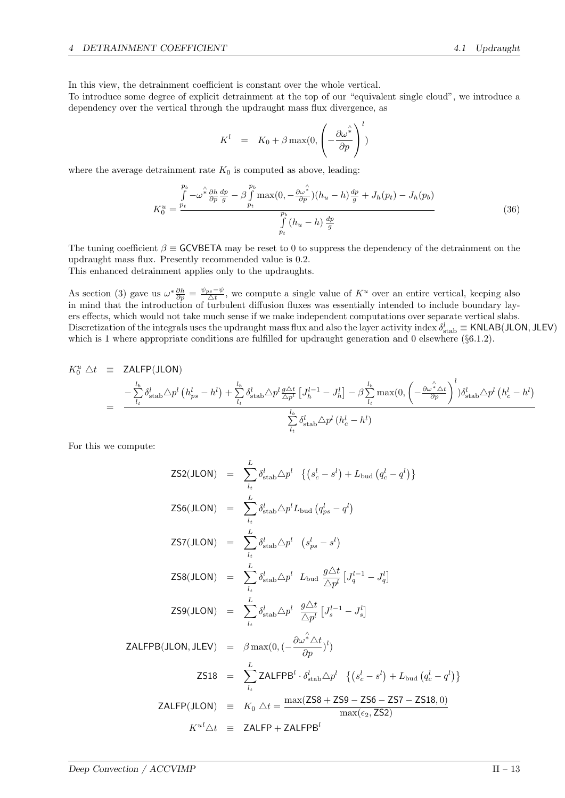In this view, the detrainment coefficient is constant over the whole vertical.

To introduce some degree of explicit detrainment at the top of our "equivalent single cloud", we introduce a dependency over the vertical through the updraught mass flux divergence, as

$$
K^{l} = K_{0} + \beta \max(0, \left(-\frac{\partial \omega^{\hat{\lambda}}}{\partial p}\right)^{l})
$$

where the average detrainment rate  $K_0$  is computed as above, leading:

$$
K_0^u = \frac{\int\limits_{p_t}^{p_b} -\omega^{\hat{\lambda}} \frac{\partial h}{\partial p} \frac{dp}{g} - \beta \int\limits_{p_t}^{p_b} \max(0, -\frac{\partial \omega^{\hat{\lambda}}}{\partial p})(h_u - h) \frac{dp}{g} + J_h(p_t) - J_h(p_b) \frac{f}{g}}{\int\limits_{p_t}^{p_b} (h_u - h) \frac{dp}{g}}
$$
(36)

The tuning coefficient  $\beta \equiv$  GCVBETA may be reset to 0 to suppress the dependency of the detrainment on the updraught mass flux. Presently recommended value is 0.2. This enhanced detrainment applies only to the updraughts.

As section (3) gave us  $\omega^* \frac{\partial h}{\partial p} = \frac{\psi_{ps} - \psi}{\Delta t}$ , we compute a single value of  $K^u$  over an entire vertical, keeping also in mind that the introduction of turbulent diffusion fluxes was essentially intended to include boundary layers effects, which would not take much sense if we make independent computations over separate vertical slabs. Discretization of the integrals uses the updraught mass flux and also the layer activity index  $\delta_{stab}^l \equiv$  KNLAB(JLON, JLEV) which is 1 where appropriate conditions are fulfilled for updraught generation and 0 elsewhere (§6.1.2).

$$
K_0^u \triangle t \equiv \text{ZALFP(JLON)}
$$
  
= 
$$
\frac{-\sum_{l_b}^{l_b} \delta_{\text{stab}}^l \triangle p^l (h_{ps}^l - h^l) + \sum_{l_t}^{l_b} \delta_{\text{stab}}^l \triangle p^l \frac{g \triangle t}{\triangle p^l} [J_h^{l-1} - J_h^l] - \beta \sum_{l_t}^{l_b} \max(0, \left(-\frac{\partial \omega^* \triangle t}{\partial p}\right)^l) \delta_{\text{stab}}^l \triangle p^l (h_c^l - h^l)
$$
  
= 
$$
\frac{\sum_{l_t}^{l_b} \delta_{\text{stab}}^l \triangle p^l (h_c^l - h^l)}{\sum_{l_t}^{l_b} \delta_{\text{stab}}^l \triangle p^l (h_c^l - h^l)}
$$

L

For this we compute:

$$
ZS2(JLON) = \sum_{l_t}^{L} \delta_{stab}^{l} \Delta p^{l} \{ (s_c^{l} - s^{l}) + L_{bud} (q_c^{l} - q^{l}) \}
$$
  
\n
$$
ZS6(JLON) = \sum_{l_t}^{L} \delta_{stab}^{l} \Delta p^{l} L_{bud} (q_{ps}^{l} - q^{l})
$$
  
\n
$$
ZS7(JLON) = \sum_{l_t}^{L} \delta_{stab}^{l} \Delta p^{l} (s_{ps}^{l} - s^{l})
$$
  
\n
$$
ZS8(JLON) = \sum_{l_t}^{L} \delta_{stab}^{l} \Delta p^{l} L_{bud} \frac{g \Delta t}{\Delta p^{l}} [J_q^{l-1} - J_q^{l}]
$$
  
\n
$$
ZS9(JLON) = \sum_{l_t}^{L} \delta_{stab}^{l} \Delta p^{l} \frac{g \Delta t}{\Delta p^{l}} [J_s^{l-1} - J_s^{l}]
$$
  
\n
$$
ZALFPB(JLON, JLEV) = \beta \max(0, (-\frac{\partial \omega^2 \Delta t}{\partial p})^{l})
$$
  
\n
$$
ZS18 = \sum_{l_t}^{L} ZALFPB^{l} \cdot \delta_{stab}^{l} \Delta p^{l} \{ (s_c^{l} - s^{l}) + L_{bud} (q_c^{l} - q^{l}) \}
$$
  
\n
$$
ZALFP(JLON) = K_0 \Delta t = \frac{\max(ZS8 + ZS9 - ZS6 - ZS7 - ZS18, 0)}{\max(\epsilon_2, ZS2)}
$$
  
\n
$$
K^{ul} \Delta t = ZALFP + ZALFPB^{l}
$$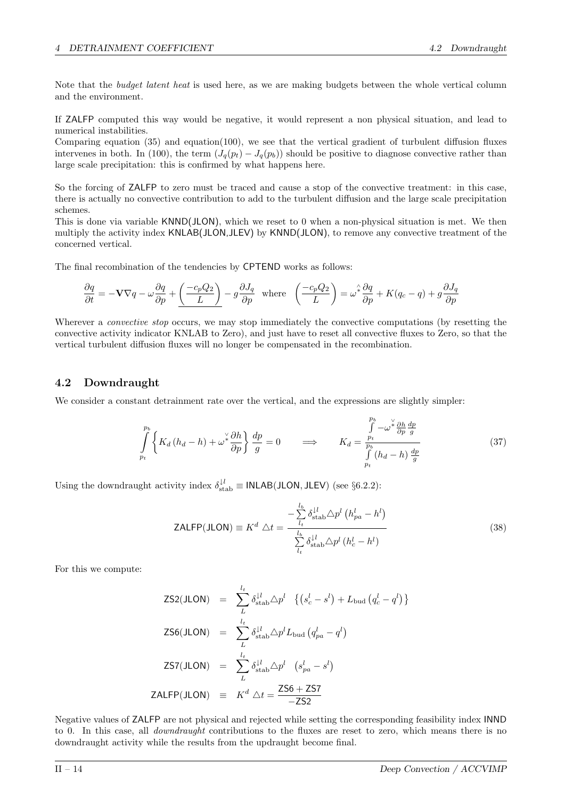Note that the *budget latent heat* is used here, as we are making budgets between the whole vertical column and the environment.

If ZALFP computed this way would be negative, it would represent a non physical situation, and lead to numerical instabilities.

Comparing equation (35) and equation(100), we see that the vertical gradient of turbulent diffusion fluxes intervenes in both. In (100), the term  $(J_q(p_t) - J_q(p_b))$  should be positive to diagnose convective rather than large scale precipitation: this is confirmed by what happens here.

So the forcing of ZALFP to zero must be traced and cause a stop of the convective treatment: in this case, there is actually no convective contribution to add to the turbulent diffusion and the large scale precipitation schemes.

This is done via variable KNND(JLON), which we reset to 0 when a non-physical situation is met. We then multiply the activity index KNLAB(JLON,JLEV) by KNND(JLON), to remove any convective treatment of the concerned vertical.

The final recombination of the tendencies by CPTEND works as follows:

$$
\frac{\partial q}{\partial t}=-{\bf V}\nabla q-\omega\frac{\partial q}{\partial p}+\underline{\left(\frac{-c_pQ_2}{L}\right)}-g\frac{\partial J_q}{\partial p}~~{\rm where}~~\left(\frac{-c_pQ_2}{L}\right)=\omega^{\hat{*}}\frac{\partial q}{\partial p}+K(q_c-q)+g\frac{\partial J_q}{\partial p}
$$

Wherever a *convective stop* occurs, we may stop immediately the convective computations (by resetting the convective activity indicator KNLAB to Zero), and just have to reset all convective fluxes to Zero, so that the vertical turbulent diffusion fluxes will no longer be compensated in the recombination.

## 4.2 Downdraught

We consider a constant detrainment rate over the vertical, and the expressions are slightly simpler:

$$
\int_{p_t}^{p_b} \left\{ K_d \left( h_d - h \right) + \omega^{\frac{\vee}{2}} \frac{\partial h}{\partial p} \right\} \frac{dp}{g} = 0 \qquad \Longrightarrow \qquad K_d = \frac{\int_{p_t}^{p_b} -\omega^{\frac{\vee}{2}} \frac{\partial h}{\partial p} \frac{dp}{g}}{\int_{p_t}^{p_b} \left( h_d - h \right) \frac{dp}{g}}
$$
\n
$$
(37)
$$

Using the downdraught activity index  $\delta_{\text{stab}}^{l,l} \equiv \text{INLAB(JLON, JLEV)}$  (see §6.2.2):

$$
\text{ZALFP(JLON)} \equiv K^d \triangle t = -\frac{\sum_{l_t}^{l_b} \delta_{\text{stab}}^{l_l} \triangle p^l \left( h_{pa}^l - h^l \right)}{\sum_{l_t}^{l_b} \delta_{\text{stab}}^{l_l} \triangle p^l \left( h_c^l - h^l \right)}
$$
(38)

For this we compute:

$$
\begin{aligned}\n\text{ZS2(JLON)} &= \sum_{L}^{l_t} \delta_{\text{stab}}^{l,l} \Delta p^l \quad \left\{ \left( s_c^l - s^l \right) + L_{\text{bud}} \left( q_c^l - q^l \right) \right\} \\
\text{ZS6(JLON)} &= \sum_{L}^{l_t} \delta_{\text{stab}}^{l,l} \Delta p^l L_{\text{bud}} \left( q_{pa}^l - q^l \right) \\
\text{ZS7(JLON)} &= \sum_{L}^{l_t} \delta_{\text{stab}}^{l,l} \Delta p^l \quad \left( s_{pa}^l - s^l \right) \\
\text{ZALFP(JLON)} &= K^d \Delta t = \frac{\text{ZS6} + \text{ZS7}}{-\text{ZS2}}\n\end{aligned}
$$

Negative values of ZALFP are not physical and rejected while setting the corresponding feasibility index INND to 0. In this case, all *downdraught* contributions to the fluxes are reset to zero, which means there is no downdraught activity while the results from the updraught become final.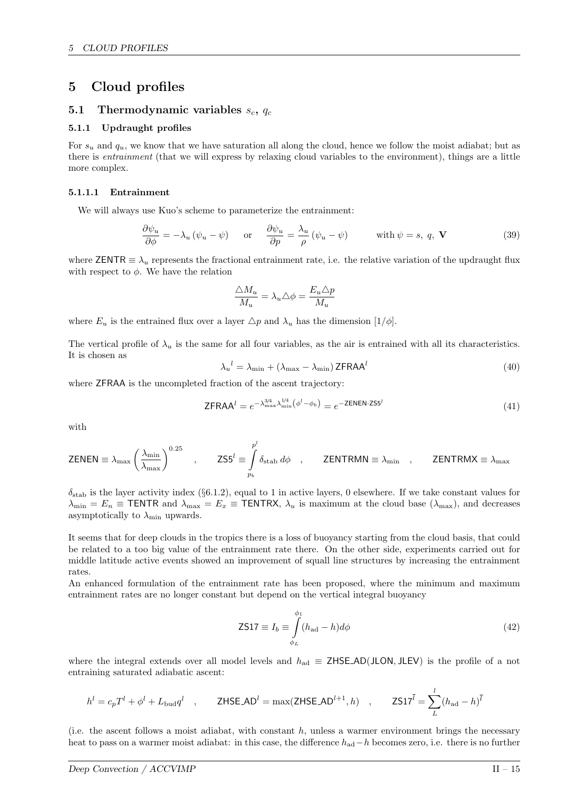## 5 Cloud profiles

## 5.1 Thermodynamic variables  $s_c$ ,  $q_c$

### 5.1.1 Updraught profiles

For  $s_u$  and  $q_u$ , we know that we have saturation all along the cloud, hence we follow the moist adiabat; but as there is entrainment (that we will express by relaxing cloud variables to the environment), things are a little more complex.

## 5.1.1.1 Entrainment

We will always use Kuo's scheme to parameterize the entrainment:

$$
\frac{\partial \psi_u}{\partial \phi} = -\lambda_u \left( \psi_u - \psi \right) \quad \text{or} \quad \frac{\partial \psi_u}{\partial p} = \frac{\lambda_u}{\rho} \left( \psi_u - \psi \right) \quad \text{with } \psi = s, q, \mathbf{V} \tag{39}
$$

where ZENTR  $\equiv \lambda_u$  represents the fractional entrainment rate, i.e. the relative variation of the updraught flux with respect to  $\phi$ . We have the relation

$$
\frac{\triangle M_u}{M_u} = \lambda_u \triangle \phi = \frac{E_u \triangle p}{M_u}
$$

where  $E_u$  is the entrained flux over a layer  $\triangle p$  and  $\lambda_u$  has the dimension  $[1/\phi]$ .

The vertical profile of  $\lambda_u$  is the same for all four variables, as the air is entrained with all its characteristics. It is chosen as

$$
\lambda_u^{\ l} = \lambda_{\min} + (\lambda_{\max} - \lambda_{\min}) \, \text{ZFRAA}^l \tag{40}
$$

where ZFRAA is the uncompleted fraction of the ascent trajectory:

$$
\mathsf{ZFRAA}^l = e^{-\lambda_{\max}^{3/4} \lambda_{\min}^{1/4} \left(\phi^l - \phi_b\right)} = e^{-\mathsf{ZENEN}\cdot\mathsf{ZS5}^l} \tag{41}
$$

with

$$
\text{ZENEN} \equiv \lambda_{\text{max}} \left( \frac{\lambda_{\text{min}}}{\lambda_{\text{max}}} \right)^{0.25} \quad , \qquad \text{ZS5}^l \equiv \int\limits_{p_b}^{p^l} \delta_{\text{stab}} \, d\phi \quad , \qquad \text{ZENTRMN} \equiv \lambda_{\text{min}} \quad , \qquad \text{ZENTRMX} \equiv \lambda_{\text{max}}
$$

 $\delta_{\rm stab}$  is the layer activity index (§6.1.2), equal to 1 in active layers, 0 elsewhere. If we take constant values for  $\lambda_{\min} = E_n \equiv \textsf{TENTR}$  and  $\lambda_{\max} = E_x \equiv \textsf{TENTRX}$ ,  $\lambda_u$  is maximum at the cloud base  $(\lambda_{\max})$ , and decreases asymptotically to  $\lambda_{\min}$  upwards.

It seems that for deep clouds in the tropics there is a loss of buoyancy starting from the cloud basis, that could be related to a too big value of the entrainment rate there. On the other side, experiments carried out for middle latitude active events showed an improvement of squall line structures by increasing the entrainment rates.

An enhanced formulation of the entrainment rate has been proposed, where the minimum and maximum entrainment rates are no longer constant but depend on the vertical integral buoyancy

$$
\text{ZS17} \equiv I_b \equiv \int\limits_{\phi_L}^{\phi_1} (h_{\text{ad}} - h) d\phi \tag{42}
$$

where the integral extends over all model levels and  $h_{\text{ad}} \equiv$  ZHSE\_AD(JLON, JLEV) is the profile of a not entraining saturated adiabatic ascent:

$$
h^{l} = c_{p}T^{l} + \phi^{l} + L_{\text{bud}}q^{l} \quad , \qquad \text{ZHSE} \text{AD}^{l} = \max(\text{ZHSE} \text{AD}^{l+1}, h) \quad , \qquad \text{ZS17}^{\bar{l}} = \sum_{L}^{l} (h_{\text{ad}} - h)^{\bar{l}}
$$

(i.e. the ascent follows a moist adiabat, with constant  $h$ , unless a warmer environment brings the necessary heat to pass on a warmer moist adiabat: in this case, the difference  $h_{\text{ad}}-h$  becomes zero, i.e. there is no further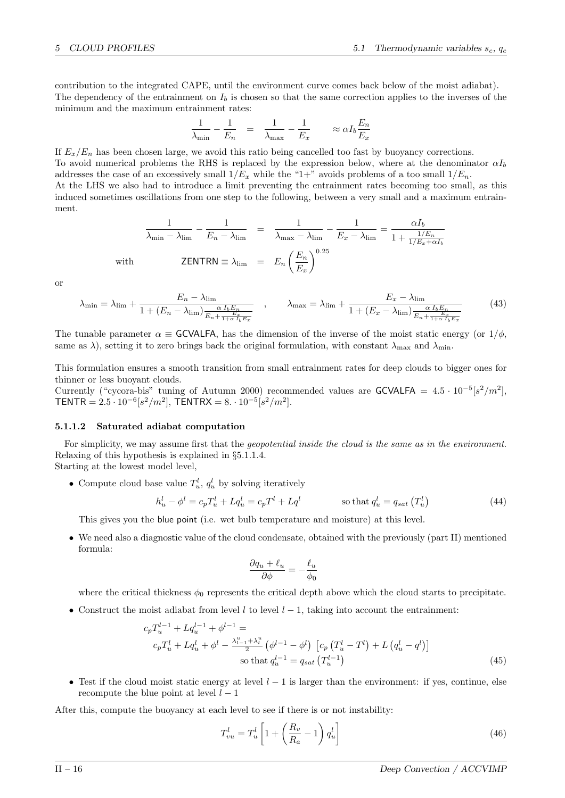contribution to the integrated CAPE, until the environment curve comes back below of the moist adiabat). The dependency of the entrainment on  $I<sub>b</sub>$  is chosen so that the same correction applies to the inverses of the minimum and the maximum entrainment rates:

$$
\frac{1}{\lambda_{\min}} - \frac{1}{E_n} = \frac{1}{\lambda_{\max}} - \frac{1}{E_x} \approx \alpha I_b \frac{E_n}{E_x}
$$

If  $E_x/E_n$  has been chosen large, we avoid this ratio being cancelled too fast by buoyancy corrections. To avoid numerical problems the RHS is replaced by the expression below, where at the denominator  $\alpha I_b$ addresses the case of an excessively small  $1/E_x$  while the "1+" avoids problems of a too small  $1/E_n$ . At the LHS we also had to introduce a limit preventing the entrainment rates becoming too small, as this induced sometimes oscillations from one step to the following, between a very small and a maximum entrainment.

$$
\frac{1}{\lambda_{\min} - \lambda_{\lim}} - \frac{1}{E_n - \lambda_{\lim}} = \frac{1}{\lambda_{\max} - \lambda_{\lim}} - \frac{1}{E_x - \lambda_{\lim}} = \frac{\alpha I_b}{1 + \frac{1/E_n}{1/E_x + \alpha I_b}}
$$
\nwith\n
$$
\text{ZENTRN} \equiv \lambda_{\lim} = E_n \left(\frac{E_n}{E_x}\right)^{0.25}
$$

or

$$
\lambda_{\min} = \lambda_{\lim} + \frac{E_n - \lambda_{\lim}}{1 + (E_n - \lambda_{\lim}) \frac{\alpha I_b E_n}{E_n + \frac{E_x}{1 + \alpha I_b E_x}}}, \qquad \lambda_{\max} = \lambda_{\lim} + \frac{E_x - \lambda_{\lim}}{1 + (E_x - \lambda_{\lim}) \frac{\alpha I_b E_n}{E_n + \frac{E_x}{1 + \alpha I_b E_x}}}
$$
(43)

The tunable parameter  $\alpha \equiv$  GCVALFA, has the dimension of the inverse of the moist static energy (or  $1/\phi$ , same as  $\lambda$ ), setting it to zero brings back the original formulation, with constant  $\lambda_{\text{max}}$  and  $\lambda_{\text{min}}$ .

This formulation ensures a smooth transition from small entrainment rates for deep clouds to bigger ones for thinner or less buoyant clouds.

Currently ("cycora-bis" tuning of Autumn 2000) recommended values are GCVALFA =  $4.5 \cdot 10^{-5} [s^2/m^2]$ , TENTR =  $2.5 \cdot 10^{-6} [s^2/m^2]$ , TENTRX =  $8 \cdot 10^{-5} [s^2/m^2]$ .

#### 5.1.1.2 Saturated adiabat computation

For simplicity, we may assume first that the *geopotential inside the cloud is the same as in the environment*. Relaxing of this hypothesis is explained in §5.1.1.4.

Starting at the lowest model level,

• Compute cloud base value  $T_u^l$ ,  $q_u^l$  by solving iteratively

$$
h_u^l - \phi^l = c_p T_u^l + Lq_u^l = c_p T^l + Lq^l \qquad \qquad \text{so that } q_u^l = q_{sat} (T_u^l)
$$
 (44)

This gives you the blue point (i.e. wet bulb temperature and moisture) at this level.

• We need also a diagnostic value of the cloud condensate, obtained with the previously (part II) mentioned formula:

$$
\frac{\partial q_u + \ell_u}{\partial \phi} = -\frac{\ell_u}{\phi_0}
$$

where the critical thickness  $\phi_0$  represents the critical depth above which the cloud starts to precipitate.

• Construct the moist adiabat from level l to level  $l-1$ , taking into account the entrainment:

$$
c_p T_u^{l-1} + L q_u^{l-1} + \phi^{l-1} =
$$
  
\n
$$
c_p T_u^l + L q_u^l + \phi^l - \frac{\lambda_{l-1}^u + \lambda_l^u}{2} \left( \phi^{l-1} - \phi^l \right) \left[ c_p \left( T_u^l - T^l \right) + L \left( q_u^l - q^l \right) \right]
$$
  
\nso that  $q_u^{l-1} = q_{sat} \left( T_u^{l-1} \right)$  (45)

• Test if the cloud moist static energy at level  $l-1$  is larger than the environment: if yes, continue, else recompute the blue point at level  $l-1$ 

After this, compute the buoyancy at each level to see if there is or not instability:

$$
T_{vu}^l = T_u^l \left[ 1 + \left( \frac{R_v}{R_a} - 1 \right) q_u^l \right]
$$
\n
$$
\tag{46}
$$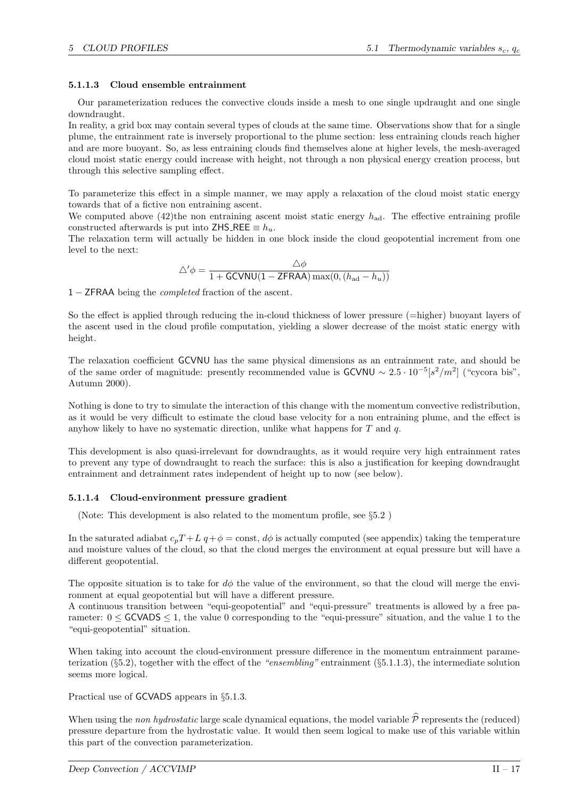## 5.1.1.3 Cloud ensemble entrainment

Our parameterization reduces the convective clouds inside a mesh to one single updraught and one single downdraught.

In reality, a grid box may contain several types of clouds at the same time. Observations show that for a single plume, the entrainment rate is inversely proportional to the plume section: less entraining clouds reach higher and are more buoyant. So, as less entraining clouds find themselves alone at higher levels, the mesh-averaged cloud moist static energy could increase with height, not through a non physical energy creation process, but through this selective sampling effect.

To parameterize this effect in a simple manner, we may apply a relaxation of the cloud moist static energy towards that of a fictive non entraining ascent.

We computed above (42)the non entraining ascent moist static energy  $h_{\text{ad}}$ . The effective entraining profile constructed afterwards is put into ZHS\_REE  $\equiv h_u$ .

The relaxation term will actually be hidden in one block inside the cloud geopotential increment from one level to the next:

$$
\triangle^{\prime} \phi = \frac{\triangle \phi}{1 + \text{GCVNU}(1 - \text{ZFRAA}) \max(0, (h_{\text{ad}} - h_u))}
$$

1 − ZFRAA being the completed fraction of the ascent.

So the effect is applied through reducing the in-cloud thickness of lower pressure (=higher) buoyant layers of the ascent used in the cloud profile computation, yielding a slower decrease of the moist static energy with height.

The relaxation coefficient GCVNU has the same physical dimensions as an entrainment rate, and should be of the same order of magnitude: presently recommended value is  $GCVNU \sim 2.5 \cdot 10^{-5} [s^2/m^2]$  ("cycora bis", Autumn 2000).

Nothing is done to try to simulate the interaction of this change with the momentum convective redistribution, as it would be very difficult to estimate the cloud base velocity for a non entraining plume, and the effect is anyhow likely to have no systematic direction, unlike what happens for  $T$  and  $q$ .

This development is also quasi-irrelevant for downdraughts, as it would require very high entrainment rates to prevent any type of downdraught to reach the surface: this is also a justification for keeping downdraught entrainment and detrainment rates independent of height up to now (see below).

## 5.1.1.4 Cloud-environment pressure gradient

(Note: This development is also related to the momentum profile, see §5.2 )

In the saturated adiabat  $c_pT + L q + \phi = \text{const}$ ,  $d\phi$  is actually computed (see appendix) taking the temperature and moisture values of the cloud, so that the cloud merges the environment at equal pressure but will have a different geopotential.

The opposite situation is to take for  $d\phi$  the value of the environment, so that the cloud will merge the environment at equal geopotential but will have a different pressure.

A continuous transition between "equi-geopotential" and "equi-pressure" treatments is allowed by a free parameter:  $0 \leq$  GCVADS  $\leq$  1, the value 0 corresponding to the "equi-pressure" situation, and the value 1 to the "equi-geopotential" situation.

When taking into account the cloud-environment pressure difference in the momentum entrainment parameterization (§5.2), together with the effect of the "ensembling" entrainment (§5.1.1.3), the intermediate solution seems more logical.

Practical use of GCVADS appears in §5.1.3.

When using the non hydrostatic large scale dynamical equations, the model variable  $\hat{P}$  represents the (reduced) pressure departure from the hydrostatic value. It would then seem logical to make use of this variable within this part of the convection parameterization.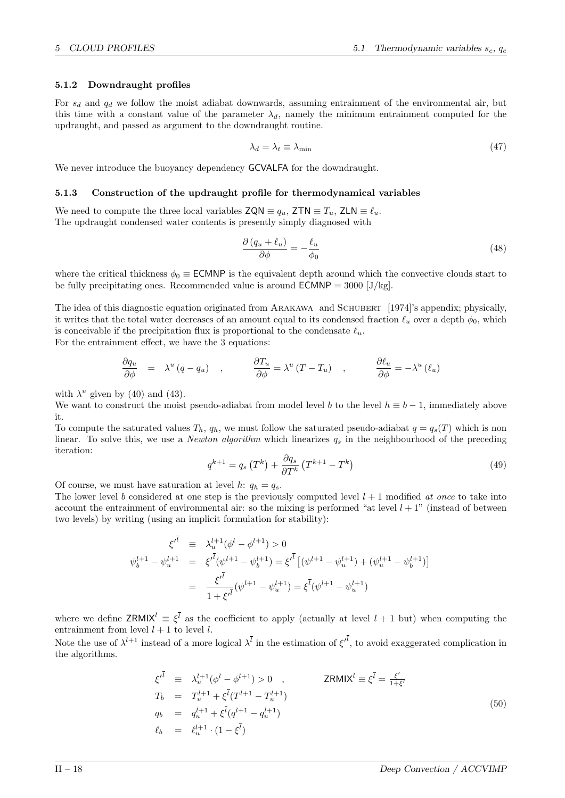#### 5.1.2 Downdraught profiles

For  $s_d$  and  $q_d$  we follow the moist adiabat downwards, assuming entrainment of the environmental air, but this time with a constant value of the parameter  $\lambda_d$ , namely the minimum entrainment computed for the updraught, and passed as argument to the downdraught routine.

$$
\lambda_d = \lambda_t \equiv \lambda_{\min} \tag{47}
$$

We never introduce the buoyancy dependency **GCVALFA** for the downdraught.

#### 5.1.3 Construction of the updraught profile for thermodynamical variables

We need to compute the three local variables  $\mathsf{ZQN} \equiv q_u, \mathsf{ZTN} \equiv T_u, \mathsf{ZLN} \equiv \ell_u.$ The updraught condensed water contents is presently simply diagnosed with

$$
\frac{\partial (q_u + \ell_u)}{\partial \phi} = -\frac{\ell_u}{\phi_0} \tag{48}
$$

where the critical thickness  $\phi_0 \equiv \text{ECMNP}$  is the equivalent depth around which the convective clouds start to be fully precipitating ones. Recommended value is around  $\text{ECMNP} = 3000 \,[\text{J/kg}]$ .

The idea of this diagnostic equation originated from ARAKAWA and SCHUBERT [1974]'s appendix; physically, it writes that the total water decreases of an amount equal to its condensed fraction  $\ell_u$  over a depth  $\phi_0$ , which is conceivable if the precipitation flux is proportional to the condensate  $\ell_u$ .

For the entrainment effect, we have the 3 equations:

$$
\frac{\partial q_u}{\partial \phi} = \lambda^u (q - q_u) \quad , \qquad \frac{\partial T_u}{\partial \phi} = \lambda^u (T - T_u) \quad , \qquad \frac{\partial \ell_u}{\partial \phi} = -\lambda^u (\ell_u)
$$

with  $\lambda^u$  given by (40) and (43).

We want to construct the moist pseudo-adiabat from model level b to the level  $h \equiv b - 1$ , immediately above it.

To compute the saturated values  $T_h$ ,  $q_h$ , we must follow the saturated pseudo-adiabat  $q = q_s(T)$  which is non linear. To solve this, we use a *Newton algorithm* which linearizes  $q_s$  in the neighbourhood of the preceding iteration:

$$
q^{k+1} = q_s \left( T^k \right) + \frac{\partial q_s}{\partial T^k} \left( T^{k+1} - T^k \right) \tag{49}
$$

Of course, we must have saturation at level h:  $q_h = q_s$ .

The lower level b considered at one step is the previously computed level  $l + 1$  modified at once to take into account the entrainment of environmental air: so the mixing is performed "at level  $l + 1$ " (instead of between two levels) by writing (using an implicit formulation for stability):

$$
\xi'^{l} \equiv \lambda_{u}^{l+1}(\phi^{l} - \phi^{l+1}) > 0
$$
  

$$
\psi_{b}^{l+1} - \psi_{u}^{l+1} = \xi'^{\bar{l}}(\psi^{l+1} - \psi_{b}^{l+1}) = \xi'^{\bar{l}}[(\psi^{l+1} - \psi_{u}^{l+1}) + (\psi_{u}^{l+1} - \psi_{b}^{l+1})]
$$
  

$$
= \frac{\xi'^{\bar{l}}}{1 + \xi'^{\bar{l}}}(\psi^{l+1} - \psi_{u}^{l+1}) = \xi^{\bar{l}}(\psi^{l+1} - \psi_{u}^{l+1})
$$

where we define  $ZRMIX^l \equiv \xi^{\bar{l}}$  as the coefficient to apply (actually at level  $l+1$  but) when computing the entrainment from level  $l + 1$  to level l.

Note the use of  $\lambda^{l+1}$  instead of a more logical  $\lambda^{\bar{l}}$  in the estimation of  $\xi^{l}$ , to avoid exaggerated complication in the algorithms.

$$
\xi^{l\bar{l}} \equiv \lambda_{u}^{l+1}(\phi^{l} - \phi^{l+1}) > 0 , \qquad \text{ZRMIX}^{l} \equiv \xi^{\bar{l}} = \frac{\xi'}{1+\xi'}
$$
  
\n
$$
T_{b} = T_{u}^{l+1} + \xi^{\bar{l}}(T^{l+1} - T_{u}^{l+1})
$$
  
\n
$$
q_{b} = q_{u}^{l+1} + \xi^{\bar{l}}(q^{l+1} - q_{u}^{l+1})
$$
  
\n
$$
\ell_{b} = \ell_{u}^{l+1} \cdot (1 - \xi^{\bar{l}})
$$
\n(50)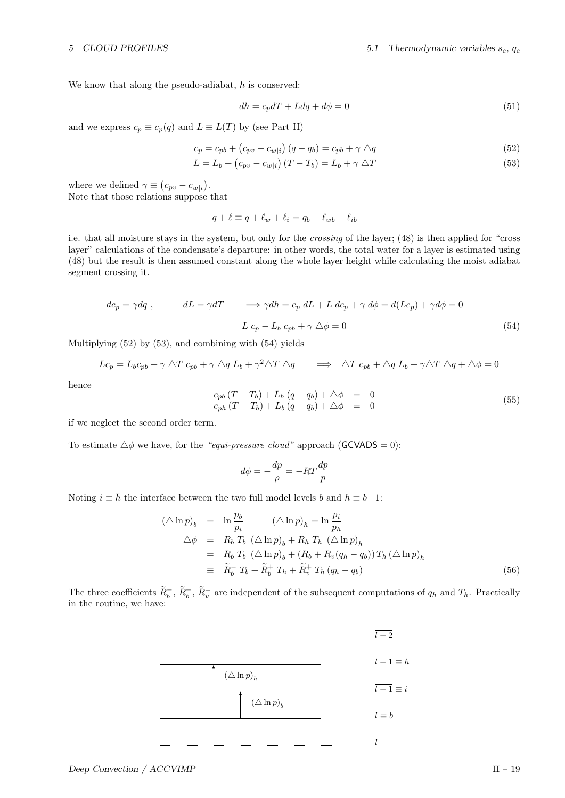We know that along the pseudo-adiabat,  $h$  is conserved:

$$
dh = c_p dT + Ldq + d\phi = 0 \tag{51}
$$

and we express  $c_p \equiv c_p(q)$  and  $L \equiv L(T)$  by (see Part II)

$$
c_p = c_{pb} + (c_{pv} - c_{w|i}) (q - q_b) = c_{pb} + \gamma \triangle q \tag{52}
$$

$$
L = L_b + (c_{pv} - c_{w|i}) (T - T_b) = L_b + \gamma \triangle T
$$
\n
$$
(53)
$$

where we defined  $\gamma \equiv (c_{pv} - c_{w|i}).$ Note that those relations suppose that

$$
q + \ell \equiv q + \ell_w + \ell_i = q_b + \ell_{wb} + \ell_{ib}
$$

i.e. that all moisture stays in the system, but only for the crossing of the layer; (48) is then applied for "cross layer" calculations of the condensate's departure: in other words, the total water for a layer is estimated using (48) but the result is then assumed constant along the whole layer height while calculating the moist adiabat segment crossing it.

$$
dc_p = \gamma dq , \qquad dL = \gamma dT \qquad \Longrightarrow \gamma dh = c_p \, dL + L \, dc_p + \gamma \, d\phi = d(Lc_p) + \gamma d\phi = 0
$$

$$
L \, c_p - L_b \, c_{pb} + \gamma \, \triangle \phi = 0 \tag{54}
$$

Multiplying (52) by (53), and combining with (54) yields

$$
Lc_p = L_bc_{pb} + \gamma \triangle T c_{pb} + \gamma \triangle q L_b + \gamma^2 \triangle T \triangle q \implies \triangle T c_{pb} + \triangle q L_b + \gamma \triangle T \triangle q + \triangle \phi = 0
$$

hence

$$
c_{pb}(T - T_b) + L_h(q - q_b) + \Delta \phi = 0\nc_{ph}(T - T_b) + L_b(q - q_b) + \Delta \phi = 0
$$
\n(55)

if we neglect the second order term.

To estimate  $\triangle \phi$  we have, for the "equi-pressure cloud" approach (GCVADS = 0):

$$
d\phi = -\frac{dp}{\rho} = -RT\frac{dp}{p}
$$

Noting  $i \equiv \bar{h}$  the interface between the two full model levels b and  $h \equiv b-1$ :

$$
(\Delta \ln p)_b = \ln \frac{p_b}{p_i} \qquad (\Delta \ln p)_h = \ln \frac{p_i}{p_h}
$$
  
\n
$$
\Delta \phi = R_b T_b \left( \Delta \ln p \right)_b + R_h T_h \left( \Delta \ln p \right)_h
$$
  
\n
$$
= R_b T_b \left( \Delta \ln p \right)_b + (R_b + R_v (q_h - q_b)) T_h \left( \Delta \ln p \right)_h
$$
  
\n
$$
\equiv \widetilde{R}_b^- T_b + \widetilde{R}_b^+ T_h + \widetilde{R}_v^+ T_h (q_h - q_b) \qquad (56)
$$

The three coefficients  $\tilde{R}_b^-$ ,  $\tilde{R}_b^+$ ,  $\tilde{R}_v^+$  are independent of the subsequent computations of  $q_h$  and  $T_h$ . Practically in the routine, we have:

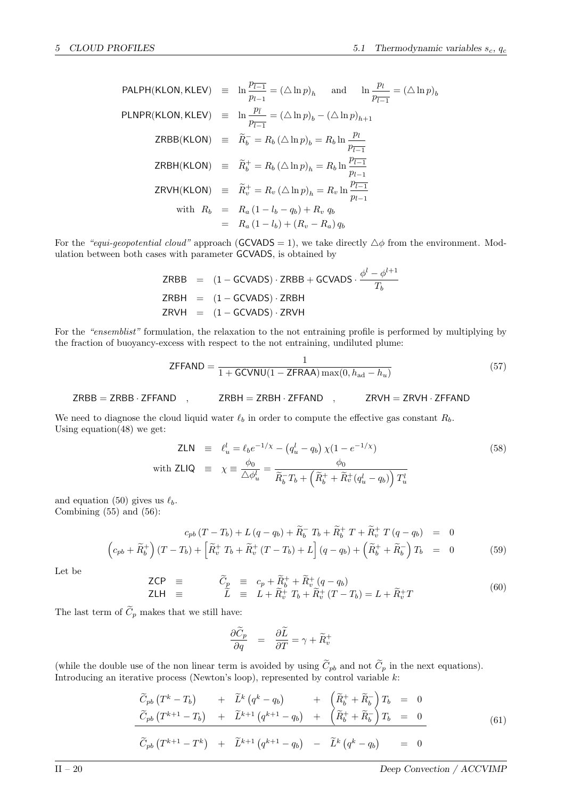$$
\begin{array}{rcl}\n\text{PALPH}(\text{KLON}, \text{KLEV}) & \equiv & \ln \frac{p_{\overline{l-1}}}{p_{l-1}} = (\triangle \ln p)_h \quad \text{and} \quad \ln \frac{p_l}{p_{\overline{l-1}}} = (\triangle \ln p)_b \\
\text{PLNPR}(\text{KLON}, \text{KLEV}) & \equiv & \ln \frac{p_{\overline{l}}}{p_{\overline{l-1}}} = (\triangle \ln p)_b - (\triangle \ln p)_{h+1} \\
\text{ZRBB}(\text{KLON}) & \equiv & \widetilde{R}_b^- = R_b \left(\triangle \ln p\right)_b = R_b \ln \frac{p_l}{p_{\overline{l-1}}} \\
\text{ZRBH}(\text{KLON}) & \equiv & \widetilde{R}_b^+ = R_b \left(\triangle \ln p\right)_h = R_b \ln \frac{p_{\overline{l-1}}}{p_{l-1}} \\
\text{ZRVH}(\text{KLON}) & \equiv & \widetilde{R}_v^+ = R_v \left(\triangle \ln p\right)_h = R_v \ln \frac{p_{\overline{l-1}}}{p_{l-1}} \\
\text{with } R_b & \equiv & R_a \left(1 - l_b - q_b\right) + R_v q_b \\
& \equiv & R_a \left(1 - l_b\right) + \left(R_v - R_a\right) q_b\n\end{array}
$$

For the "equi-geopotential cloud" approach (GCVADS = 1), we take directly  $\triangle \phi$  from the environment. Modulation between both cases with parameter GCVADS, is obtained by

$$
\begin{array}{rcl}\n\mathsf{ZRBB} & = & (1 - \mathsf{GCVADS}) \cdot \mathsf{ZRBB} + \mathsf{GCVADS} \cdot \frac{\phi^l - \phi^{l+1}}{T_b} \\
\mathsf{ZRBH} & = & (1 - \mathsf{GCVADS}) \cdot \mathsf{ZRBH} \\
\mathsf{ZRVH} & = & (1 - \mathsf{GCVADS}) \cdot \mathsf{ZRVH}\n\end{array}
$$

For the "ensemblist" formulation, the relaxation to the not entraining profile is performed by multiplying by the fraction of buoyancy-excess with respect to the not entraining, undiluted plume:

$$
\text{ZFFAND} = \frac{1}{1 + \text{GCVNU}(1 - \text{ZFRA}) \max(0, h_{\text{ad}} - h_u)}
$$
(57)

$$
ZRBB = ZRBB \cdot ZFFAND , ZRBH = ZRBH \cdot ZFFAND , ZRYH = ZRYH \cdot ZFFAND
$$

We need to diagnose the cloud liquid water  $\ell_b$  in order to compute the effective gas constant  $R_b$ . Using equation $(48)$  we get:

$$
\mathsf{ZLN} \equiv \ell_u^l = \ell_b e^{-1/\chi} - \left(q_u^l - q_b\right) \chi \left(1 - e^{-1/\chi}\right) \tag{58}
$$
\n
$$
\text{with } \mathsf{ZLIQ} \equiv \chi \equiv \frac{\phi_0}{\Delta \phi_u^l} = \frac{\phi_0}{\widetilde{R}_b^- T_b + \left(\widetilde{R}_b^+ + \widetilde{R}_v^+ \left(q_u^l - q_b\right)\right) T_u^l}
$$

and equation (50) gives us  $\ell_b$ . Combining  $(55)$  and  $(56)$ :

$$
c_{pb} (T - T_b) + L (q - q_b) + \widetilde{R}_b^- T_b + \widetilde{R}_b^+ T + \widetilde{R}_v^+ T (q - q_b) = 0
$$
  

$$
\left( c_{pb} + \widetilde{R}_b^+ \right) (T - T_b) + \left[ \widetilde{R}_v^+ T_b + \widetilde{R}_v^+ (T - T_b) + L \right] (q - q_b) + \left( \widetilde{R}_b^+ + \widetilde{R}_b^- \right) T_b = 0
$$
 (59)

Let be

$$
\begin{array}{rcl}\n\mathsf{ZCP} & \equiv & \widetilde{C}_{\underline{p}} & \equiv & c_p + \widetilde{R}_b^+ + \widetilde{R}_v^+ \left( q - q_b \right) \\
\mathsf{ZLH} & \equiv & \widetilde{L} & \equiv & L + \widetilde{R}_v^+ \, T_b + \widetilde{R}_v^+ \left( T - T_b \right) = L + \widetilde{R}_v^+ T\n\end{array} \tag{60}
$$

The last term of  $\widetilde{C}_p$  makes that we still have:

$$
\frac{\partial \widetilde{C}_p}{\partial q} = \frac{\partial \widetilde{L}}{\partial T} = \gamma + \widetilde{R}_v^+
$$

(while the double use of the non linear term is avoided by using  $C_{pb}$  and not  $C_p$  in the next equations).<br>Introducing an iterative process (Newton's loop), represented by control variable k:

$$
\widetilde{C}_{pb} \left( T^{k} - T_{b} \right) + \widetilde{L}^{k} \left( q^{k} - q_{b} \right) + \left( \widetilde{R}_{b}^{+} + \widetilde{R}_{b}^{-} \right) T_{b} = 0
$$
\n
$$
\widetilde{C}_{pb} \left( T^{k+1} - T_{b} \right) + \widetilde{L}^{k+1} \left( q^{k+1} - q_{b} \right) + \left( \widetilde{R}_{b}^{+} + \widetilde{R}_{b}^{-} \right) T_{b} = 0
$$
\n
$$
\widetilde{C}_{pb} \left( T^{k+1} - T^{k} \right) + \widetilde{L}^{k+1} \left( q^{k+1} - q_{b} \right) - \widetilde{L}^{k} \left( q^{k} - q_{b} \right) = 0
$$
\n(61)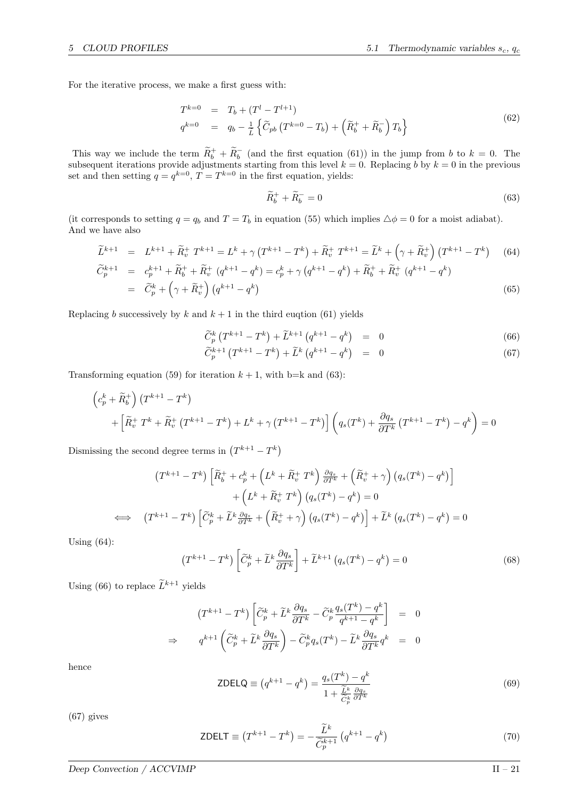For the iterative process, we make a first guess with:

$$
T^{k=0} = T_b + (T^l - T^{l+1})
$$
  
\n
$$
q^{k=0} = q_b - \frac{1}{\tilde{L}} \left\{ \tilde{C}_{pb} \left( T^{k=0} - T_b \right) + \left( \tilde{R}_b^+ + \tilde{R}_b^- \right) T_b \right\}
$$
\n(62)

This way we include the term  $\widetilde{R}_{b}^{+} + \widetilde{R}_{b}^{-}$  (and the first equation (61)) in the jump from b to  $k = 0$ . The subsequent iterations provide adjustments starting from this level  $k = 0$ . Replacing b by  $k = 0$  in the previous set and then setting  $q = q^{k=0}$ ,  $T = T^{k=0}$  in the first equation, yields:

$$
\widetilde{R}_b^+ + \widetilde{R}_b^- = 0 \tag{63}
$$

(it corresponds to setting  $q = q_b$  and  $T = T_b$  in equation (55) which implies  $\Delta \phi = 0$  for a moist adiabat). And we have also

$$
\widetilde{L}^{k+1} = L^{k+1} + \widetilde{R}^+_v T^{k+1} = L^k + \gamma (T^{k+1} - T^k) + \widetilde{R}^+_v T^{k+1} = \widetilde{L}^k + (\gamma + \widetilde{R}^+_v) (T^{k+1} - T^k) \tag{64}
$$
\n
$$
\widetilde{C}^{k+1}_p = c_p^{k+1} + \widetilde{R}^+_b + \widetilde{R}^+_v (q^{k+1} - q^k) = c_p^k + \gamma (q^{k+1} - q^k) + \widetilde{R}^+_b + \widetilde{R}^+_v (q^{k+1} - q^k)
$$
\n
$$
= \widetilde{C}^k_p + (\gamma + \widetilde{R}^+_v) (q^{k+1} - q^k) \tag{65}
$$

Replacing b successively by k and  $k + 1$  in the third eugtion (61) yields

$$
\widetilde{C}_p^k \left( T^{k+1} - T^k \right) + \widetilde{L}^{k+1} \left( q^{k+1} - q^k \right) = 0 \tag{66}
$$

$$
\widetilde{C}_p^{k+1} \left( T^{k+1} - T^k \right) + \widetilde{L}^k \left( q^{k+1} - q^k \right) = 0 \tag{67}
$$

Transforming equation (59) for iteration  $k + 1$ , with b=k and (63):

$$
\begin{aligned} \left(c_p^k + \widetilde{R}_b^+\right) \left(T^{k+1} - T^k\right) \\ + \left[\widetilde{R}_v^+ T^k + \widetilde{R}_v^+ \left(T^{k+1} - T^k\right) + L^k + \gamma \left(T^{k+1} - T^k\right)\right] \left(q_s(T^k) + \frac{\partial q_s}{\partial T^k} \left(T^{k+1} - T^k\right) - q^k\right) = 0 \end{aligned}
$$

Dismissing the second degree terms in  $(T^{k+1} - T^k)$ 

$$
(T^{k+1} - T^k) \left[ \widetilde{R}_b^+ + c_p^k + \left( L^k + \widetilde{R}_v^+ T^k \right) \frac{\partial q_s}{\partial T^k} + \left( \widetilde{R}_v^+ + \gamma \right) \left( q_s(T^k) - q^k \right) \right] + \left( L^k + \widetilde{R}_v^+ T^k \right) \left( q_s(T^k) - q^k \right) = 0 
$$
\iff (T^{k+1} - T^k) \left[ \widetilde{C}_p^k + \widetilde{L}^k \frac{\partial q_s}{\partial T^k} + \left( \widetilde{R}_v^+ + \gamma \right) \left( q_s(T^k) - q^k \right) \right] + \widetilde{L}^k \left( q_s(T^k) - q^k \right) = 0
$$
$$

Using  $(64)$ :

$$
\left(T^{k+1} - T^k\right) \left[\widetilde{C}_p^k + \widetilde{L}^k \frac{\partial q_s}{\partial T^k}\right] + \widetilde{L}^{k+1} \left(q_s(T^k) - q^k\right) = 0\tag{68}
$$

Using (66) to replace  $\widetilde{L}^{k+1}$  yields

$$
(T^{k+1} - T^k) \left[ \widetilde{C}_p^k + \widetilde{L}^k \frac{\partial q_s}{\partial T^k} - \widetilde{C}_p^k \frac{q_s(T^k) - q^k}{q^{k+1} - q^k} \right] = 0
$$
  
\n
$$
\Rightarrow \qquad q^{k+1} \left( \widetilde{C}_p^k + \widetilde{L}^k \frac{\partial q_s}{\partial T^k} \right) - \widetilde{C}_p^k q_s(T^k) - \widetilde{L}^k \frac{\partial q_s}{\partial T^k} q^k = 0
$$

hence

$$
\text{ZDELQ} \equiv \left( q^{k+1} - q^k \right) = \frac{q_s(T^k) - q^k}{1 + \frac{\tilde{\lambda}^k}{\tilde{C}^k_p} \frac{\partial q_s}{\partial T^k}}
$$
(69)

(67) gives

ZDELT 
$$
\equiv (T^{k+1} - T^k) = -\frac{\widetilde{L}^k}{\widetilde{C}_p^{k+1}} (q^{k+1} - q^k)
$$
 (70)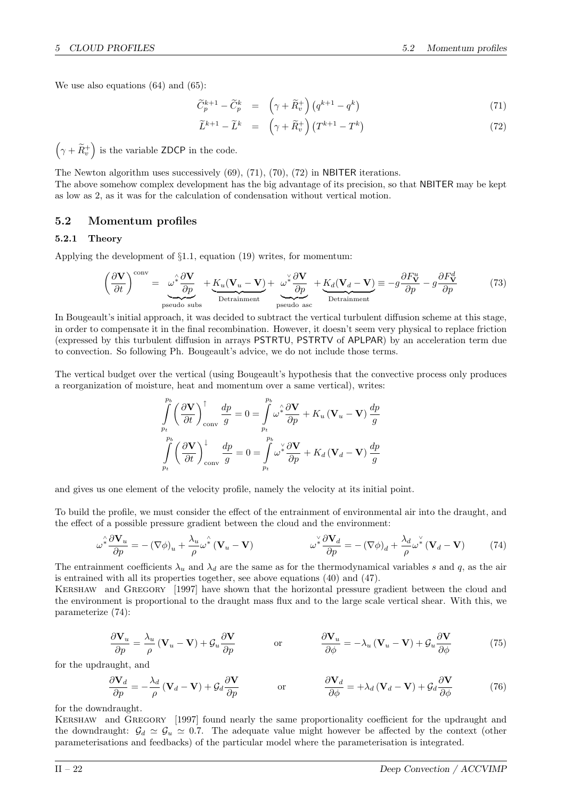We use also equations (64) and (65):

$$
\widetilde{C}_p^{k+1} - \widetilde{C}_p^k = \left(\gamma + \widetilde{R}_v^+\right) \left(q^{k+1} - q^k\right) \tag{71}
$$

$$
\widetilde{L}^{k+1} - \widetilde{L}^k = \left(\gamma + \widetilde{R}^+_v\right) \left(T^{k+1} - T^k\right) \tag{72}
$$

 $(\gamma + \widetilde{R}_v^+)$  is the variable ZDCP in the code.

The Newton algorithm uses successively (69), (71), (70), (72) in NBITER iterations. The above somehow complex development has the big advantage of its precision, so that NBITER may be kept as low as 2, as it was for the calculation of condensation without vertical motion.

## 5.2 Momentum profiles

## 5.2.1 Theory

Applying the development of §1.1, equation (19) writes, for momentum:

$$
\left(\frac{\partial \mathbf{V}}{\partial t}\right)^{\text{conv}} = \underbrace{\omega^* \frac{\partial \mathbf{V}}{\partial p}}_{\text{pseudo subs}} + \underbrace{K_u(\mathbf{V}_u - \mathbf{V})}_{\text{Detrainment}} + \underbrace{\omega^* \frac{\partial \mathbf{V}}{\partial p}}_{\text{pseudo asc}} + \underbrace{K_d(\mathbf{V}_d - \mathbf{V})}_{\text{Detrainment}} \equiv -g \frac{\partial F_{\mathbf{V}}^u}{\partial p} - g \frac{\partial F_{\mathbf{V}}^d}{\partial p} \tag{73}
$$

In Bougeault's initial approach, it was decided to subtract the vertical turbulent diffusion scheme at this stage, in order to compensate it in the final recombination. However, it doesn't seem very physical to replace friction (expressed by this turbulent diffusion in arrays PSTRTU, PSTRTV of APLPAR) by an acceleration term due to convection. So following Ph. Bougeault's advice, we do not include those terms.

The vertical budget over the vertical (using Bougeault's hypothesis that the convective process only produces a reorganization of moisture, heat and momentum over a same vertical), writes:

$$
\int_{p_t}^{p_b} \left(\frac{\partial \mathbf{V}}{\partial t}\right)_{\text{conv}}^{\uparrow} \frac{dp}{g} = 0 = \int_{p_t}^{p_b} \omega^2 \frac{\partial \mathbf{V}}{\partial p} + K_u (\mathbf{V}_u - \mathbf{V}) \frac{dp}{g}
$$

$$
\int_{p_t}^{p_b} \left(\frac{\partial \mathbf{V}}{\partial t}\right)_{\text{conv}}^{\downarrow} \frac{dp}{g} = 0 = \int_{p_t}^{p_b} \omega^2 \frac{\partial \mathbf{V}}{\partial p} + K_d (\mathbf{V}_d - \mathbf{V}) \frac{dp}{g}
$$

and gives us one element of the velocity profile, namely the velocity at its initial point.

To build the profile, we must consider the effect of the entrainment of environmental air into the draught, and the effect of a possible pressure gradient between the cloud and the environment:

$$
\omega^* \frac{\partial \mathbf{V}_u}{\partial p} = -(\nabla \phi)_u + \frac{\lambda_u}{\rho} \omega^* (\mathbf{V}_u - \mathbf{V}) \qquad \omega^* \frac{\partial \mathbf{V}_d}{\partial p} = -(\nabla \phi)_d + \frac{\lambda_d}{\rho} \omega^* (\mathbf{V}_d - \mathbf{V}) \qquad (74)
$$

The entrainment coefficients  $\lambda_u$  and  $\lambda_d$  are the same as for the thermodynamical variables s and q, as the air is entrained with all its properties together, see above equations (40) and (47).

Kershaw and Gregory [1997] have shown that the horizontal pressure gradient between the cloud and the environment is proportional to the draught mass flux and to the large scale vertical shear. With this, we parameterize (74):

$$
\frac{\partial \mathbf{V}_u}{\partial p} = \frac{\lambda_u}{\rho} (\mathbf{V}_u - \mathbf{V}) + \mathcal{G}_u \frac{\partial \mathbf{V}}{\partial p} \qquad \text{or} \qquad \frac{\partial \mathbf{V}_u}{\partial \phi} = -\lambda_u (\mathbf{V}_u - \mathbf{V}) + \mathcal{G}_u \frac{\partial \mathbf{V}}{\partial \phi} \qquad (75)
$$

for the updraught, and

$$
\frac{\partial \mathbf{V}_d}{\partial p} = -\frac{\lambda_d}{\rho} (\mathbf{V}_d - \mathbf{V}) + \mathcal{G}_d \frac{\partial \mathbf{V}}{\partial p} \qquad \text{or} \qquad \frac{\partial \mathbf{V}_d}{\partial \phi} = +\lambda_d (\mathbf{V}_d - \mathbf{V}) + \mathcal{G}_d \frac{\partial \mathbf{V}}{\partial \phi} \qquad (76)
$$

for the downdraught.

Kershaw and Gregory [1997] found nearly the same proportionality coefficient for the updraught and the downdraught:  $\mathcal{G}_d \simeq \mathcal{G}_u \simeq 0.7$ . The adequate value might however be affected by the context (other parameterisations and feedbacks) of the particular model where the parameterisation is integrated.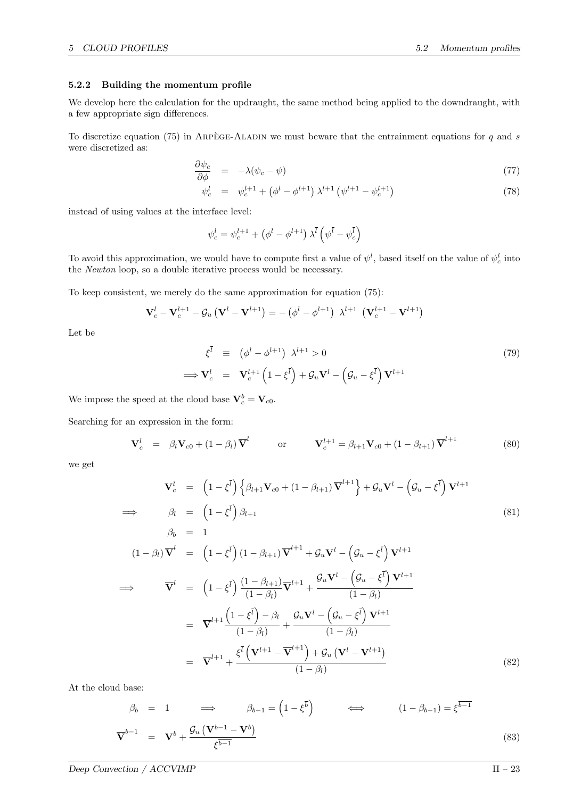#### 5.2.2 Building the momentum profile

We develop here the calculation for the updraught, the same method being applied to the downdraught, with a few appropriate sign differences.

To discretize equation (75) in ARPEGE-ALADIN we must beware that the entrainment equations for  $q$  and s were discretized as:

$$
\frac{\partial \psi_c}{\partial \phi} = -\lambda (\psi_c - \psi) \tag{77}
$$

$$
\psi_c^l = \psi_c^{l+1} + \left(\phi^l - \phi^{l+1}\right) \lambda^{l+1} \left(\psi^{l+1} - \psi_c^{l+1}\right) \tag{78}
$$

instead of using values at the interface level:

$$
\psi_c^l = \psi_c^{l+1} + \left(\phi^l - \phi^{l+1}\right) \lambda^{\bar{l}} \left(\psi^{\bar{l}} - \psi^{\bar{l}}_c\right)
$$

To avoid this approximation, we would have to compute first a value of  $\psi^l$ , based itself on the value of  $\psi_c^l$  into the Newton loop, so a double iterative process would be necessary.

To keep consistent, we merely do the same approximation for equation (75):

$$
\mathbf{V}_{c}^{l} - \mathbf{V}_{c}^{l+1} - \mathcal{G}_{u} (\mathbf{V}^{l} - \mathbf{V}^{l+1}) = - (\phi^{l} - \phi^{l+1}) \lambda^{l+1} (\mathbf{V}_{c}^{l+1} - \mathbf{V}^{l+1})
$$

Let be

$$
\xi^{\bar{l}} \equiv (\phi^l - \phi^{l+1}) \lambda^{l+1} > 0
$$
\n
$$
\implies \mathbf{V}_c^l = \mathbf{V}_c^{l+1} \left(1 - \xi^{\bar{l}}\right) + \mathcal{G}_u \mathbf{V}^l - \left(\mathcal{G}_u - \xi^{\bar{l}}\right) \mathbf{V}^{l+1}
$$
\n(79)

We impose the speed at the cloud base  $\mathbf{V}_c^b = \mathbf{V}_{c0}$ .

Searching for an expression in the form:

$$
\mathbf{V}_c^l = \beta_l \mathbf{V}_{c0} + (1 - \beta_l) \overline{\mathbf{V}}^l \qquad \text{or} \qquad \mathbf{V}_c^{l+1} = \beta_{l+1} \mathbf{V}_{c0} + (1 - \beta_{l+1}) \overline{\mathbf{V}}^{l+1} \tag{80}
$$

we get

$$
\mathbf{V}_{c}^{l} = \left(1 - \xi^{\bar{l}}\right) \left\{\beta_{l+1} \mathbf{V}_{c0} + (1 - \beta_{l+1}) \overline{\mathbf{V}}^{l+1}\right\} + \mathcal{G}_{u} \mathbf{V}^{l} - \left(\mathcal{G}_{u} - \xi^{\bar{l}}\right) \mathbf{V}^{l+1}
$$
\n
$$
\Rightarrow \qquad \beta_{l} = \left(1 - \xi^{\bar{l}}\right) \beta_{l+1} \tag{81}
$$
\n
$$
\beta_{b} = 1 \tag{1 - \beta_{l}} \overline{\mathbf{V}}^{l} = \left(1 - \xi^{\bar{l}}\right) \left(1 - \beta_{l+1}\right) \overline{\mathbf{V}}^{l+1} + \mathcal{G}_{u} \mathbf{V}^{l} - \left(\mathcal{G}_{u} - \xi^{\bar{l}}\right) \mathbf{V}^{l+1}
$$
\n
$$
\Rightarrow \qquad \overline{\mathbf{V}}^{l} = \left(1 - \xi^{\bar{l}}\right) \frac{\left(1 - \beta_{l+1}\right)}{\left(1 - \beta_{l}\right)} \overline{\mathbf{V}}^{l+1} + \frac{\mathcal{G}_{u} \mathbf{V}^{l} - \left(\mathcal{G}_{u} - \xi^{\bar{l}}\right) \mathbf{V}^{l+1}}{\left(1 - \beta_{l}\right)}
$$
\n
$$
= \overline{\mathbf{V}}^{l+1} \frac{\left(1 - \xi^{\bar{l}}\right) - \beta_{l}}{\left(1 - \beta_{l}\right)} + \frac{\mathcal{G}_{u} \mathbf{V}^{l} - \left(\mathcal{G}_{u} - \xi^{\bar{l}}\right) \mathbf{V}^{l+1}}{\left(1 - \beta_{l}\right)}
$$
\n
$$
= \overline{\mathbf{V}}^{l+1} + \frac{\xi^{\bar{l}} \left(\mathbf{V}^{l+1} - \overline{\mathbf{V}}^{l+1}\right) + \mathcal{G}_{u} \left(\mathbf{V}^{l} - \mathbf{V}^{l+1}\right)}{\left(1 - \beta_{l}\right)} \tag{82}
$$

At the cloud base:

$$
\beta_b = 1 \implies \beta_{b-1} = \left(1 - \xi^{\overline{b}}\right) \iff \left(1 - \beta_{b-1}\right) = \xi^{\overline{b-1}}
$$
\n
$$
\overline{\mathbf{V}}^{b-1} = \mathbf{V}^b + \frac{\mathcal{G}_u\left(\mathbf{V}^{b-1} - \mathbf{V}^b\right)}{\xi^{\overline{b-1}}} \tag{83}
$$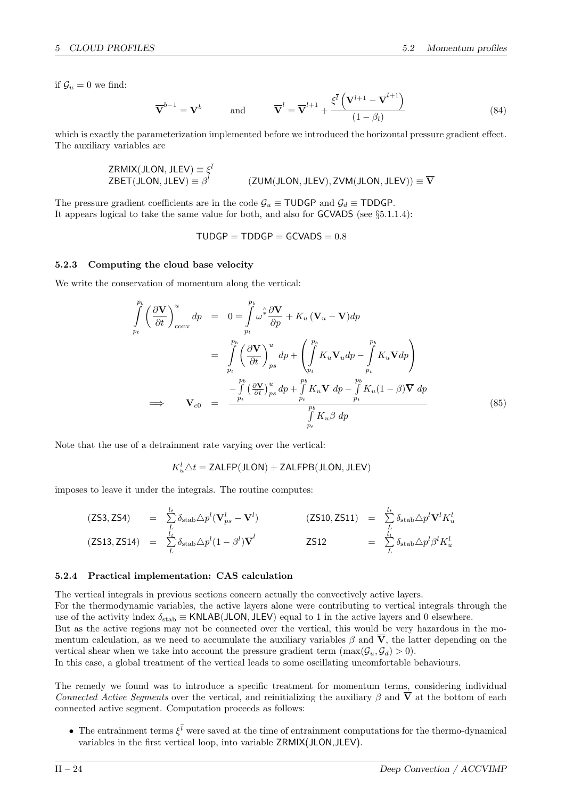if  $\mathcal{G}_u = 0$  we find:

$$
\overline{\mathbf{V}}^{b-1} = \mathbf{V}^b \qquad \text{and} \qquad \overline{\mathbf{V}}^l = \overline{\mathbf{V}}^{l+1} + \frac{\xi^{\overline{l}}\left(\mathbf{V}^{l+1} - \overline{\mathbf{V}}^{l+1}\right)}{(1 - \beta_l)}
$$
(84)

which is exactly the parameterization implemented before we introduced the horizontal pressure gradient effect. The auxiliary variables are

$$
ZRMIX(JLON, JLEV) \equiv \xi^{l}
$$
  
\n
$$
ZBET(JLON, JLEV) \equiv \beta^{l}
$$
 (ZUM(JLON, JLEV), ZVM(JLON, JLEV))  $\equiv \overline{V}$ 

The pressure gradient coefficients are in the code  $\mathcal{G}_u \equiv \text{TUDGP}$  and  $\mathcal{G}_d \equiv \text{TDDGP}$ . It appears logical to take the same value for both, and also for GCVADS (see §5.1.1.4):

 $TUDGP = TDDGP = GCVADS = 0.8$ 

#### 5.2.3 Computing the cloud base velocity

We write the conservation of momentum along the vertical:

$$
\int_{p_t}^{p_b} \left(\frac{\partial \mathbf{V}}{\partial t}\right)_{\text{conv}}^u dp = 0 = \int_{p_t}^{p_b} \omega^2 \frac{\partial \mathbf{V}}{\partial p} + K_u (\mathbf{V}_u - \mathbf{V}) dp
$$
\n
$$
= \int_{p_t}^{p_b} \left(\frac{\partial \mathbf{V}}{\partial t}\right)_{ps}^u dp + \left(\int_{p_t}^{p_b} K_u \mathbf{V}_u dp - \int_{p_t}^{p_b} K_u \mathbf{V} dp\right)
$$
\n
$$
\implies \qquad \mathbf{V}_{c0} = \frac{-\int_{p_t}^{p_b} \left(\frac{\partial \mathbf{V}}{\partial t}\right)_{ps}^u dp + \int_{p_t}^{p_b} K_u \mathbf{V} dp - \int_{p_t}^{p_b} K_u (1 - \beta) \overline{\mathbf{V}} dp}{\int_{p_t}^{p_b} K_u \beta dp}
$$
\n(85)

Note that the use of a detrainment rate varying over the vertical:

$$
K_u^l \triangle t = {\sf ZALFP(JLON)} + {\sf ZALFPB(JLON, JLEV)}
$$

imposes to leave it under the integrals. The routine computes:

$$
(ZS3, ZS4) = \sum_{\substack{l} \atop{L} \atop{L}} \delta_{\text{stab}} \triangle p^{l} (\mathbf{V}_{ps}^{l} - \mathbf{V}^{l})
$$
\n
$$
(ZS10, ZS11) = \sum_{\substack{l} \atop{L} \atop{L}} \delta_{\text{stab}} \triangle p^{l} \mathbf{V}^{l} K_{u}^{l}
$$
\n
$$
(ZS13, ZS14) = \sum_{\substack{l} \atop{L}} \delta_{\text{stab}} \triangle p^{l} (1 - \beta^{l}) \overline{\mathbf{V}}^{l}
$$
\n
$$
ZS12 = \sum_{\substack{l} \atop{L}} \delta_{\text{stab}} \triangle p^{l} \beta^{l} K_{u}^{l}
$$

#### 5.2.4 Practical implementation: CAS calculation

The vertical integrals in previous sections concern actually the convectively active layers. For the thermodynamic variables, the active layers alone were contributing to vertical integrals through the use of the activity index  $\delta_{stab} \equiv$  KNLAB(JLON, JLEV) equal to 1 in the active layers and 0 elsewhere. But as the active regions may not be connected over the vertical, this would be very hazardous in the momentum calculation, as we need to accumulate the auxiliary variables  $\beta$  and  $\overline{V}$ , the latter depending on the vertical shear when we take into account the pressure gradient term  $(\max(\mathcal{G}_u, \mathcal{G}_d) > 0)$ . In this case, a global treatment of the vertical leads to some oscillating uncomfortable behaviours.

The remedy we found was to introduce a specific treatment for momentum terms, considering individual Connected Active Segments over the vertical, and reinitializing the auxiliary  $\beta$  and  $\overline{V}$  at the bottom of each connected active segment. Computation proceeds as follows:

• The entrainment terms  $\xi^l$  were saved at the time of entrainment computations for the thermo-dynamical variables in the first vertical loop, into variable ZRMIX(JLON,JLEV).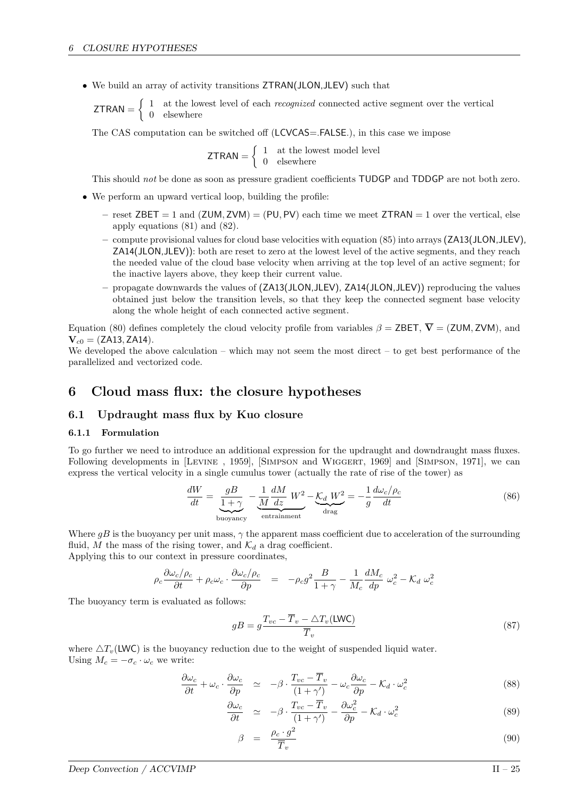• We build an array of activity transitions ZTRAN(JLON,JLEV) such that

 $ZTRAN = \begin{cases} 1 & \text{at the lowest level of each *recognized* connected active segment over the vertical$ 0 elsewhere

The CAS computation can be switched off (LCVCAS=.FALSE.), in this case we impose

 $ZTRAN = \begin{cases} 1 & \text{at the lowest model level} \\ 0 & \text{elsewhere} \end{cases}$ 0 elsewhere

This should not be done as soon as pressure gradient coefficients TUDGP and TDDGP are not both zero.

- We perform an upward vertical loop, building the profile:
	- reset  $ZBET = 1$  and  $(ZUM, ZVM) = (PU, PV)$  each time we meet  $ZTRAN = 1$  over the vertical, else apply equations (81) and (82).
	- compute provisional values for cloud base velocities with equation (85) into arrays (ZA13(JLON,JLEV), ZA14(JLON,JLEV)): both are reset to zero at the lowest level of the active segments, and they reach the needed value of the cloud base velocity when arriving at the top level of an active segment; for the inactive layers above, they keep their current value.
	- propagate downwards the values of (ZA13(JLON,JLEV), ZA14(JLON,JLEV)) reproducing the values obtained just below the transition levels, so that they keep the connected segment base velocity along the whole height of each connected active segment.

Equation (80) defines completely the cloud velocity profile from variables  $\beta = \mathsf{ZBET}, \overline{\mathbf{V}} = (\mathsf{ZUM}, \mathsf{ZVM})$ , and  $V_{c0} = (ZA13, ZA14).$ 

We developed the above calculation – which may not seem the most direct – to get best performance of the parallelized and vectorized code.

## 6 Cloud mass flux: the closure hypotheses

## 6.1 Updraught mass flux by Kuo closure

#### 6.1.1 Formulation

To go further we need to introduce an additional expression for the updraught and downdraught mass fluxes. Following developments in [LEVINE, 1959], [SIMPSON and WIGGERT, 1969] and [SIMPSON, 1971], we can express the vertical velocity in a single cumulus tower (actually the rate of rise of the tower) as

$$
\frac{dW}{dt} = \underbrace{\frac{gB}{1+\gamma}}_{\text{buoyancy}} - \underbrace{\frac{1}{M}\frac{dM}{dz}W^2}_{\text{entrainment}} - \underbrace{\mathcal{K}_d W^2}_{\text{drag}} = -\frac{1}{g}\frac{d\omega_c/\rho_c}{dt} \tag{86}
$$

Where  $gB$  is the buoyancy per unit mass,  $\gamma$  the apparent mass coefficient due to acceleration of the surrounding fluid, M the mass of the rising tower, and  $\mathcal{K}_d$  a drag coefficient. Applying this to our context in pressure coordinates,

$$
\rho_c \frac{\partial \omega_c / \rho_c}{\partial t} + \rho_c \omega_c \cdot \frac{\partial \omega_c / \rho_c}{\partial p} \quad = \quad - \rho_c g^2 \frac{B}{1 + \gamma} - \frac{1}{M_c} \frac{dM_c}{dp} \; \omega_c^2 - \mathcal{K}_d \; \omega_c^2
$$

The buoyancy term is evaluated as follows:

$$
gB = g \frac{T_{vc} - \overline{T}_v - \triangle T_v(\text{LWC})}{\overline{T}_v} \tag{87}
$$

where  $\Delta T_{\nu}$ (LWC) is the buoyancy reduction due to the weight of suspended liquid water. Using  $M_c = -\sigma_c \cdot \omega_c$  we write:

$$
\frac{\partial \omega_c}{\partial t} + \omega_c \cdot \frac{\partial \omega_c}{\partial p} \simeq -\beta \cdot \frac{T_{vc} - \overline{T}_v}{(1 + \gamma')} - \omega_c \frac{\partial \omega_c}{\partial p} - \mathcal{K}_d \cdot \omega_c^2 \tag{88}
$$

$$
\frac{\partial \omega_c}{\partial t} \simeq -\beta \cdot \frac{T_{vc} - \overline{T}_v}{(1 + \gamma')} - \frac{\partial \omega_c^2}{\partial p} - \mathcal{K}_d \cdot \omega_c^2 \tag{89}
$$

$$
\beta = \frac{\rho_c \cdot g^2}{\overline{T}_v} \tag{90}
$$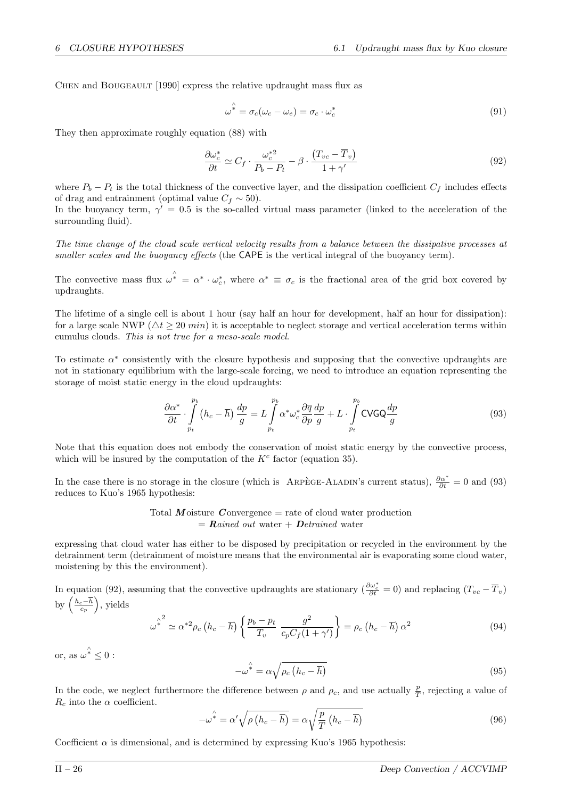CHEN and BOUGEAULT [1990] express the relative updraught mass flux as

$$
\omega^* = \sigma_c(\omega_c - \omega_e) = \sigma_c \cdot \omega_c^* \tag{91}
$$

They then approximate roughly equation (88) with

$$
\frac{\partial \omega_c^*}{\partial t} \simeq C_f \cdot \frac{\omega_c^{*2}}{P_b - P_t} - \beta \cdot \frac{(T_{vc} - \overline{T}_v)}{1 + \gamma'} \tag{92}
$$

where  $P_b - P_t$  is the total thickness of the convective layer, and the dissipation coefficient  $C_f$  includes effects of drag and entrainment (optimal value  $C_f \sim 50$ ).

In the buoyancy term,  $\gamma' = 0.5$  is the so-called virtual mass parameter (linked to the acceleration of the surrounding fluid).

The time change of the cloud scale vertical velocity results from a balance between the dissipative processes at smaller scales and the buoyancy effects (the CAPE is the vertical integral of the buoyancy term).

The convective mass flux  $\omega^* = \alpha^* \cdot \omega_c^*$ , where  $\alpha^* \equiv \sigma_c$  is the fractional area of the grid box covered by updraughts.

The lifetime of a single cell is about 1 hour (say half an hour for development, half an hour for dissipation): for a large scale NWP ( $\Delta t \geq 20$  min) it is acceptable to neglect storage and vertical acceleration terms within cumulus clouds. This is not true for a meso-scale model.

To estimate  $\alpha^*$  consistently with the closure hypothesis and supposing that the convective updraughts are not in stationary equilibrium with the large-scale forcing, we need to introduce an equation representing the storage of moist static energy in the cloud updraughts:

$$
\frac{\partial \alpha^*}{\partial t} \cdot \int\limits_{p_t}^{p_b} (h_c - \overline{h}) \frac{dp}{g} = L \int\limits_{p_t}^{p_b} \alpha^* \omega_c^* \frac{\partial \overline{q}}{\partial p} \frac{dp}{g} + L \cdot \int\limits_{p_t}^{p_b} \text{CVGQ} \frac{dp}{g} \tag{93}
$$

Note that this equation does not embody the conservation of moist static energy by the convective process, which will be insured by the computation of the  $K<sup>c</sup>$  factor (equation 35).

In the case there is no storage in the closure (which is ARPÈGE-ALADIN's current status),  $\frac{\partial \alpha^*}{\partial t} = 0$  and (93) reduces to Kuo's 1965 hypothesis:

Total Moisture Convergence = rate of cloud water production  
= 
$$
Rained\ out\ water + Detrained\ water
$$

expressing that cloud water has either to be disposed by precipitation or recycled in the environment by the detrainment term (detrainment of moisture means that the environmental air is evaporating some cloud water, moistening by this the environment).

In equation (92), assuming that the convective updraughts are stationary ( $\frac{\partial \omega_c^*}{\partial t} = 0$ ) and replacing  $(T_{vc} - \overline{T}_v)$ by  $\left(\frac{h_c-\overline{h}}{c_p}\right)$ , yields

$$
\omega^* \simeq \alpha^{*2} \rho_c \left( h_c - \overline{h} \right) \left\{ \frac{p_b - p_t}{T_v} \frac{g^2}{c_p C_f (1 + \gamma') } \right\} = \rho_c \left( h_c - \overline{h} \right) \alpha^2 \tag{94}
$$

or, as  $\omega^* \leq 0$ :

$$
-\omega^{\hat{*}} = \alpha \sqrt{\rho_c \left(h_c - \overline{h}\right)}
$$
\n(95)

In the code, we neglect furthermore the difference between  $\rho$  and  $\rho_c$ , and use actually  $\frac{p}{T}$ , rejecting a value of  $R_c$  into the  $\alpha$  coefficient.

$$
-\omega^* = \alpha' \sqrt{\rho \left(h_c - \overline{h}\right)} = \alpha \sqrt{\frac{p}{T} \left(h_c - \overline{h}\right)}
$$
\n(96)

Coefficient  $\alpha$  is dimensional, and is determined by expressing Kuo's 1965 hypothesis: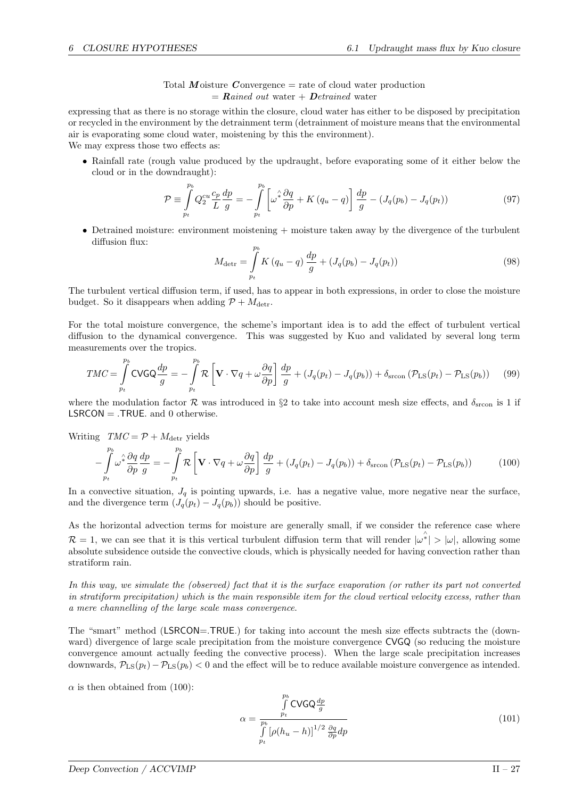Total Moisture Convergence  $=$  rate of cloud water production  $=$  Rained out water + Detrained water

expressing that as there is no storage within the closure, cloud water has either to be disposed by precipitation or recycled in the environment by the detrainment term (detrainment of moisture means that the environmental air is evaporating some cloud water, moistening by this the environment).

We may express those two effects as:

• Rainfall rate (rough value produced by the updraught, before evaporating some of it either below the cloud or in the downdraught):

$$
\mathcal{P} \equiv \int_{p_t}^{p_b} Q_2^{cu} \frac{c_p}{L} \frac{dp}{g} = -\int_{p_t}^{p_b} \left[ \omega^* \frac{\partial q}{\partial p} + K \left( q_u - q \right) \right] \frac{dp}{g} - \left( J_q(p_b) - J_q(p_t) \right) \tag{97}
$$

• Detrained moisture: environment moistening + moisture taken away by the divergence of the turbulent diffusion flux:

$$
M_{\text{detr}} = \int_{p_t}^{p_b} K(q_u - q) \frac{dp}{g} + (J_q(p_b) - J_q(p_t))
$$
\n(98)

The turbulent vertical diffusion term, if used, has to appear in both expressions, in order to close the moisture budget. So it disappears when adding  $\mathcal{P} + M_{\text{detr}}$ .

For the total moisture convergence, the scheme's important idea is to add the effect of turbulent vertical diffusion to the dynamical convergence. This was suggested by Kuo and validated by several long term measurements over the tropics.

$$
TMC = \int_{p_t}^{p_b} \text{CVGQ} \frac{dp}{g} = -\int_{p_t}^{p_b} \mathcal{R} \left[ \mathbf{V} \cdot \nabla q + \omega \frac{\partial q}{\partial p} \right] \frac{dp}{g} + (J_q(p_t) - J_q(p_b)) + \delta_{\text{stcon}} \left( \mathcal{P}_{\text{LS}}(p_t) - \mathcal{P}_{\text{LS}}(p_b) \right) \tag{99}
$$

where the modulation factor  $\mathcal R$  was introduced in §2 to take into account mesh size effects, and  $\delta_{\rm srcon}$  is 1 if  $LSRCON = .TRUE.$  and 0 otherwise.

Writing  $TMC = \mathcal{P} + M_{\text{detr}}$  yields

$$
-\int_{p_t}^{p_b} \omega^2 \frac{\partial q}{\partial p} \frac{dp}{g} = -\int_{p_t}^{p_b} \mathcal{R} \left[ \mathbf{V} \cdot \nabla q + \omega \frac{\partial q}{\partial p} \right] \frac{dp}{g} + (J_q(p_t) - J_q(p_b)) + \delta_{\text{stcon}} \left( \mathcal{P}_{\text{LS}}(p_t) - \mathcal{P}_{\text{LS}}(p_b) \right) \tag{100}
$$

In a convective situation,  $J_q$  is pointing upwards, i.e. has a negative value, more negative near the surface, and the divergence term  $(J_q(p_t) - J_q(p_b))$  should be positive.

As the horizontal advection terms for moisture are generally small, if we consider the reference case where  $\mathcal{R} = 1$ , we can see that it is this vertical turbulent diffusion term that will render  $|\omega^*| > |\omega|$ , allowing some absolute subsidence outside the convective clouds, which is physically needed for having convection rather than stratiform rain.

In this way, we simulate the (observed) fact that it is the surface evaporation (or rather its part not converted in stratiform precipitation) which is the main responsible item for the cloud vertical velocity excess, rather than a mere channelling of the large scale mass convergence.

The "smart" method (LSRCON=TRUE.) for taking into account the mesh size effects subtracts the (downward) divergence of large scale precipitation from the moisture convergence CVGQ (so reducing the moisture convergence amount actually feeding the convective process). When the large scale precipitation increases downwards,  $P_{LS}(p_t) - P_{LS}(p_b) < 0$  and the effect will be to reduce available moisture convergence as intended.

 $\alpha$  is then obtained from (100):

$$
\alpha = \frac{\int_{p_b}^{p_b} \text{CVGQ} \frac{dp}{g}}{\int_{p_t}^{1} \left[\rho(h_u - h)\right]^{1/2} \frac{\partial q}{\partial p} dp}
$$
\n(101)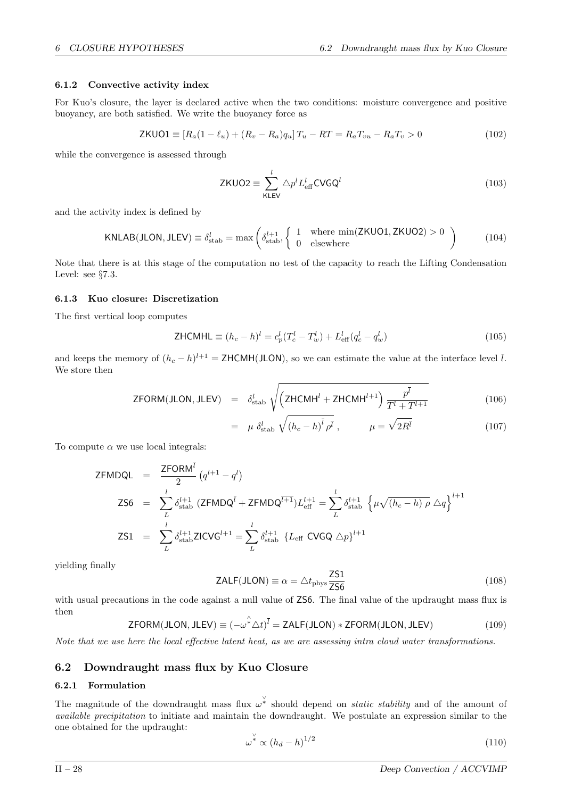## 6.1.2 Convective activity index

For Kuo's closure, the layer is declared active when the two conditions: moisture convergence and positive buoyancy, are both satisfied. We write the buoyancy force as

$$
\mathsf{ZKUO1} \equiv [R_a(1 - \ell_u) + (R_v - R_a)q_u]T_u - RT = R_aT_{vu} - R_aT_v > 0 \tag{102}
$$

while the convergence is assessed through

$$
\text{ZKUO2} \equiv \sum_{\text{KLEV}}^{l} \triangle p^l L_{\text{eff}}^l \text{CVGQ}^l \tag{103}
$$

and the activity index is defined by

$$
KNLAB(JLON, JLEV) \equiv \delta_{\text{stab}}^l = \max\left(\delta_{\text{stab}}^{l+1}, \begin{cases} 1 & \text{where } \min(ZKUO1, ZKUO2) > 0 \\ 0 & \text{elsewhere} \end{cases}\right) \tag{104}
$$

Note that there is at this stage of the computation no test of the capacity to reach the Lifting Condensation Level: see §7.3.

## 6.1.3 Kuo closure: Discretization

The first vertical loop computes

**ZHCMHL** 
$$
\equiv (h_c - h)^l = c_p^l (T_c^l - T_w^l) + L_{\text{eff}}^l (q_c^l - q_w^l)
$$
 (105)

and keeps the memory of  $(h_c - h)^{l+1} = \text{ZHCMH(JLON)}$ , so we can estimate the value at the interface level  $\overline{l}$ . We store then

$$
\text{ZFORM(JLON, JLEV)} = \delta_{\text{stab}}^l \sqrt{\left(\text{ZHCMH}^l + \text{ZHCMH}^{l+1}\right) \frac{p^{\bar{l}}}{T^l + T^{l+1}}}\tag{106}
$$

$$
= \mu \delta_{\text{stab}}^l \sqrt{(h_c - h)^l} \rho^l , \qquad \mu = \sqrt{2R^l}
$$
 (107)

To compute  $\alpha$  we use local integrals:

$$
\begin{array}{rcl}\n\mathsf{ZFMDQL} & = & \frac{\mathsf{ZFORM}^l}{2} \left( q^{l+1} - q^l \right) \\
\mathsf{ZS6} & = & \sum_{L}^{l} \delta_{\text{stab}}^{l+1} \left( \mathsf{ZFMDQ}^{\bar{l}} + \mathsf{ZFMDQ}^{\bar{l+1}} \right) L_{\text{eff}}^{l+1} = \sum_{L}^{l} \delta_{\text{stab}}^{l+1} \left\{ \mu \sqrt{(h_c - h) \, \rho} \, \Delta q \right\}^{l+1} \\
\mathsf{ZS1} & = & \sum_{L} \delta_{\text{stab}}^{l+1} \mathsf{ZICVG}^{l+1} = \sum_{L}^{l} \delta_{\text{stab}}^{l+1} \left\{ L_{\text{eff}} \, \mathsf{CVGQ} \, \Delta p \right\}^{l+1}\n\end{array}
$$

yielding finally

$$
\mathsf{ZALF}(\mathsf{JLON}) \equiv \alpha = \triangle t_{\rm phys} \frac{\mathsf{ZS1}}{\mathsf{ZS6}} \tag{108}
$$

with usual precautions in the code against a null value of  $\overline{256}$ . The final value of the updraught mass flux is then

$$
\mathsf{ZFORM}(\mathsf{JLON},\mathsf{JLEV}) \equiv (-\omega^* \Delta t)^{\bar{l}} = \mathsf{ZALF}(\mathsf{JLON}) * \mathsf{ZFORM}(\mathsf{JLON},\mathsf{JLEV}) \tag{109}
$$

Note that we use here the local effective latent heat, as we are assessing intra cloud water transformations.

## 6.2 Downdraught mass flux by Kuo Closure

## 6.2.1 Formulation

The magnitude of the downdraught mass flux  $\omega^*$  should depend on *static stability* and of the amount of available precipitation to initiate and maintain the downdraught. We postulate an expression similar to the one obtained for the updraught:

$$
\omega^* \propto (h_d - h)^{1/2} \tag{110}
$$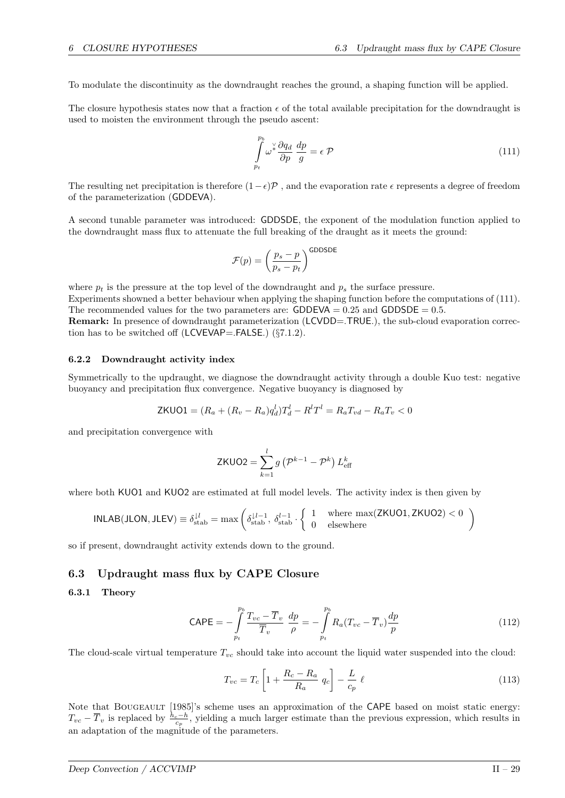To modulate the discontinuity as the downdraught reaches the ground, a shaping function will be applied.

The closure hypothesis states now that a fraction  $\epsilon$  of the total available precipitation for the downdraught is used to moisten the environment through the pseudo ascent:

$$
\int_{p_t}^{p_b} \omega^{\vee} \frac{\partial q_d}{\partial p} \frac{dp}{g} = \epsilon \mathcal{P}
$$
\n(111)

The resulting net precipitation is therefore  $(1-\epsilon)\mathcal{P}$ , and the evaporation rate  $\epsilon$  represents a degree of freedom of the parameterization (GDDEVA).

A second tunable parameter was introduced: GDDSDE, the exponent of the modulation function applied to the downdraught mass flux to attenuate the full breaking of the draught as it meets the ground:

$$
\mathcal{F}(p) = \left(\frac{p_s - p}{p_s - p_t}\right)^{\text{GDDSDE}}
$$

where  $p_t$  is the pressure at the top level of the downdraught and  $p_s$  the surface pressure.

Experiments showned a better behaviour when applying the shaping function before the computations of (111). The recommended values for the two parameters are:  $GDDEVA = 0.25$  and  $GDDSDE = 0.5$ .

Remark: In presence of downdraught parameterization (LCVDD=.TRUE.), the sub-cloud evaporation correction has to be switched off (LCVEVAP=.FALSE.) (§7.1.2).

## 6.2.2 Downdraught activity index

Symmetrically to the updraught, we diagnose the downdraught activity through a double Kuo test: negative buoyancy and precipitation flux convergence. Negative buoyancy is diagnosed by

$$
ZKUO1 = (R_a + (R_v - R_a)q_d^l)T_d^l - R^lT^l = R_aT_{vd} - R_aT_v < 0
$$

and precipitation convergence with

$$
ZKUO2 = \sum_{k=1}^{l} g\left(\mathcal{P}^{k-1} - \mathcal{P}^{k}\right) L_{\text{eff}}^{k}
$$

where both KUO1 and KUO2 are estimated at full model levels. The activity index is then given by

$$
INLAB(JLON, JLEV) \equiv \delta_{\text{stab}}^{l} = \max\left(\delta_{\text{stab}}^{l-l-1}, \delta_{\text{stab}}^{l-1} \cdot \left\{\begin{array}{ll} 1 & \text{where } \max(ZKUO1, ZKUO2) < 0\\ 0 & \text{elsewhere} \end{array}\right\}\right)
$$

so if present, downdraught activity extends down to the ground.

#### 6.3 Updraught mass flux by CAPE Closure

### 6.3.1 Theory

$$
\text{CAPE} = -\int_{p_t}^{p_b} \frac{T_{vc} - \overline{T}_v}{\overline{T}_v} \frac{dp}{\rho} = -\int_{p_t}^{p_b} R_a (T_{vc} - \overline{T}_v) \frac{dp}{p}
$$
(112)

The cloud-scale virtual temperature  $T_{vc}$  should take into account the liquid water suspended into the cloud:

$$
T_{vc} = T_c \left[ 1 + \frac{R_c - R_a}{R_a} q_c \right] - \frac{L}{c_p} \ell \tag{113}
$$

Note that BOUGEAULT [1985]'s scheme uses an approximation of the CAPE based on moist static energy:  $T_{vc} - \overline{T}_v$  is replaced by  $\frac{h_c-h}{c_p}$ , yielding a much larger estimate than the previous expression, which results in an adaptation of the magnitude of the parameters.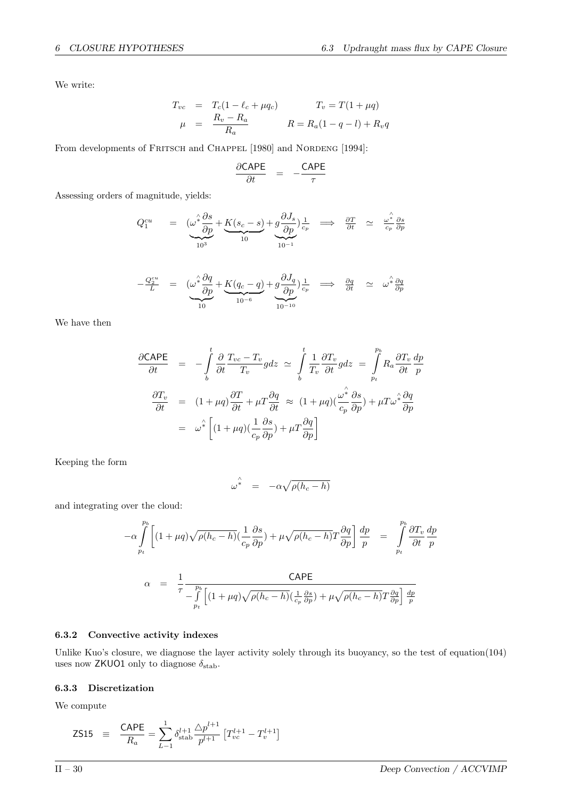We write:

$$
T_{vc} = T_c(1 - \ell_c + \mu q_c) \qquad T_v = T(1 + \mu q) \n\mu = \frac{R_v - R_a}{R_a} \qquad R = R_a(1 - q - l) + R_v q
$$

From developments of FRITSCH and CHAPPEL [1980] and NORDENG [1994]:

$$
\frac{\partial \text{CAPE}}{\partial t} = -\frac{\text{CAPE}}{\tau}
$$

Assessing orders of magnitude, yields:

$$
Q_1^{cu} = \left(\underbrace{\omega^* \frac{\partial s}{\partial p}}_{10^3} + \underbrace{K(s_c - s)}_{10} + \underbrace{g \frac{\partial J_s}{\partial p}}_{10^{-1}}\right) \underbrace{\frac{1}{c_p}}_{10^{-1}} \implies \underbrace{\frac{\partial T}{\partial t}}_{\partial t} \approx \underbrace{\omega^*_{c_p} \frac{\partial s}{\partial p}}_{\text{cp}}
$$

$$
-\frac{Q_2^{cu}}{L} = \underbrace{(\omega^* \frac{\partial q}{\partial p} + K(q_c - q)}_{10^{-6}} + \underbrace{g \frac{\partial J_q}{\partial p})}_{10^{-10}} \frac{1}{c_p} \implies \frac{\partial q}{\partial t} \approx \omega^* \frac{\partial q}{\partial p}
$$

We have then

$$
\frac{\partial \text{CAPE}}{\partial t} = -\int_{b}^{t} \frac{\partial}{\partial t} \frac{T_{vc} - T_{v}}{T_{v}} g dz \approx \int_{b}^{t} \frac{1}{T_{v}} \frac{\partial T_{v}}{\partial t} g dz = \int_{pt}^{p_{b}} R_{a} \frac{\partial T_{v}}{\partial t} \frac{dp}{p}
$$

$$
\frac{\partial T_{v}}{\partial t} = (1 + \mu q) \frac{\partial T}{\partial t} + \mu T \frac{\partial q}{\partial t} \approx (1 + \mu q) (\frac{\omega^{2}}{c_{p}} \frac{\partial s}{\partial p}) + \mu T \omega^{2} \frac{\partial q}{\partial p}
$$

$$
= \omega^{2} \left[ (1 + \mu q) (\frac{1}{c_{p}} \frac{\partial s}{\partial p}) + \mu T \frac{\partial q}{\partial p} \right]
$$

Keeping the form

$$
\omega^{\hat{*}} = -\alpha \sqrt{\rho(h_c - h)}
$$

and integrating over the cloud:

$$
-\alpha \int_{p_t}^{p_b} \left[ (1 + \mu q) \sqrt{\rho (h_c - h)} \left( \frac{1}{c_p} \frac{\partial s}{\partial p} \right) + \mu \sqrt{\rho (h_c - h)} T \frac{\partial q}{\partial p} \right] \frac{dp}{p} = \int_{p_t}^{p_b} \frac{\partial T_v}{\partial t} \frac{dp}{p}
$$

$$
\alpha = \frac{1}{\tau} \frac{\text{CAPE}}{-\int_{p_t}^{p_b} \left[ (1 + \mu q) \sqrt{\rho (h_c - h)} \left( \frac{1}{c_p} \frac{\partial s}{\partial p} \right) + \mu \sqrt{\rho (h_c - h)} T \frac{\partial q}{\partial p} \right] \frac{dp}{p}}
$$

## 6.3.2 Convective activity indexes

Unlike Kuo's closure, we diagnose the layer activity solely through its buoyancy, so the test of equation(104) uses now ZKUO1 only to diagnose  $\delta_{\text{stab}}$ .

## 6.3.3 Discretization

We compute

$$
\text{ZS15} \quad \equiv \quad \frac{\text{CAPE}}{R_a} = \sum_{L-1}^{1} \delta_{\text{stab}}^{l+1} \frac{\triangle p^{l+1}}{p^{l+1}} \left[ T_{vc}^{l+1} - T_v^{l+1} \right]
$$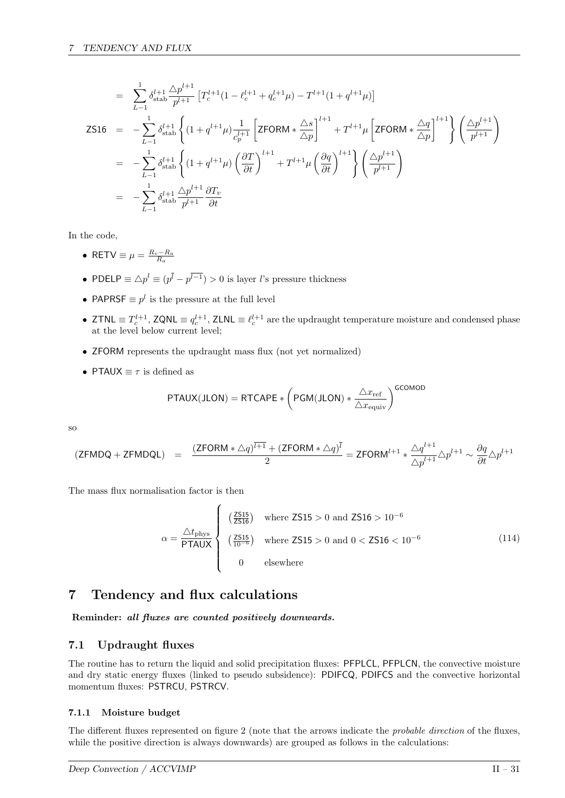$$
= \sum_{L=1}^{1} \delta_{\text{stab}}^{l+1} \frac{\Delta p^{l+1}}{p^{l+1}} \left[ T_c^{l+1} (1 - \ell_c^{l+1} + q_c^{l+1} \mu) - T^{l+1} (1 + q^{l+1} \mu) \right]
$$
  
\nZ516 = 
$$
- \sum_{L=1}^{1} \delta_{\text{stab}}^{l+1} \left\{ (1 + q^{l+1} \mu) \frac{1}{c_p^{l+1}} \left[ ZFORM * \frac{\Delta s}{\Delta p} \right]^{l+1} + T^{l+1} \mu \left[ ZFORM * \frac{\Delta q}{\Delta p} \right]^{l+1} \right\} \left( \frac{\Delta p^{l+1}}{p^{l+1}} \right)
$$
  
\n
$$
= - \sum_{L=1}^{1} \delta_{\text{stab}}^{l+1} \left\{ (1 + q^{l+1} \mu) \left( \frac{\partial T}{\partial t} \right)^{l+1} + T^{l+1} \mu \left( \frac{\partial q}{\partial t} \right)^{l+1} \right\} \left( \frac{\Delta p^{l+1}}{p^{l+1}} \right)
$$
  
\n
$$
= - \sum_{L=1}^{1} \delta_{\text{stab}}^{l+1} \frac{\Delta p^{l+1}}{p^{l+1}} \frac{\partial T_v}{\partial t}
$$

In the code,

- RETV  $\equiv \mu = \frac{R_v R_a}{R_a}$
- PDELP  $\equiv \Delta p^l \equiv (p^l p^{l-1}) > 0$  is layer l's pressure thickness
- PAPRSF  $\equiv p^l$  is the pressure at the full level
- ZTNL  $\equiv T_c^{l+1}$ , ZQNL  $\equiv q_c^{l+1}$ , ZLNL  $\equiv \ell_c^{l+1}$  are the updraught temperature moisture and condensed phase at the level below current level;
- ZFORM represents the updraught mass flux (not yet normalized)
- PTAUX  $\equiv \tau$  is defined as

$$
\text{PTAUX(JLON)} = \text{RTCAPE} * \left(\text{PGM(JLON)} * \frac{\triangle x_{\text{ref}}}{\triangle x_{\text{equiv}}} \right)^\text{GCOMOD}
$$

so

$$
(\mathsf{ZFMDQ}+\mathsf{ZFMDQL})\quad =\quad \frac{(\mathsf{ZFORM}*\triangle q)^{\overline{l+1}}+(\mathsf{ZFORM}*\triangle q)^{\overline{l}}}{2}=\mathsf{ZFORM}^{l+1}*\frac{\triangle q^{l+1}}{\triangle p^{l+1}}\triangle p^{l+1}\sim \frac{\partial q}{\partial t}\triangle p^{l+1}
$$

The mass flux normalisation factor is then

$$
\alpha = \frac{\Delta t_{\rm phys}}{\text{PTAUX}} \begin{cases} \left(\frac{Z_{\rm S15}}{Z_{\rm S16}}\right) & \text{where } Z_{\rm S15} > 0 \text{ and } Z_{\rm S16} > 10^{-6} \\ \left(\frac{Z_{\rm S15}}{10^{-6}}\right) & \text{where } Z_{\rm S15} > 0 \text{ and } 0 < Z_{\rm S16} < 10^{-6} \\ 0 & \text{elsewhere} \end{cases}
$$
(114)

# 7 Tendency and flux calculations

Reminder: all fluxes are counted positively downwards.

## 7.1 Updraught fluxes

The routine has to return the liquid and solid precipitation fluxes: PFPLCL, PFPLCN, the convective moisture and dry static energy fluxes (linked to pseudo subsidence): PDIFCQ, PDIFCS and the convective horizontal momentum fluxes: PSTRCU, PSTRCV.

## 7.1.1 Moisture budget

The different fluxes represented on figure 2 (note that the arrows indicate the *probable direction* of the fluxes, while the positive direction is always downwards) are grouped as follows in the calculations: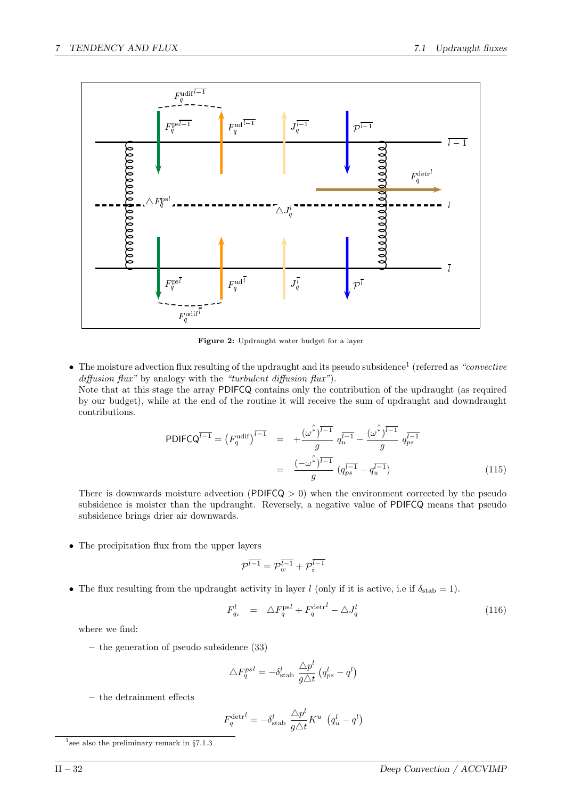

Figure 2: Updraught water budget for a layer

• The moisture advection flux resulting of the updraught and its pseudo subsidence<sup>1</sup> (referred as "convective")  $diffusion flux''$  by analogy with the "turbulent diffusion flux").

Note that at this stage the array PDIFCQ contains only the contribution of the updraught (as required by our budget), while at the end of the routine it will receive the sum of updraught and downdraught contributions.

$$
PDIFCQ^{\overline{l-1}} = (F_q^{\text{udif}})^{\overline{l-1}} = +\frac{(\omega^{\hat{*}})^{\overline{l-1}}}{g} q_u^{\overline{l-1}} - \frac{(\omega^{\hat{*}})^{\overline{l-1}}}{g} q_{ps}^{\overline{l-1}}
$$

$$
= \frac{(-\omega^{\hat{*}})^{\overline{l-1}}}{g} (q_{ps}^{\overline{l-1}} - q_u^{\overline{l-1}})
$$
(115)

There is downwards moisture advection (PDIFCQ  $> 0$ ) when the environment corrected by the pseudo subsidence is moister than the updraught. Reversely, a negative value of PDIFCQ means that pseudo subsidence brings drier air downwards.

• The precipitation flux from the upper layers

$$
\mathcal{P}^{\overline{l-1}} = \mathcal{P}^{\overline{l-1}}_w + \mathcal{P}^{\overline{l-1}}_i
$$

• The flux resulting from the updraught activity in layer l (only if it is active, i.e if  $\delta_{stab} = 1$ ).

$$
F_{q_c}^l = \Delta F_q^{\text{ps}l} + F_q^{\text{detr}l} - \Delta J_q^l \tag{116}
$$

where we find:

– the generation of pseudo subsidence (33)

$$
\triangle F_{q}^{psl} = -\delta_{\text{stab}}^{l} \frac{\triangle p^{l}}{g\triangle t} (q_{ps}^{l} - q^{l})
$$

– the detrainment effects

$$
F_q^{\text{det}l} = -\delta_{\text{stab}}^l \frac{\triangle p^l}{g\triangle t} K^u \left( q_u^l - q^l \right)
$$

<sup>&</sup>lt;sup>1</sup> see also the preliminary remark in  $\S 7.1.3$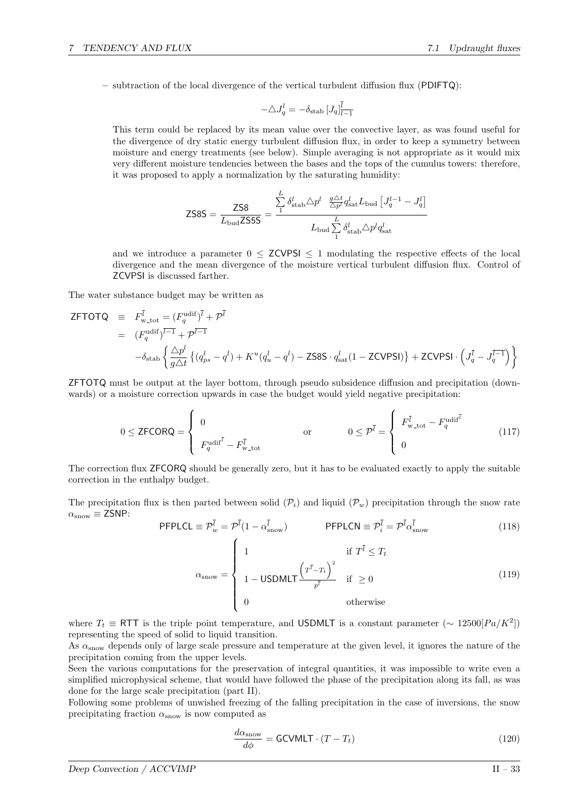– subtraction of the local divergence of the vertical turbulent diffusion flux (PDIFTQ):

$$
-\triangle J^l_q=-\delta_{\rm stab}\,[J_q]_{\overline{l-1}}^{\overline{l}}
$$

This term could be replaced by its mean value over the convective layer, as was found useful for the divergence of dry static energy turbulent diffusion flux, in order to keep a symmetry between moisture and energy treatments (see below). Simple averaging is not appropriate as it would mix very different moisture tendencies between the bases and the tops of the cumulus towers: therefore, it was proposed to apply a normalization by the saturating humidity:

$$
\text{ZS8S} = \frac{\text{ZS8}}{L_{\text{bud}} \text{ZS5S}} = \frac{\sum_{1}^{L} \delta_{\text{stab}}^{l} \triangle p^{l} \frac{g \triangle t}{\triangle p^{l}} q_{\text{sat}}^{l} L_{\text{bud}} \left[ J_{q}^{l-1} - J_{q}^{l} \right]}{L_{\text{bud}} \sum_{1}^{L} \delta_{\text{stab}}^{l} \triangle p^{l} q_{\text{sat}}^{l}}
$$

and we introduce a parameter  $0 \le ZCVPSI \le 1$  modulating the respective effects of the local divergence and the mean divergence of the moisture vertical turbulent diffusion flux. Control of ZCVPSI is discussed farther.

The water substance budget may be written as

$$
ZFTOTQ = F_{w\text{-tot}}^{\overline{l}} = (F_q^{\text{udif}})^{\overline{l}} + \mathcal{P}^{\overline{l}} = (F_q^{\text{udif}})^{\overline{l-1}} + \mathcal{P}^{\overline{l-1}}
$$
  
=  $(F_q^{\text{udif}})^{\overline{l-1}} + \mathcal{P}^{\overline{l-1}}$   

$$
-\delta_{\text{stab}} \left\{ \frac{\Delta p^l}{g\Delta t} \left\{ (q_{ps}^l - q^l) + K^u(q_u^l - q^l) - \text{ZSSS} \cdot q_{\text{sat}}^l (1 - \text{ZCVPSI}) \right\} + \text{ZCVPSI} \cdot \left( J_q^{\overline{l}} - J_q^{\overline{l-1}} \right) \right\}
$$

ZFTOTQ must be output at the layer bottom, through pseudo subsidence diffusion and precipitation (downwards) or a moisture correction upwards in case the budget would yield negative precipitation:

$$
0 \le \text{ZFCORQ} = \begin{cases} 0 & \text{or} \\ F_q^{\text{udif}^{\bar{i}}} - F_{w\text{-tot}}^{\bar{i}} & \text{or} \\ 0 & \text{or} \end{cases} \quad \text{or} \quad 0 \le \mathcal{P}^{\bar{i}} = \begin{cases} F_{w\text{-tot}}^{\bar{i}} - F_q^{\text{udif}^{\bar{i}}} & \text{or} \\ 0 & \text{or} \end{cases} \tag{117}
$$

The correction flux ZFCORQ should be generally zero, but it has to be evaluated exactly to apply the suitable correction in the enthalpy budget.

The precipitation flux is then parted between solid  $(\mathcal{P}_i)$  and liquid  $(\mathcal{P}_w)$  precipitation through the snow rate  $\alpha_{\text{snow}} \equiv \text{ZSNP:}$ 

$$
\text{PFPLCL} \equiv \mathcal{P}_w^{\bar{l}} = \mathcal{P}^{\bar{l}} (1 - \alpha_{\text{snow}}^{\bar{l}}) \qquad \text{PFPLCN} \equiv \mathcal{P}_i^{\bar{l}} = \mathcal{P}^{\bar{l}} \alpha_{\text{snow}}^{\bar{l}} \qquad (118)
$$
\n
$$
\alpha_{\text{snow}} = \begin{cases}\n1 & \text{if } T^{\bar{l}} \le T_t \\
1 - \text{USDMLT} \frac{\left(T^{\bar{l}} - T_t\right)^2}{p^{\bar{l}}} & \text{if } \ge 0 \\
0 & \text{otherwise}\n\end{cases} \qquad (119)
$$

where  $T_t \equiv \text{RTT}$  is the triple point temperature, and USDMLT is a constant parameter ( $\sim 12500[Pa/K^2]$ ) representing the speed of solid to liquid transition.

As α<sub>snow</sub> depends only of large scale pressure and temperature at the given level, it ignores the nature of the precipitation coming from the upper levels.

Seen the various computations for the preservation of integral quantities, it was impossible to write even a simplified microphysical scheme, that would have followed the phase of the precipitation along its fall, as was done for the large scale precipitation (part II).

Following some problems of unwished freezing of the falling precipitation in the case of inversions, the snow precipitating fraction  $\alpha_{\text{snow}}$  is now computed as

$$
\frac{d\alpha_{\text{snow}}}{d\phi} = \text{GCVMLT} \cdot (T - T_t)
$$
\n(120)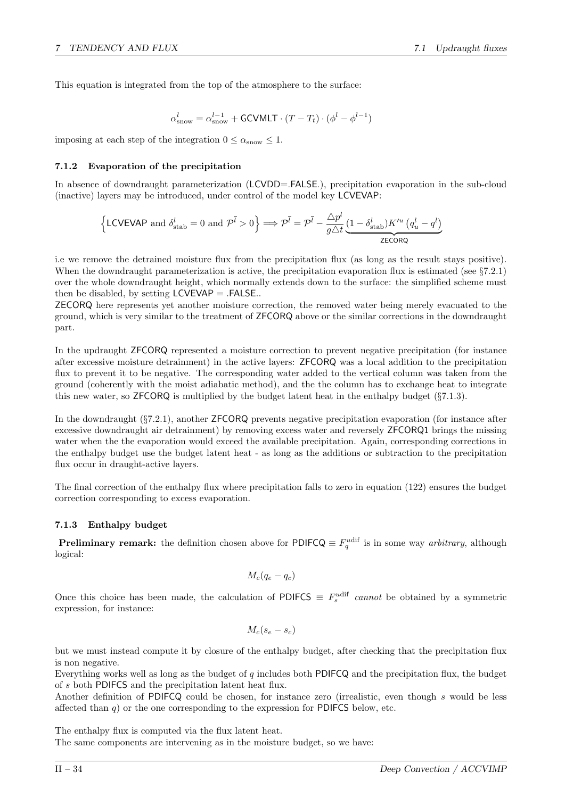This equation is integrated from the top of the atmosphere to the surface:

$$
\alpha_{\mathrm{snow}}^{l} = \alpha_{\mathrm{snow}}^{l-1} + \mathsf{GCVMLT} \cdot (T - T_t) \cdot (\phi^l - \phi^{l-1})
$$

imposing at each step of the integration  $0 \le \alpha_{\text{snow}} \le 1$ .

## 7.1.2 Evaporation of the precipitation

In absence of downdraught parameterization (LCVDD=.FALSE.), precipitation evaporation in the sub-cloud (inactive) layers may be introduced, under control of the model key LCVEVAP:

$$
\left\{\text{LCVEVAP and }\delta_{\text{stab}}^l = 0 \text{ and }\mathcal{P}^{\bar{l}} > 0\right\} \Longrightarrow \mathcal{P}^{\bar{l}} = \mathcal{P}^{\bar{l}} - \frac{\Delta p^l}{g\Delta t} \underbrace{(1 - \delta_{\text{stab}}^l)K'^u\left(q_u^l - q^l\right)}_{\text{ZECORQ}}
$$

i.e we remove the detrained moisture flux from the precipitation flux (as long as the result stays positive). When the downdraught parameterization is active, the precipitation evaporation flux is estimated (see §7.2.1) over the whole downdraught height, which normally extends down to the surface: the simplified scheme must then be disabled, by setting  $LCVEVAP = .FALSE..$ 

ZECORQ here represents yet another moisture correction, the removed water being merely evacuated to the ground, which is very similar to the treatment of ZFCORQ above or the similar corrections in the downdraught part.

In the updraught ZFCORQ represented a moisture correction to prevent negative precipitation (for instance after excessive moisture detrainment) in the active layers: ZFCORQ was a local addition to the precipitation flux to prevent it to be negative. The corresponding water added to the vertical column was taken from the ground (coherently with the moist adiabatic method), and the the column has to exchange heat to integrate this new water, so ZFCORQ is multiplied by the budget latent heat in the enthalpy budget (§7.1.3).

In the downdraught (§7.2.1), another ZFCORQ prevents negative precipitation evaporation (for instance after excessive downdraught air detrainment) by removing excess water and reversely ZFCORQ1 brings the missing water when the the evaporation would exceed the available precipitation. Again, corresponding corrections in the enthalpy budget use the budget latent heat - as long as the additions or subtraction to the precipitation flux occur in draught-active layers.

The final correction of the enthalpy flux where precipitation falls to zero in equation (122) ensures the budget correction corresponding to excess evaporation.

## 7.1.3 Enthalpy budget

**Preliminary remark:** the definition chosen above for PDIFCQ  $\equiv F_q^{\text{udif}}$  is in some way *arbitrary*, although logical:

$$
M_c(q_e-q_c)
$$

Once this choice has been made, the calculation of PDIFCS  $\equiv F_s^{\text{udif}}$  cannot be obtained by a symmetric expression, for instance:

$$
M_c(s_e - s_c)
$$

but we must instead compute it by closure of the enthalpy budget, after checking that the precipitation flux is non negative.

Everything works well as long as the budget of  $q$  includes both PDIFCQ and the precipitation flux, the budget of s both PDIFCS and the precipitation latent heat flux.

Another definition of PDIFCQ could be chosen, for instance zero (irrealistic, even though s would be less affected than  $q$ ) or the one corresponding to the expression for PDIFCS below, etc.

The enthalpy flux is computed via the flux latent heat.

The same components are intervening as in the moisture budget, so we have: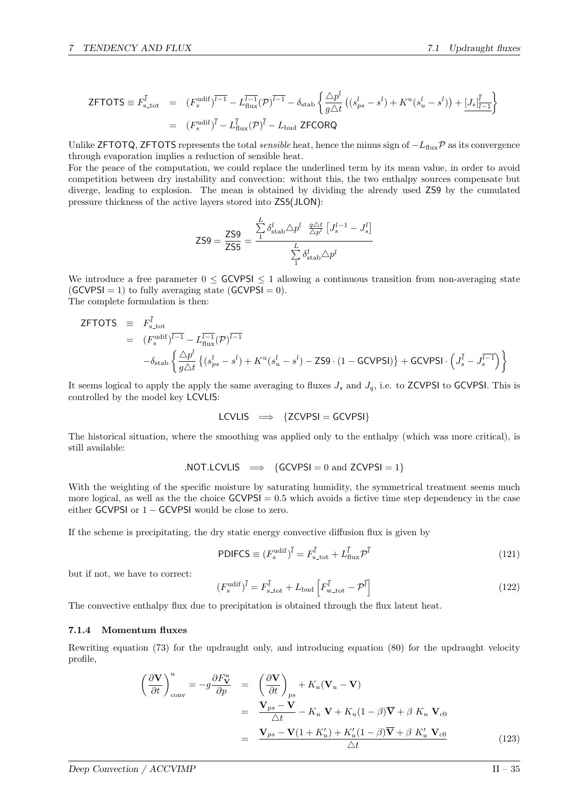$$
\mathsf{ZFTOTS} \equiv F_{s\text{-tot}}^{\overline{l}} = (F_s^{\text{udif}})^{\overline{l-1}} - L_{\text{flux}}^{\overline{l-1}}(\mathcal{P})^{\overline{l-1}} - \delta_{\text{stab}} \left\{ \frac{\Delta p^l}{g\Delta t} \left( (s_{ps}^l - s^l) + K^u(s_u^l - s^l) \right) + \underbrace{[J_s]_{\overline{l-1}}^{\overline{l}} \right\}
$$
  

$$
= (F_s^{\text{udif}})^{\overline{l}} - L_{\text{flux}}^{\overline{l}}(\mathcal{P})^{\overline{l}} - L_{\text{bud}} \mathsf{ZFCORQ}
$$

Unlike ZFTOTQ, ZFTOTS represents the total *sensible* heat, hence the minus sign of  $-L_{\text{flux}}\mathcal{P}$  as its convergence through evaporation implies a reduction of sensible heat.

For the peace of the computation, we could replace the underlined term by its mean value, in order to avoid competition between dry instability and convection: without this, the two enthalpy sources compensate but diverge, leading to explosion. The mean is obtained by dividing the already used ZS9 by the cumulated pressure thickness of the active layers stored into ZS5(JLON):

$$
\text{ZS9} = \frac{\text{ZS9}}{\text{ZS5}} = \frac{\sum\limits_{1}^{L} \delta_{\text{stab}}^l \triangle p^l \frac{g \triangle t}{\triangle p^l} \left[ J_s^{l-1} - J_s^l \right]}{\sum\limits_{1}^{L} \delta_{\text{stab}}^l \triangle p^l}
$$

We introduce a free parameter  $0 \leq$  GCVPSI  $\leq$  1 allowing a continuous transition from non-averaging state  $(GCVPSI = 1)$  to fully averaging state  $(GCVPSI = 0)$ . The complete formulation is then:

$$
ZFTOTS = F_{s,tot}^{\overline{l}} = (F_s^{\text{udif}})^{\overline{l-1}} - L_{\text{flux}}^{\overline{l-1}}(\mathcal{P})^{\overline{l-1}}
$$
  
= 
$$
-\delta_{\text{stab}} \left\{ \frac{\Delta p^l}{g\Delta t} \left\{ (s_{ps}^l - s^l) + K^u(s_u^l - s^l) - \text{ZS9} \cdot (1 - \text{GCVPSI}) \right\} + \text{GCVPSI} \cdot \left( J_s^{\overline{l}} - J_s^{\overline{l-1}} \right) \right\}
$$

It seems logical to apply the apply the same averaging to fluxes  $J_s$  and  $J_q$ , i.e. to ZCVPSI to GCVPSI. This is controlled by the model key LCVLIS:

$$
LCVLIS \implies \{ZCVPSI = GCVPSI\}
$$

The historical situation, where the smoothing was applied only to the enthalpy (which was more critical), is still available:

$$
. NOT. LCVLIS \implies \{ GCVPSI = 0 \text{ and } ZCVPSI = 1 \}
$$

With the weighting of the specific moisture by saturating humidity, the symmetrical treatment seems much more logical, as well as the the choice  $GCVPSI = 0.5$  which avoids a fictive time step dependency in the case either GCVPSI or  $1 -$  GCVPSI would be close to zero.

If the scheme is precipitating, the dry static energy convective diffusion flux is given by

$$
\text{PDIFCS} \equiv (F_s^{\text{udif}})^{\bar{i}} = F_{\text{s,tot}}^{\bar{i}} + L_{\text{flux}}^{\bar{i}} \mathcal{P}^{\bar{i}} \tag{121}
$$

but if not, we have to correct:

$$
(F_s^{\text{udif}})^{\bar{l}} = F_{\text{s,tot}}^{\bar{l}} + L_{\text{bud}} \left[ F_{\text{w,tot}}^{\bar{l}} - \mathcal{P}^{\bar{l}} \right]
$$
 (122)

The convective enthalpy flux due to precipitation is obtained through the flux latent heat.

#### 7.1.4 Momentum fluxes

Rewriting equation (73) for the updraught only, and introducing equation (80) for the updraught velocity profile,

$$
\left(\frac{\partial \mathbf{V}}{\partial t}\right)_{\text{conv}}^{u} = -g \frac{\partial F_{\mathbf{V}}^{u}}{\partial p} = \left(\frac{\partial \mathbf{V}}{\partial t}\right)_{ps} + K_{u}(\mathbf{V}_{u} - \mathbf{V})
$$
\n
$$
= \frac{\mathbf{V}_{ps} - \mathbf{V}}{\Delta t} - K_{u} \mathbf{V} + K_{u}(1 - \beta)\overline{\mathbf{V}} + \beta \ K_{u} \mathbf{V}_{c0}
$$
\n
$$
= \frac{\mathbf{V}_{ps} - \mathbf{V}(1 + K_{u}') + K_{u}'(1 - \beta)\overline{\mathbf{V}} + \beta \ K_{u}' \mathbf{V}_{c0}}{\Delta t}
$$
\n(123)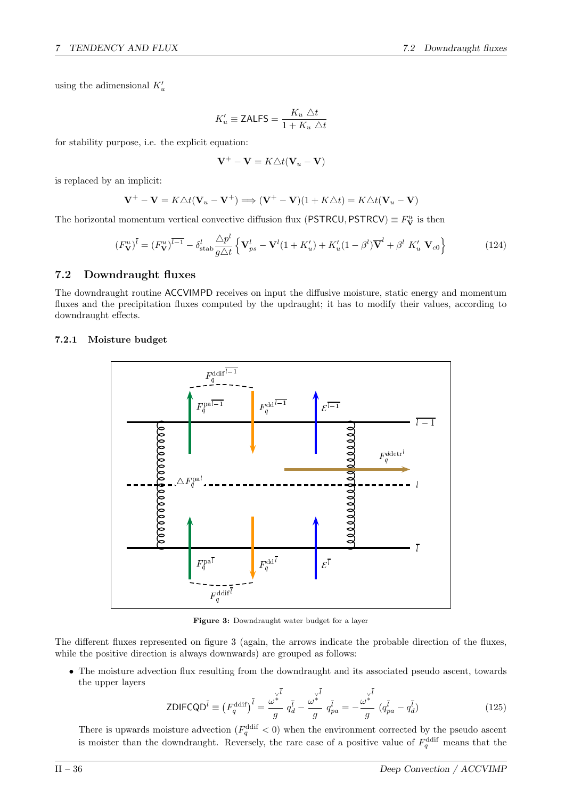using the adimensional  $K'_u$ 

$$
K'_u \equiv \text{ZALFS} = \frac{K_u \ \triangle t}{1 + K_u \ \triangle t}
$$

for stability purpose, i.e. the explicit equation:

$$
\mathbf{V}^+ - \mathbf{V} = K \triangle t (\mathbf{V}_u - \mathbf{V})
$$

is replaced by an implicit:

$$
\mathbf{V}^+ - \mathbf{V} = K \triangle t (\mathbf{V}_u - \mathbf{V}^+) \Longrightarrow (\mathbf{V}^+ - \mathbf{V})(1 + K \triangle t) = K \triangle t (\mathbf{V}_u - \mathbf{V})
$$

The horizontal momentum vertical convective diffusion flux (PSTRCU, PSTRCV)  $\equiv F_V^u$  is then

$$
(F_V^u)^{\bar{l}} = (F_V^u)^{\bar{l}-1} - \delta_{\text{stab}}^l \frac{\Delta p^l}{g\Delta t} \left\{ \mathbf{V}_{ps}^l - \mathbf{V}^l (1 + K_u^l) + K_u^l (1 - \beta^l) \overline{\mathbf{V}}^l + \beta^l K_u^l \mathbf{V}_{c0} \right\}
$$
(124)

## 7.2 Downdraught fluxes

The downdraught routine ACCVIMPD receives on input the diffusive moisture, static energy and momentum fluxes and the precipitation fluxes computed by the updraught; it has to modify their values, according to downdraught effects.

#### 7.2.1 Moisture budget



Figure 3: Downdraught water budget for a layer

The different fluxes represented on figure 3 (again, the arrows indicate the probable direction of the fluxes, while the positive direction is always downwards) are grouped as follows:

• The moisture advection flux resulting from the downdraught and its associated pseudo ascent, towards the upper layers

$$
\text{ZDIFCQD}^{\bar{l}} \equiv \left(F_q^{\text{ddf}}\right)^{\bar{l}} = \frac{\omega^{\downarrow}}{g}^{\frac{1}{\omega^{\ast}}} q_d^{\bar{l}} - \frac{\omega^{\downarrow}}{g}^{\frac{1}{\omega^{\ast}}} q_{pa}^{\bar{l}} = -\frac{\omega^{\downarrow}}{g}^{\frac{1}{\omega^{\ast}}} (q_{pa}^{\bar{l}} - q_d^{\bar{l}})
$$
\n(125)

There is upwards moisture advection  $(F_q^{\text{ddif}} < 0)$  when the environment corrected by the pseudo ascent is moister than the downdraught. Reversely, the rare case of a positive value of  $F_q^{\text{ddif}}$  means that the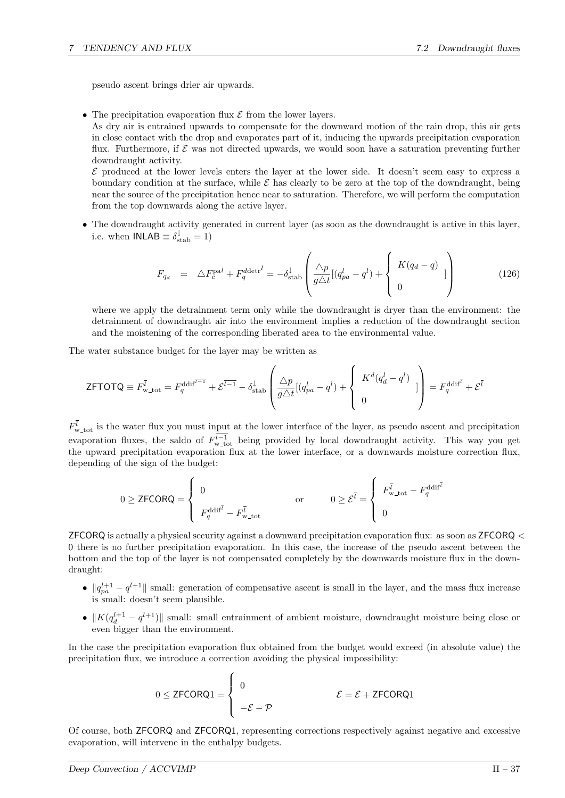pseudo ascent brings drier air upwards.

• The precipitation evaporation flux  $\mathcal E$  from the lower layers.

As dry air is entrained upwards to compensate for the downward motion of the rain drop, this air gets in close contact with the drop and evaporates part of it, inducing the upwards precipitation evaporation flux. Furthermore, if  $\mathcal E$  was not directed upwards, we would soon have a saturation preventing further downdraught activity.

 $\mathcal E$  produced at the lower levels enters the layer at the lower side. It doesn't seem easy to express a boundary condition at the surface, while  $\mathcal E$  has clearly to be zero at the top of the downdraught, being near the source of the precipitation hence near to saturation. Therefore, we will perform the computation from the top downwards along the active layer.

• The downdraught activity generated in current layer (as soon as the downdraught is active in this layer, i.e. when  $\mathsf{INLAB} \equiv \delta_{\text{stab}}^{\downarrow} = 1$ 

$$
F_{q_d} = \Delta F_c^{\text{pal}} + F_q^{\text{ddetr}^l} = -\delta_{\text{stab}}^{\downarrow} \left( \frac{\Delta p}{g \Delta t} [(q_{pa}^l - q^l) + \begin{cases} K(q_d - q) \\ 0 \end{cases} ] \right)
$$
(126)

where we apply the detrainment term only while the downdraught is dryer than the environment: the detrainment of downdraught air into the environment implies a reduction of the downdraught section and the moistening of the corresponding liberated area to the environmental value.

The water substance budget for the layer may be written as

$$
\text{ZFTOTQ} \equiv F_{\rm w\text{-}tot}^{\bar{l}} = F_q^{\text{ddiff}} + \mathcal{E}^{\overline{l-1}} - \delta_{\text{stab}}^{\downarrow} \left( \frac{\Delta p}{g\Delta t} [(q_{pa}^l - q^l) + \left\{ \begin{array}{c} K^d (q_d^l - q^l) \\ 0 \end{array} \right] \right) = F_q^{\text{ddiff}} + \mathcal{E}^{\bar{l}}
$$

 $F_{\text{w\_tot}}^l$  is the water flux you must input at the lower interface of the layer, as pseudo ascent and precipitation evaporation fluxes, the saldo of  $F_{\text{w\_tot}}^{l-1}$  being provided by local downdraught activity. This way you get the upward precipitation evaporation flux at the lower interface, or a downwards moisture correction flux, depending of the sign of the budget:

$$
0 \geq \text{ZFCORQ} = \begin{cases} 0 & \text{or} \\ F_q^{\text{ddif}} - F_{w\text{-tot}}^{\overline{l}} & \text{or} \\ 0 \geq \mathcal{E}^{\overline{l}} = \begin{cases} F_{w\text{-tot}}^{\overline{l}} - F_q^{\text{ddif}} \\ 0 & \text{or} \end{cases} \end{cases}
$$

ZFCORQ is actually a physical security against a downward precipitation evaporation flux: as soon as ZFCORQ < 0 there is no further precipitation evaporation. In this case, the increase of the pseudo ascent between the bottom and the top of the layer is not compensated completely by the downwards moisture flux in the downdraught:

- $||q_{pa}^{l+1} q^{l+1}||$  small: generation of compensative ascent is small in the layer, and the mass flux increase is small: doesn't seem plausible.
- $||K(q_d^{l+1} q^{l+1})||$  small: small entrainment of ambient moisture, downdraught moisture being close or even bigger than the environment.

In the case the precipitation evaporation flux obtained from the budget would exceed (in absolute value) the precipitation flux, we introduce a correction avoiding the physical impossibility:

$$
0 \le \text{ZFCORQ1} = \begin{cases} 0 & \mathcal{E} = \mathcal{E} + \text{ZFCORQ1} \\ -\mathcal{E} - \mathcal{P} & \end{cases}
$$

Of course, both ZFCORQ and ZFCORQ1, representing corrections respectively against negative and excessive evaporation, will intervene in the enthalpy budgets.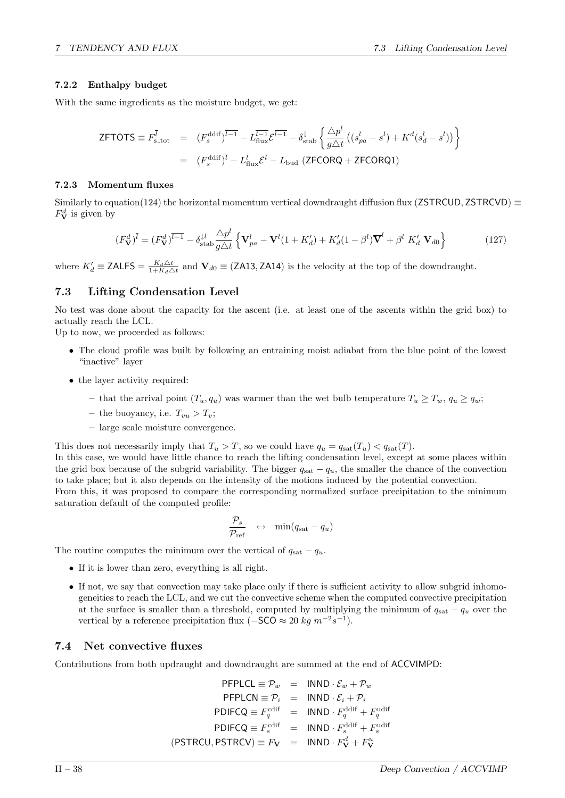## 7.2.2 Enthalpy budget

With the same ingredients as the moisture budget, we get:

$$
\mathsf{ZFTOTS} \equiv F_{\rm s\_{tot}}^{\bar{l}} = (F_{\rm s}^{\rm ddif})^{\bar{l}-1} - L_{\rm flux}^{\bar{l}-1} \mathcal{E}^{\bar{l}-1} - \delta_{\rm stab}^{\downarrow} \left\{ \frac{\triangle p^{l}}{g\triangle t} \left( (s_{pa}^{l} - s^{l}) + K^{d} (s_{d}^{l} - s^{l}) \right) \right\}
$$

$$
= (F_{\rm s}^{\rm ddif})^{\bar{l}} - L_{\rm flux}^{\bar{l}} \mathcal{E}^{\bar{l}} - L_{\rm bud} \left( \mathsf{ZFCORQ} + \mathsf{ZFCORQ1} \right)
$$

### 7.2.3 Momentum fluxes

Similarly to equation(124) the horizontal momentum vertical downdraught diffusion flux (ZSTRCUD, ZSTRCVD)  $\equiv$  $F_{\mathbf{V}}^{d}$  is given by

$$
(F_V^d)^{\bar{l}} = (F_V^d)^{\bar{l}-1} - \delta_{\text{stab}}^{l\bar{l}} \frac{\Delta p^l}{g\Delta t} \left\{ \mathbf{V}_{pa}^l - \mathbf{V}^l (1 + K_d') + K_d' (1 - \beta^l) \overline{\mathbf{V}}^l + \beta^l K_d' \mathbf{V}_{d0} \right\}
$$
(127)

where  $K'_d \equiv \textsf{ZALFS} = \frac{K_d \Delta t}{1 + K_d \Delta t}$  and  $\mathbf{V}_{d0} \equiv \textsf{(ZA13, ZA14)}$  is the velocity at the top of the downdraught.

## 7.3 Lifting Condensation Level

No test was done about the capacity for the ascent (i.e. at least one of the ascents within the grid box) to actually reach the LCL.

Up to now, we proceeded as follows:

- The cloud profile was built by following an entraining moist adiabat from the blue point of the lowest "inactive" layer
- the layer activity required:
	- that the arrival point  $(T_u, q_u)$  was warmer than the wet bulb temperature  $T_u \geq T_w$ ,  $q_u \geq q_w$ ;
	- the buoyancy, i.e.  $T_{vu} > T_v$ ;
	- large scale moisture convergence.

This does not necessarily imply that  $T_u > T$ , so we could have  $q_u = q_{sat}(T_u) < q_{sat}(T)$ .

In this case, we would have little chance to reach the lifting condensation level, except at some places within the grid box because of the subgrid variability. The bigger  $q_{\text{sat}} - q_u$ , the smaller the chance of the convection to take place; but it also depends on the intensity of the motions induced by the potential convection. From this, it was proposed to compare the corresponding normalized surface precipitation to the minimum

saturation default of the computed profile:

$$
\frac{\mathcal{P}_s}{\mathcal{P}_{\text{ref}}} \quad \leftrightarrow \quad \min(q_{\text{sat}} - q_u)
$$

The routine computes the minimum over the vertical of  $q_{\text{sat}} - q_u$ .

- If it is lower than zero, everything is all right.
- If not, we say that convection may take place only if there is sufficient activity to allow subgrid inhomogeneities to reach the LCL, and we cut the convective scheme when the computed convective precipitation at the surface is smaller than a threshold, computed by multiplying the minimum of  $q_{\text{sat}} - q_u$  over the vertical by a reference precipitation flux ( $-$ SCO  $\approx 20$  kg  $m^{-2}s^{-1}$ ).

## 7.4 Net convective fluxes

Contributions from both updraught and downdraught are summed at the end of ACCVIMPD:

 $\mathsf{PFPLCL} \equiv \mathcal{P}_w = \mathsf{INND} \cdot \mathcal{E}_w + \mathcal{P}_w$  $PFPLCN \equiv \mathcal{P}_i$  = INND  $\cdot \mathcal{E}_i + \mathcal{P}_i$ PDIFCQ  $\equiv F_q^{\text{cdif}} = \text{INND} \cdot F_q^{\text{ddif}} + F_q^{\text{udif}}$  $\text{PDIFCQ} \equiv F_s^{\text{cdif}} = \text{INND} \cdot F_s^{\text{ddif}} + F_s^{\text{udif}}$  $({\sf PSTRCU}, {\sf PSTRCV}) \equiv F_{\bf V} = {\sf INND} \cdot F_{\bf V}^d + F_{\bf V}^u$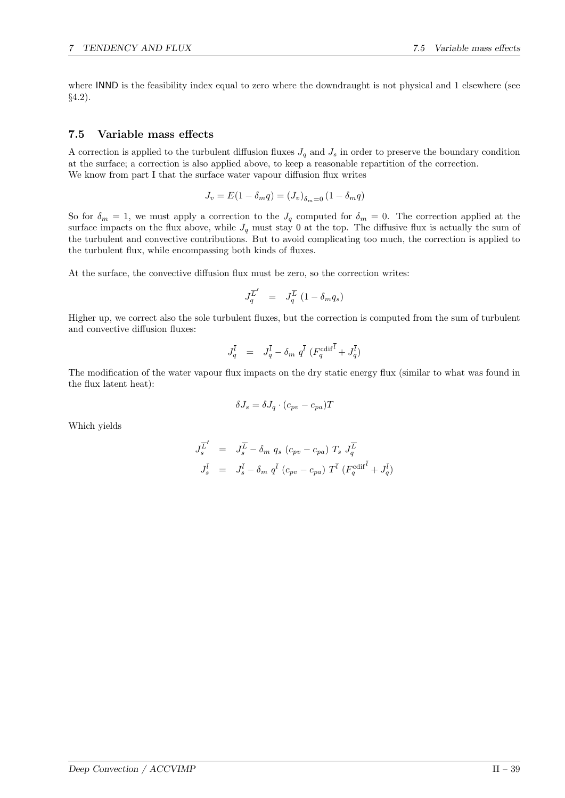where INND is the feasibility index equal to zero where the downdraught is not physical and 1 elsewhere (see §4.2).

## 7.5 Variable mass effects

A correction is applied to the turbulent diffusion fluxes  $J_q$  and  $J_s$  in order to preserve the boundary condition at the surface; a correction is also applied above, to keep a reasonable repartition of the correction. We know from part I that the surface water vapour diffusion flux writes

$$
J_v = E(1 - \delta_m q) = (J_v)_{\delta_m = 0} (1 - \delta_m q)
$$

So for  $\delta_m = 1$ , we must apply a correction to the  $J_q$  computed for  $\delta_m = 0$ . The correction applied at the surface impacts on the flux above, while  $J_q$  must stay 0 at the top. The diffusive flux is actually the sum of the turbulent and convective contributions. But to avoid complicating too much, the correction is applied to the turbulent flux, while encompassing both kinds of fluxes.

At the surface, the convective diffusion flux must be zero, so the correction writes:

$$
J_q^{\overline{L}'} = J_q^{\overline{L}} (1 - \delta_m q_s)
$$

Higher up, we correct also the sole turbulent fluxes, but the correction is computed from the sum of turbulent and convective diffusion fluxes:

$$
J^{\bar l}_{q}\quad =\quad J^{\bar l}_{q}-\delta_m\ q^{\bar l}\ (F^{\text{cdif}^{\bar l}}_{q}+J^{\bar l}_{q})
$$

The modification of the water vapour flux impacts on the dry static energy flux (similar to what was found in the flux latent heat):

$$
\delta J_s = \delta J_q \cdot (c_{pv} - c_{pa})T
$$

Which yields

$$
\begin{array}{rcl} J_s^{\overline{L}'} & = & J_s^{\overline{L}} - \delta_m \; q_s \; (c_{pv} - c_{pa}) \; T_s \; J_q^{\overline{L}} \\ & & \\ J_s^{\overline{l}} & = & J_s^{\overline{l}} - \delta_m \; q^{\overline{l}} \; (c_{pv} - c_{pa}) \; T^{\overline{l}} \; (F_q^{\text{cdif}}^{\overline{l}} + J_q^{\overline{l}}) \end{array}
$$